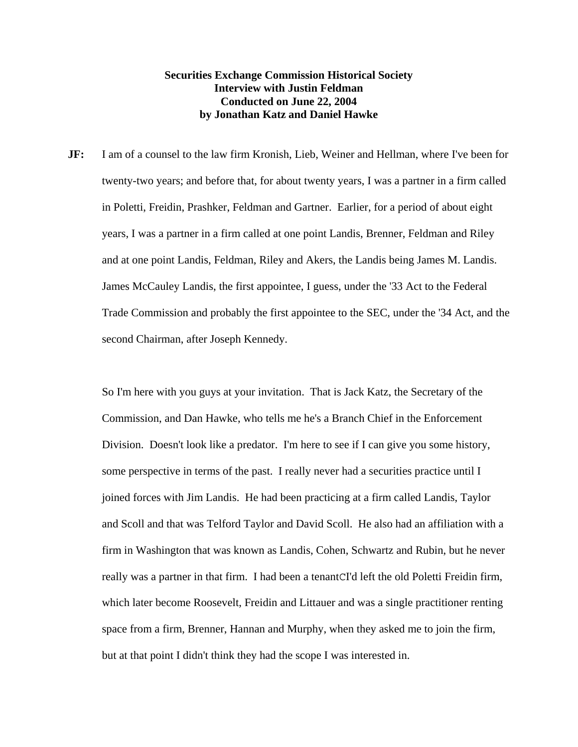## **Securities Exchange Commission Historical Society Interview with Justin Feldman Conducted on June 22, 2004 by Jonathan Katz and Daniel Hawke**

**JF:** I am of a counsel to the law firm Kronish, Lieb, Weiner and Hellman, where I've been for twenty-two years; and before that, for about twenty years, I was a partner in a firm called in Poletti, Freidin, Prashker, Feldman and Gartner. Earlier, for a period of about eight years, I was a partner in a firm called at one point Landis, Brenner, Feldman and Riley and at one point Landis, Feldman, Riley and Akers, the Landis being James M. Landis. James McCauley Landis, the first appointee, I guess, under the '33 Act to the Federal Trade Commission and probably the first appointee to the SEC, under the '34 Act, and the second Chairman, after Joseph Kennedy.

So I'm here with you guys at your invitation. That is Jack Katz, the Secretary of the Commission, and Dan Hawke, who tells me he's a Branch Chief in the Enforcement Division. Doesn't look like a predator. I'm here to see if I can give you some history, some perspective in terms of the past. I really never had a securities practice until I joined forces with Jim Landis. He had been practicing at a firm called Landis, Taylor and Scoll and that was Telford Taylor and David Scoll. He also had an affiliation with a firm in Washington that was known as Landis, Cohen, Schwartz and Rubin, but he never really was a partner in that firm. I had been a tenantCI'd left the old Poletti Freidin firm, which later become Roosevelt, Freidin and Littauer and was a single practitioner renting space from a firm, Brenner, Hannan and Murphy, when they asked me to join the firm, but at that point I didn't think they had the scope I was interested in.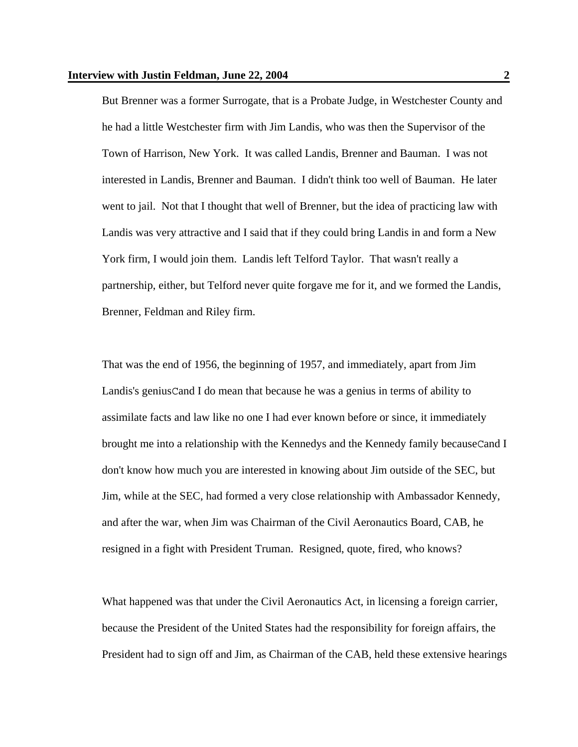But Brenner was a former Surrogate, that is a Probate Judge, in Westchester County and he had a little Westchester firm with Jim Landis, who was then the Supervisor of the Town of Harrison, New York. It was called Landis, Brenner and Bauman. I was not interested in Landis, Brenner and Bauman. I didn't think too well of Bauman. He later went to jail. Not that I thought that well of Brenner, but the idea of practicing law with Landis was very attractive and I said that if they could bring Landis in and form a New York firm, I would join them. Landis left Telford Taylor. That wasn't really a partnership, either, but Telford never quite forgave me for it, and we formed the Landis, Brenner, Feldman and Riley firm.

That was the end of 1956, the beginning of 1957, and immediately, apart from Jim Landis's geniusCand I do mean that because he was a genius in terms of ability to assimilate facts and law like no one I had ever known before or since, it immediately brought me into a relationship with the Kennedys and the Kennedy family becauseCand I don't know how much you are interested in knowing about Jim outside of the SEC, but Jim, while at the SEC, had formed a very close relationship with Ambassador Kennedy, and after the war, when Jim was Chairman of the Civil Aeronautics Board, CAB, he resigned in a fight with President Truman. Resigned, quote, fired, who knows?

What happened was that under the Civil Aeronautics Act, in licensing a foreign carrier, because the President of the United States had the responsibility for foreign affairs, the President had to sign off and Jim, as Chairman of the CAB, held these extensive hearings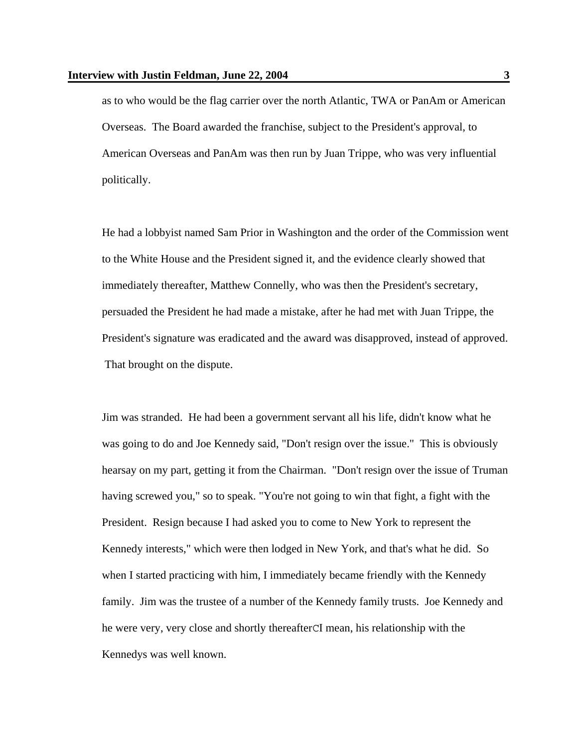as to who would be the flag carrier over the north Atlantic, TWA or PanAm or American Overseas. The Board awarded the franchise, subject to the President's approval, to American Overseas and PanAm was then run by Juan Trippe, who was very influential politically.

He had a lobbyist named Sam Prior in Washington and the order of the Commission went to the White House and the President signed it, and the evidence clearly showed that immediately thereafter, Matthew Connelly, who was then the President's secretary, persuaded the President he had made a mistake, after he had met with Juan Trippe, the President's signature was eradicated and the award was disapproved, instead of approved. That brought on the dispute.

Jim was stranded. He had been a government servant all his life, didn't know what he was going to do and Joe Kennedy said, "Don't resign over the issue." This is obviously hearsay on my part, getting it from the Chairman. "Don't resign over the issue of Truman having screwed you," so to speak. "You're not going to win that fight, a fight with the President. Resign because I had asked you to come to New York to represent the Kennedy interests," which were then lodged in New York, and that's what he did. So when I started practicing with him, I immediately became friendly with the Kennedy family. Jim was the trustee of a number of the Kennedy family trusts. Joe Kennedy and he were very, very close and shortly thereafterCI mean, his relationship with the Kennedys was well known.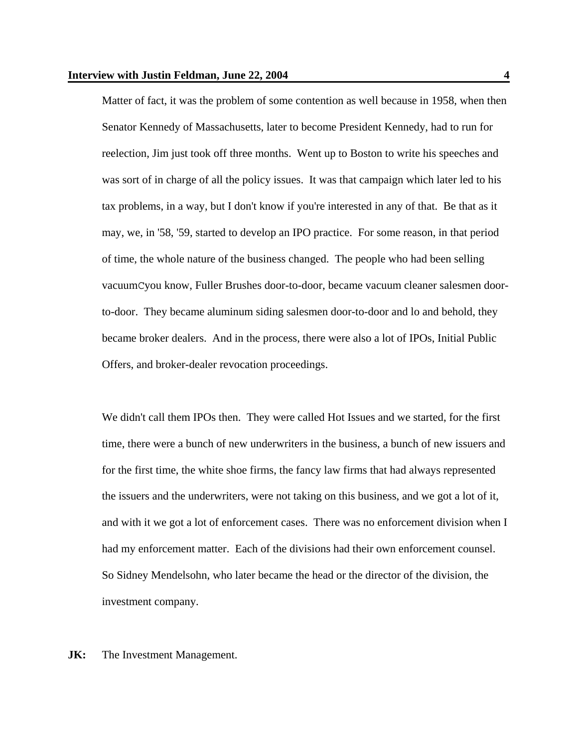Matter of fact, it was the problem of some contention as well because in 1958, when then Senator Kennedy of Massachusetts, later to become President Kennedy, had to run for reelection, Jim just took off three months. Went up to Boston to write his speeches and was sort of in charge of all the policy issues. It was that campaign which later led to his tax problems, in a way, but I don't know if you're interested in any of that. Be that as it may, we, in '58, '59, started to develop an IPO practice. For some reason, in that period of time, the whole nature of the business changed. The people who had been selling vacuumCyou know, Fuller Brushes door-to-door, became vacuum cleaner salesmen doorto-door. They became aluminum siding salesmen door-to-door and lo and behold, they became broker dealers. And in the process, there were also a lot of IPOs, Initial Public Offers, and broker-dealer revocation proceedings.

We didn't call them IPOs then. They were called Hot Issues and we started, for the first time, there were a bunch of new underwriters in the business, a bunch of new issuers and for the first time, the white shoe firms, the fancy law firms that had always represented the issuers and the underwriters, were not taking on this business, and we got a lot of it, and with it we got a lot of enforcement cases. There was no enforcement division when I had my enforcement matter. Each of the divisions had their own enforcement counsel. So Sidney Mendelsohn, who later became the head or the director of the division, the investment company.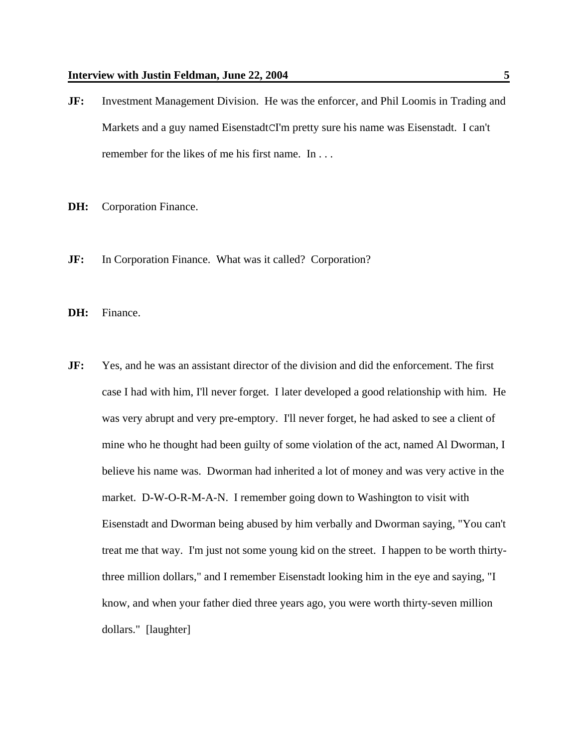- **JF:** Investment Management Division. He was the enforcer, and Phil Loomis in Trading and Markets and a guy named EisenstadtCI'm pretty sure his name was Eisenstadt. I can't remember for the likes of me his first name. In . . .
- **DH:** Corporation Finance.
- **JF:** In Corporation Finance. What was it called? Corporation?
- **DH:** Finance.
- **JF:** Yes, and he was an assistant director of the division and did the enforcement. The first case I had with him, I'll never forget. I later developed a good relationship with him. He was very abrupt and very pre-emptory. I'll never forget, he had asked to see a client of mine who he thought had been guilty of some violation of the act, named Al Dworman, I believe his name was. Dworman had inherited a lot of money and was very active in the market. D-W-O-R-M-A-N. I remember going down to Washington to visit with Eisenstadt and Dworman being abused by him verbally and Dworman saying, "You can't treat me that way. I'm just not some young kid on the street. I happen to be worth thirtythree million dollars," and I remember Eisenstadt looking him in the eye and saying, "I know, and when your father died three years ago, you were worth thirty-seven million dollars." [laughter]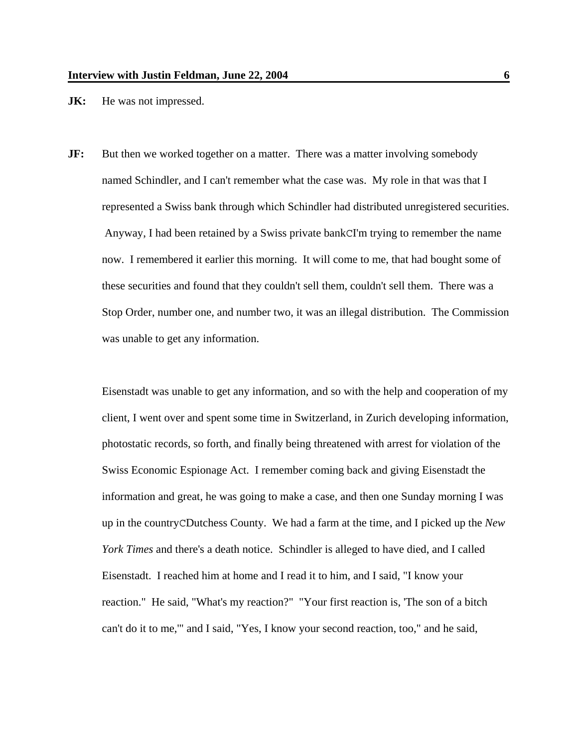**JK:** He was not impressed.

**JF:** But then we worked together on a matter. There was a matter involving somebody named Schindler, and I can't remember what the case was. My role in that was that I represented a Swiss bank through which Schindler had distributed unregistered securities. Anyway, I had been retained by a Swiss private bankCI'm trying to remember the name now. I remembered it earlier this morning. It will come to me, that had bought some of these securities and found that they couldn't sell them, couldn't sell them. There was a Stop Order, number one, and number two, it was an illegal distribution. The Commission was unable to get any information.

Eisenstadt was unable to get any information, and so with the help and cooperation of my client, I went over and spent some time in Switzerland, in Zurich developing information, photostatic records, so forth, and finally being threatened with arrest for violation of the Swiss Economic Espionage Act. I remember coming back and giving Eisenstadt the information and great, he was going to make a case, and then one Sunday morning I was up in the countryCDutchess County. We had a farm at the time, and I picked up the *New York Times* and there's a death notice. Schindler is alleged to have died, and I called Eisenstadt. I reached him at home and I read it to him, and I said, "I know your reaction." He said, "What's my reaction?" "Your first reaction is, 'The son of a bitch can't do it to me,'" and I said, "Yes, I know your second reaction, too," and he said,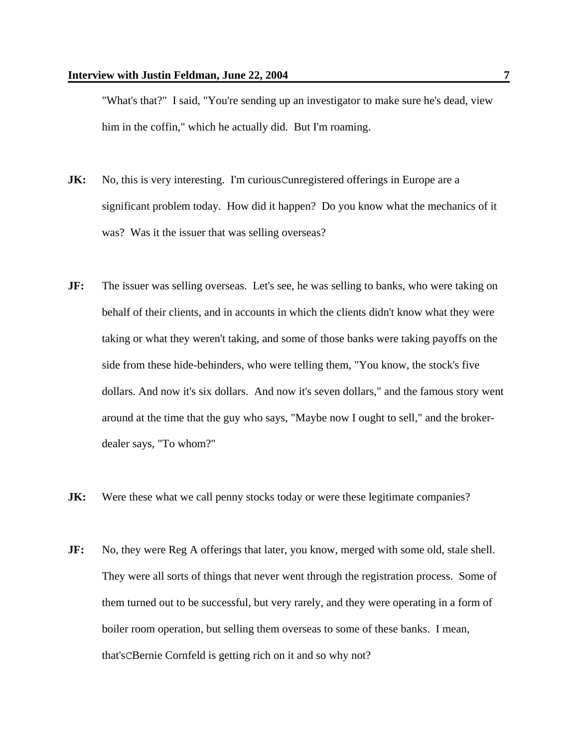"What's that?" I said, "You're sending up an investigator to make sure he's dead, view him in the coffin," which he actually did. But I'm roaming.

- **JK:** No, this is very interesting. I'm curious Cunregistered offerings in Europe are a significant problem today. How did it happen? Do you know what the mechanics of it was? Was it the issuer that was selling overseas?
- **JF:** The issuer was selling overseas. Let's see, he was selling to banks, who were taking on behalf of their clients, and in accounts in which the clients didn't know what they were taking or what they weren't taking, and some of those banks were taking payoffs on the side from these hide-behinders, who were telling them, "You know, the stock's five dollars. And now it's six dollars. And now it's seven dollars," and the famous story went around at the time that the guy who says, "Maybe now I ought to sell," and the brokerdealer says, "To whom?"
- **JK:** Were these what we call penny stocks today or were these legitimate companies?
- **JF:** No, they were Reg A offerings that later, you know, merged with some old, stale shell. They were all sorts of things that never went through the registration process. Some of them turned out to be successful, but very rarely, and they were operating in a form of boiler room operation, but selling them overseas to some of these banks. I mean, that'sCBernie Cornfeld is getting rich on it and so why not?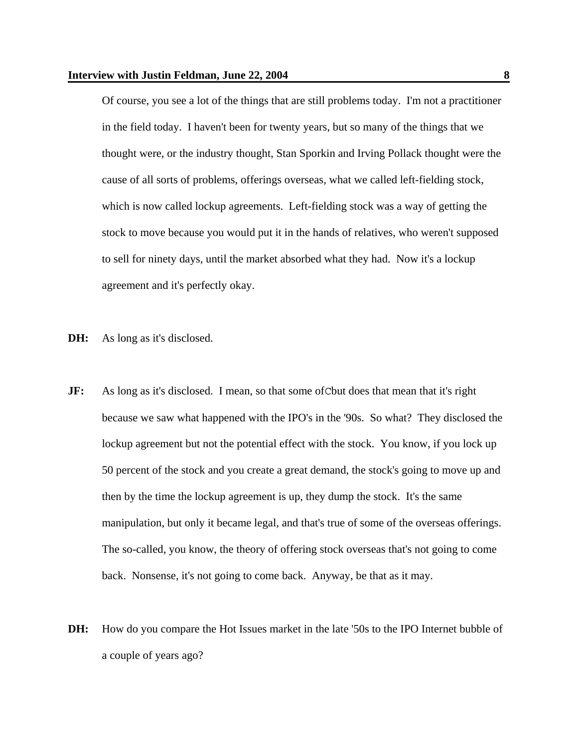Of course, you see a lot of the things that are still problems today. I'm not a practitioner in the field today. I haven't been for twenty years, but so many of the things that we thought were, or the industry thought, Stan Sporkin and Irving Pollack thought were the cause of all sorts of problems, offerings overseas, what we called left-fielding stock, which is now called lockup agreements. Left-fielding stock was a way of getting the stock to move because you would put it in the hands of relatives, who weren't supposed to sell for ninety days, until the market absorbed what they had. Now it's a lockup agreement and it's perfectly okay.

- **DH:** As long as it's disclosed.
- **JF:** As long as it's disclosed. I mean, so that some of C but does that mean that it's right because we saw what happened with the IPO's in the '90s. So what? They disclosed the lockup agreement but not the potential effect with the stock. You know, if you lock up 50 percent of the stock and you create a great demand, the stock's going to move up and then by the time the lockup agreement is up, they dump the stock. It's the same manipulation, but only it became legal, and that's true of some of the overseas offerings. The so-called, you know, the theory of offering stock overseas that's not going to come back. Nonsense, it's not going to come back. Anyway, be that as it may.
- **DH:** How do you compare the Hot Issues market in the late '50s to the IPO Internet bubble of a couple of years ago?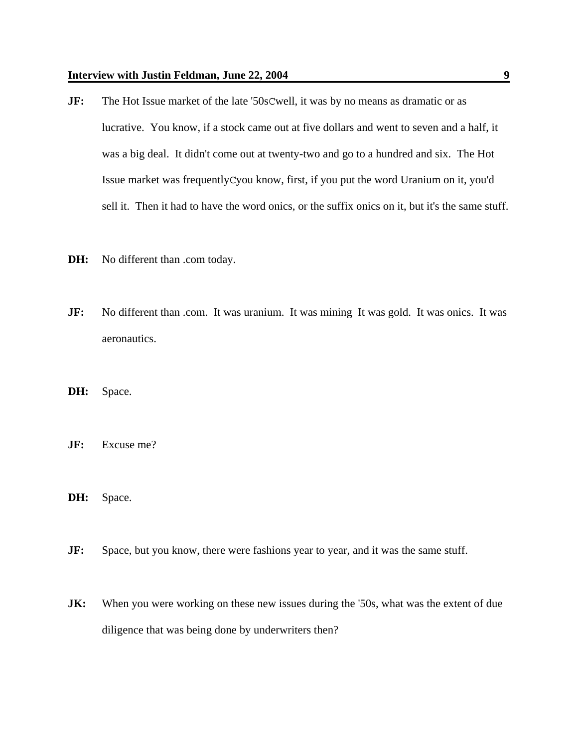- **JF:** The Hot Issue market of the late '50sCwell, it was by no means as dramatic or as lucrative. You know, if a stock came out at five dollars and went to seven and a half, it was a big deal. It didn't come out at twenty-two and go to a hundred and six. The Hot Issue market was frequentlyCyou know, first, if you put the word Uranium on it, you'd sell it. Then it had to have the word onics, or the suffix onics on it, but it's the same stuff.
- **DH:** No different than .com today.
- **JF:** No different than .com. It was uranium. It was mining It was gold. It was onics. It was aeronautics.
- **DH:** Space.
- **JF:** Excuse me?
- **DH:** Space.
- **JF:** Space, but you know, there were fashions year to year, and it was the same stuff.
- **JK:** When you were working on these new issues during the '50s, what was the extent of due diligence that was being done by underwriters then?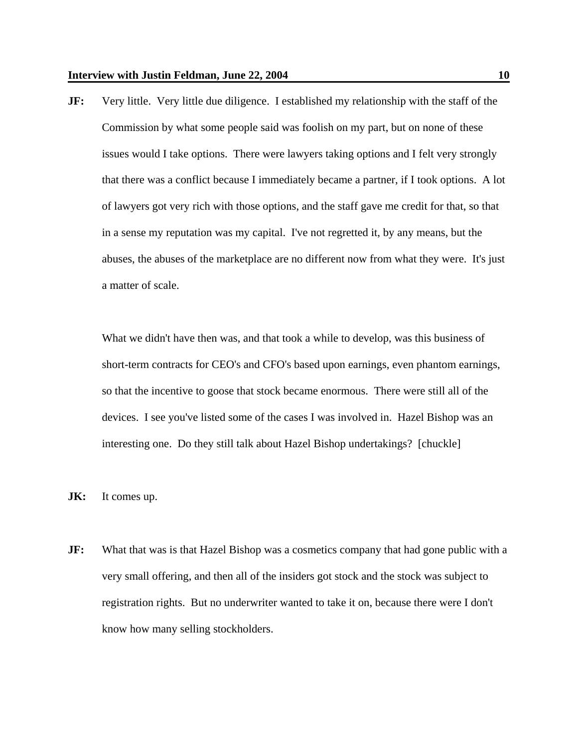**JF:** Very little. Very little due diligence. I established my relationship with the staff of the Commission by what some people said was foolish on my part, but on none of these issues would I take options. There were lawyers taking options and I felt very strongly that there was a conflict because I immediately became a partner, if I took options. A lot of lawyers got very rich with those options, and the staff gave me credit for that, so that in a sense my reputation was my capital. I've not regretted it, by any means, but the abuses, the abuses of the marketplace are no different now from what they were. It's just a matter of scale.

What we didn't have then was, and that took a while to develop, was this business of short-term contracts for CEO's and CFO's based upon earnings, even phantom earnings, so that the incentive to goose that stock became enormous. There were still all of the devices. I see you've listed some of the cases I was involved in. Hazel Bishop was an interesting one. Do they still talk about Hazel Bishop undertakings? [chuckle]

- **JK:** It comes up.
- **JF:** What that was is that Hazel Bishop was a cosmetics company that had gone public with a very small offering, and then all of the insiders got stock and the stock was subject to registration rights. But no underwriter wanted to take it on, because there were I don't know how many selling stockholders.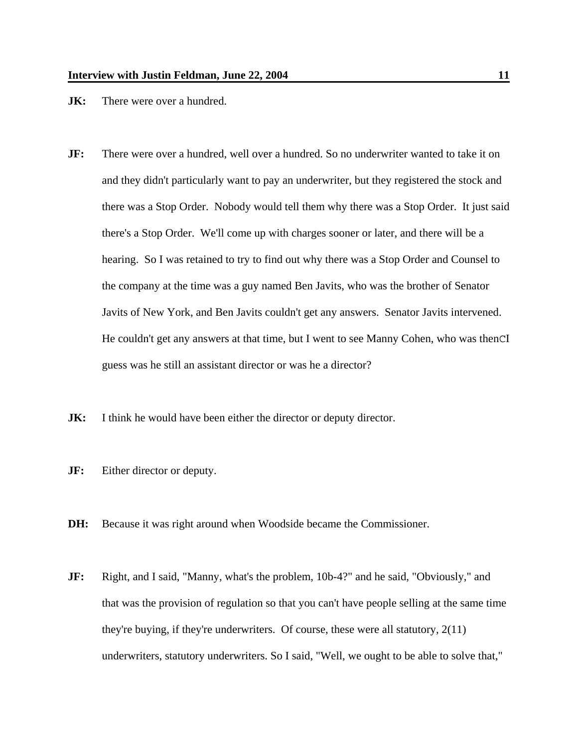- **JK:** There were over a hundred.
- **JF:** There were over a hundred, well over a hundred. So no underwriter wanted to take it on and they didn't particularly want to pay an underwriter, but they registered the stock and there was a Stop Order. Nobody would tell them why there was a Stop Order. It just said there's a Stop Order. We'll come up with charges sooner or later, and there will be a hearing. So I was retained to try to find out why there was a Stop Order and Counsel to the company at the time was a guy named Ben Javits, who was the brother of Senator Javits of New York, and Ben Javits couldn't get any answers. Senator Javits intervened. He couldn't get any answers at that time, but I went to see Manny Cohen, who was thenCI guess was he still an assistant director or was he a director?
- **JK:** I think he would have been either the director or deputy director.
- **JF:** Either director or deputy.
- **DH:** Because it was right around when Woodside became the Commissioner.
- **JF:** Right, and I said, "Manny, what's the problem, 10b-4?" and he said, "Obviously," and that was the provision of regulation so that you can't have people selling at the same time they're buying, if they're underwriters. Of course, these were all statutory, 2(11) underwriters, statutory underwriters. So I said, "Well, we ought to be able to solve that,"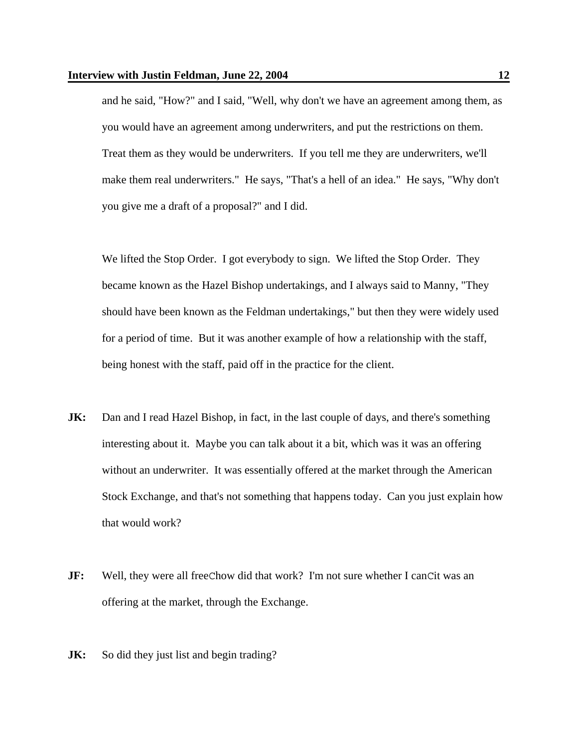and he said, "How?" and I said, "Well, why don't we have an agreement among them, as you would have an agreement among underwriters, and put the restrictions on them. Treat them as they would be underwriters. If you tell me they are underwriters, we'll make them real underwriters." He says, "That's a hell of an idea." He says, "Why don't you give me a draft of a proposal?" and I did.

We lifted the Stop Order. I got everybody to sign. We lifted the Stop Order. They became known as the Hazel Bishop undertakings, and I always said to Manny, "They should have been known as the Feldman undertakings," but then they were widely used for a period of time. But it was another example of how a relationship with the staff, being honest with the staff, paid off in the practice for the client.

- **JK:** Dan and I read Hazel Bishop, in fact, in the last couple of days, and there's something interesting about it. Maybe you can talk about it a bit, which was it was an offering without an underwriter. It was essentially offered at the market through the American Stock Exchange, and that's not something that happens today. Can you just explain how that would work?
- **JF:** Well, they were all freeChow did that work? I'm not sure whether I canCit was an offering at the market, through the Exchange.
- **JK:** So did they just list and begin trading?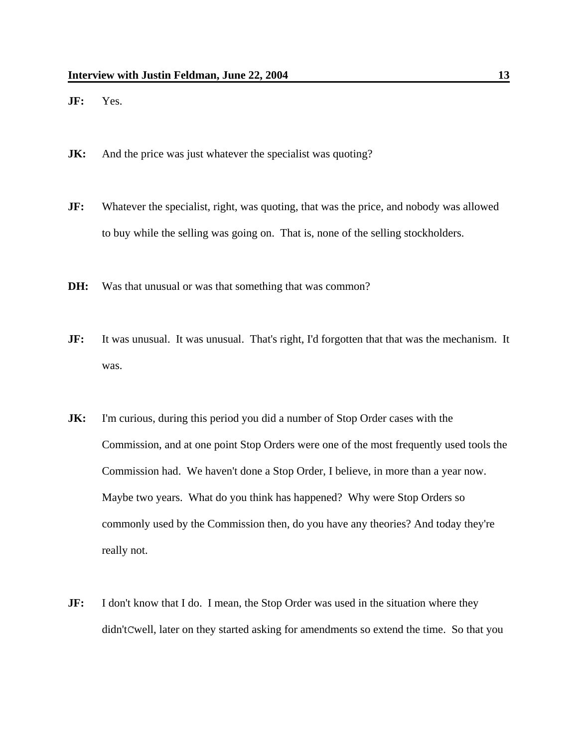**JF:** Yes.

- **JK:** And the price was just whatever the specialist was quoting?
- **JF:** Whatever the specialist, right, was quoting, that was the price, and nobody was allowed to buy while the selling was going on. That is, none of the selling stockholders.
- **DH:** Was that unusual or was that something that was common?
- **JF:** It was unusual. It was unusual. That's right, I'd forgotten that that was the mechanism. It was.
- **JK:** I'm curious, during this period you did a number of Stop Order cases with the Commission, and at one point Stop Orders were one of the most frequently used tools the Commission had. We haven't done a Stop Order, I believe, in more than a year now. Maybe two years. What do you think has happened? Why were Stop Orders so commonly used by the Commission then, do you have any theories? And today they're really not.
- **JF:** I don't know that I do. I mean, the Stop Order was used in the situation where they didn'tCwell, later on they started asking for amendments so extend the time. So that you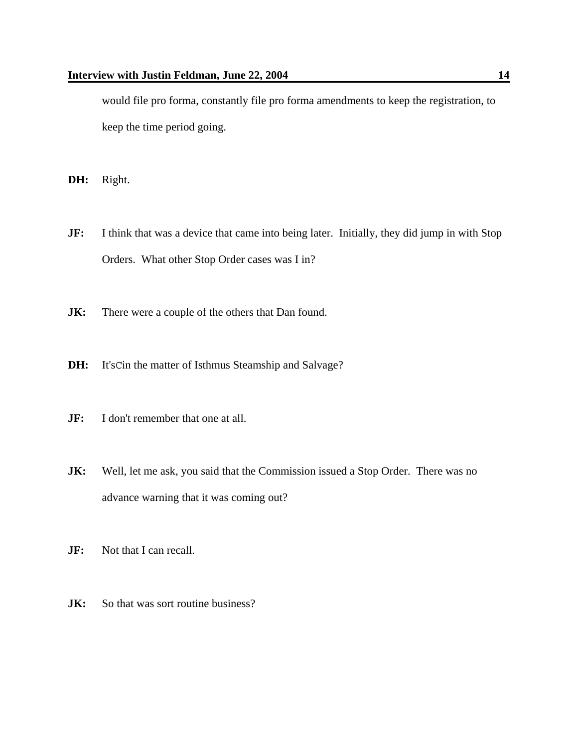would file pro forma, constantly file pro forma amendments to keep the registration, to keep the time period going.

**DH:** Right.

- **JF:** I think that was a device that came into being later. Initially, they did jump in with Stop Orders. What other Stop Order cases was I in?
- **JK:** There were a couple of the others that Dan found.
- **DH:** It'sCin the matter of Isthmus Steamship and Salvage?
- **JF:** I don't remember that one at all.
- **JK:** Well, let me ask, you said that the Commission issued a Stop Order. There was no advance warning that it was coming out?
- **JF:** Not that I can recall.
- **JK:** So that was sort routine business?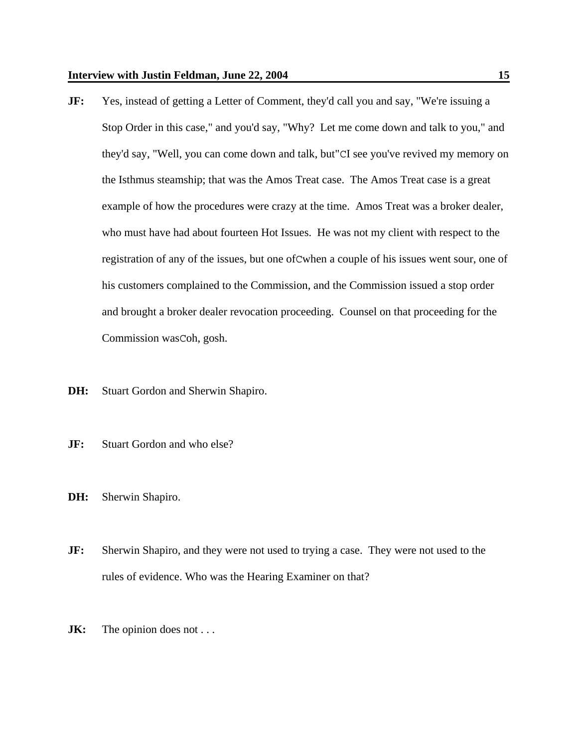- **JF:** Yes, instead of getting a Letter of Comment, they'd call you and say, "We're issuing a Stop Order in this case," and you'd say, "Why? Let me come down and talk to you," and they'd say, "Well, you can come down and talk, but"CI see you've revived my memory on the Isthmus steamship; that was the Amos Treat case. The Amos Treat case is a great example of how the procedures were crazy at the time. Amos Treat was a broker dealer, who must have had about fourteen Hot Issues. He was not my client with respect to the registration of any of the issues, but one ofCwhen a couple of his issues went sour, one of his customers complained to the Commission, and the Commission issued a stop order and brought a broker dealer revocation proceeding. Counsel on that proceeding for the Commission wasCoh, gosh.
- **DH:** Stuart Gordon and Sherwin Shapiro.
- **JF:** Stuart Gordon and who else?
- **DH:** Sherwin Shapiro.
- **JF:** Sherwin Shapiro, and they were not used to trying a case. They were not used to the rules of evidence. Who was the Hearing Examiner on that?
- **JK:** The opinion does not . . .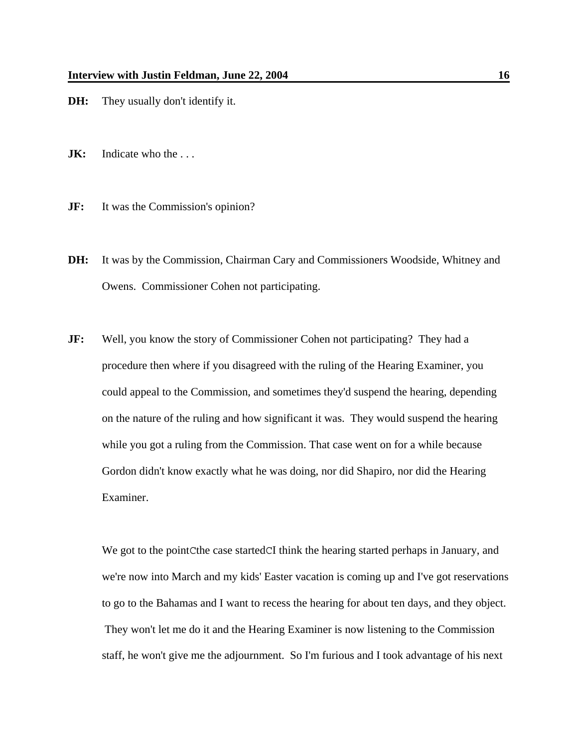- **DH:** They usually don't identify it.
- **JK:** Indicate who the ...
- **JF:** It was the Commission's opinion?
- **DH:** It was by the Commission, Chairman Cary and Commissioners Woodside, Whitney and Owens. Commissioner Cohen not participating.
- **JF:** Well, you know the story of Commissioner Cohen not participating? They had a procedure then where if you disagreed with the ruling of the Hearing Examiner, you could appeal to the Commission, and sometimes they'd suspend the hearing, depending on the nature of the ruling and how significant it was. They would suspend the hearing while you got a ruling from the Commission. That case went on for a while because Gordon didn't know exactly what he was doing, nor did Shapiro, nor did the Hearing Examiner.

We got to the point Cthe case started CI think the hearing started perhaps in January, and we're now into March and my kids' Easter vacation is coming up and I've got reservations to go to the Bahamas and I want to recess the hearing for about ten days, and they object. They won't let me do it and the Hearing Examiner is now listening to the Commission staff, he won't give me the adjournment. So I'm furious and I took advantage of his next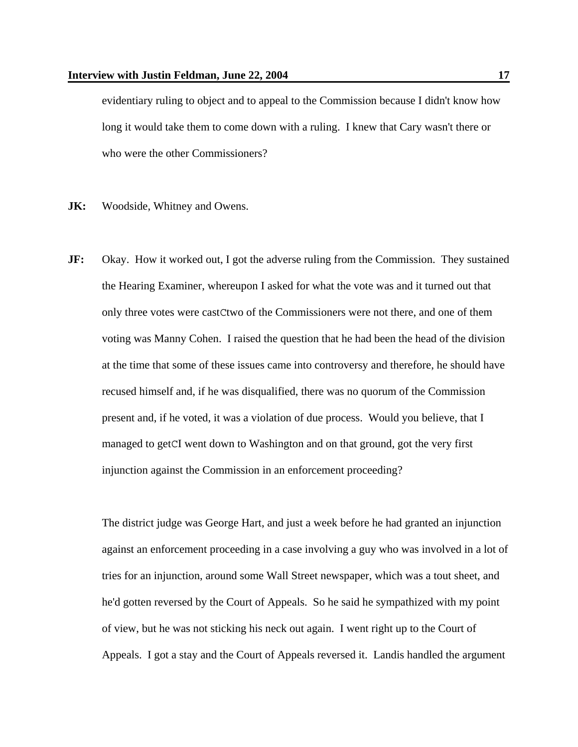evidentiary ruling to object and to appeal to the Commission because I didn't know how long it would take them to come down with a ruling. I knew that Cary wasn't there or who were the other Commissioners?

- **JK:** Woodside, Whitney and Owens.
- **JF:** Okay. How it worked out, I got the adverse ruling from the Commission. They sustained the Hearing Examiner, whereupon I asked for what the vote was and it turned out that only three votes were castCtwo of the Commissioners were not there, and one of them voting was Manny Cohen. I raised the question that he had been the head of the division at the time that some of these issues came into controversy and therefore, he should have recused himself and, if he was disqualified, there was no quorum of the Commission present and, if he voted, it was a violation of due process. Would you believe, that I managed to getCI went down to Washington and on that ground, got the very first injunction against the Commission in an enforcement proceeding?

The district judge was George Hart, and just a week before he had granted an injunction against an enforcement proceeding in a case involving a guy who was involved in a lot of tries for an injunction, around some Wall Street newspaper, which was a tout sheet, and he'd gotten reversed by the Court of Appeals. So he said he sympathized with my point of view, but he was not sticking his neck out again. I went right up to the Court of Appeals. I got a stay and the Court of Appeals reversed it. Landis handled the argument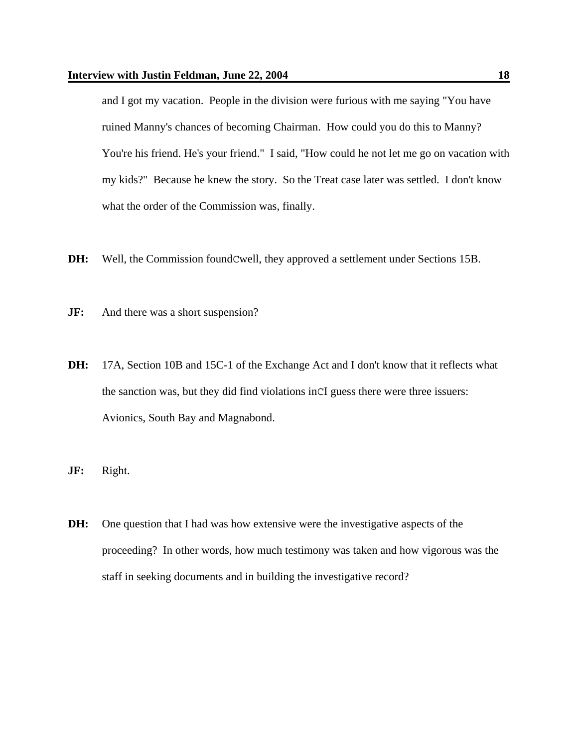and I got my vacation. People in the division were furious with me saying "You have ruined Manny's chances of becoming Chairman. How could you do this to Manny? You're his friend. He's your friend." I said, "How could he not let me go on vacation with my kids?" Because he knew the story. So the Treat case later was settled. I don't know what the order of the Commission was, finally.

- **DH:** Well, the Commission foundCwell, they approved a settlement under Sections 15B.
- **JF:** And there was a short suspension?
- **DH:** 17A, Section 10B and 15C-1 of the Exchange Act and I don't know that it reflects what the sanction was, but they did find violations inCI guess there were three issuers: Avionics, South Bay and Magnabond.
- **JF:** Right.
- **DH:** One question that I had was how extensive were the investigative aspects of the proceeding? In other words, how much testimony was taken and how vigorous was the staff in seeking documents and in building the investigative record?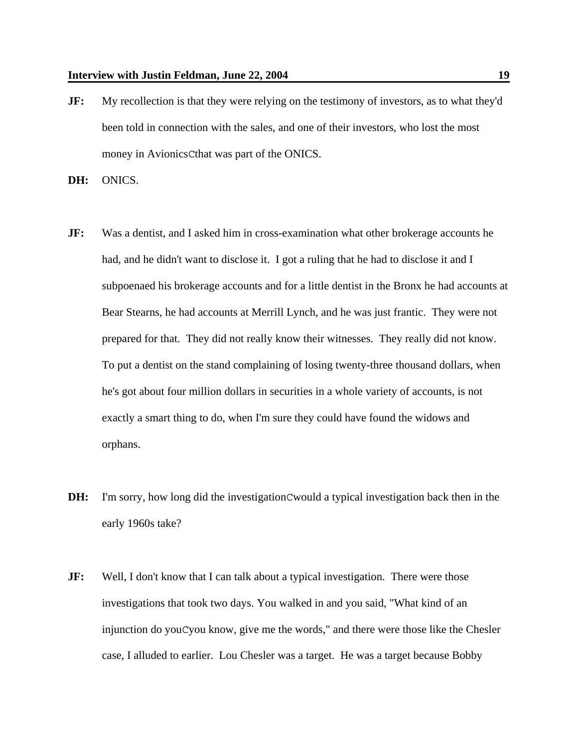**JF:** My recollection is that they were relying on the testimony of investors, as to what they'd been told in connection with the sales, and one of their investors, who lost the most money in AvionicsCthat was part of the ONICS.

**DH:** ONICS.

- **JF:** Was a dentist, and I asked him in cross-examination what other brokerage accounts he had, and he didn't want to disclose it. I got a ruling that he had to disclose it and I subpoenaed his brokerage accounts and for a little dentist in the Bronx he had accounts at Bear Stearns, he had accounts at Merrill Lynch, and he was just frantic. They were not prepared for that. They did not really know their witnesses. They really did not know. To put a dentist on the stand complaining of losing twenty-three thousand dollars, when he's got about four million dollars in securities in a whole variety of accounts, is not exactly a smart thing to do, when I'm sure they could have found the widows and orphans.
- **DH:** I'm sorry, how long did the investigationCwould a typical investigation back then in the early 1960s take?
- **JF:** Well, I don't know that I can talk about a typical investigation. There were those investigations that took two days. You walked in and you said, "What kind of an injunction do youCyou know, give me the words," and there were those like the Chesler case, I alluded to earlier. Lou Chesler was a target. He was a target because Bobby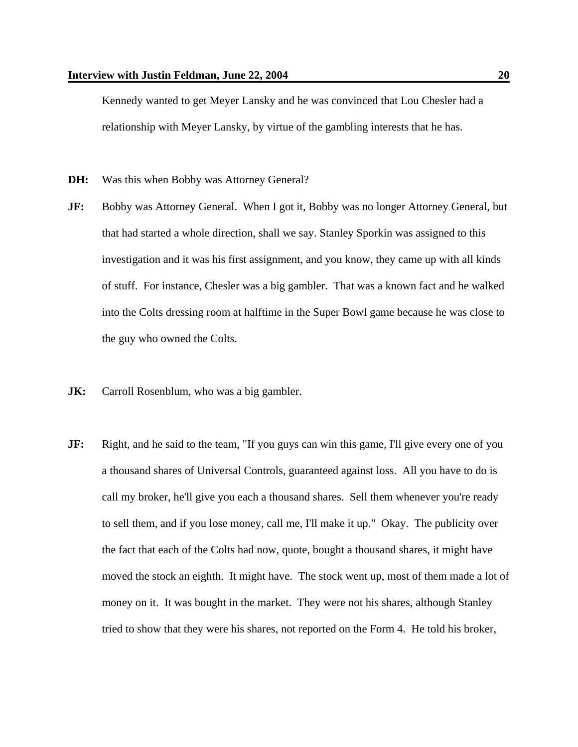Kennedy wanted to get Meyer Lansky and he was convinced that Lou Chesler had a relationship with Meyer Lansky, by virtue of the gambling interests that he has.

- **DH:** Was this when Bobby was Attorney General?
- **JF:** Bobby was Attorney General. When I got it, Bobby was no longer Attorney General, but that had started a whole direction, shall we say. Stanley Sporkin was assigned to this investigation and it was his first assignment, and you know, they came up with all kinds of stuff. For instance, Chesler was a big gambler. That was a known fact and he walked into the Colts dressing room at halftime in the Super Bowl game because he was close to the guy who owned the Colts.
- **JK:** Carroll Rosenblum, who was a big gambler.
- **JF:** Right, and he said to the team, "If you guys can win this game, I'll give every one of you a thousand shares of Universal Controls, guaranteed against loss. All you have to do is call my broker, he'll give you each a thousand shares. Sell them whenever you're ready to sell them, and if you lose money, call me, I'll make it up." Okay. The publicity over the fact that each of the Colts had now, quote, bought a thousand shares, it might have moved the stock an eighth. It might have. The stock went up, most of them made a lot of money on it. It was bought in the market. They were not his shares, although Stanley tried to show that they were his shares, not reported on the Form 4. He told his broker,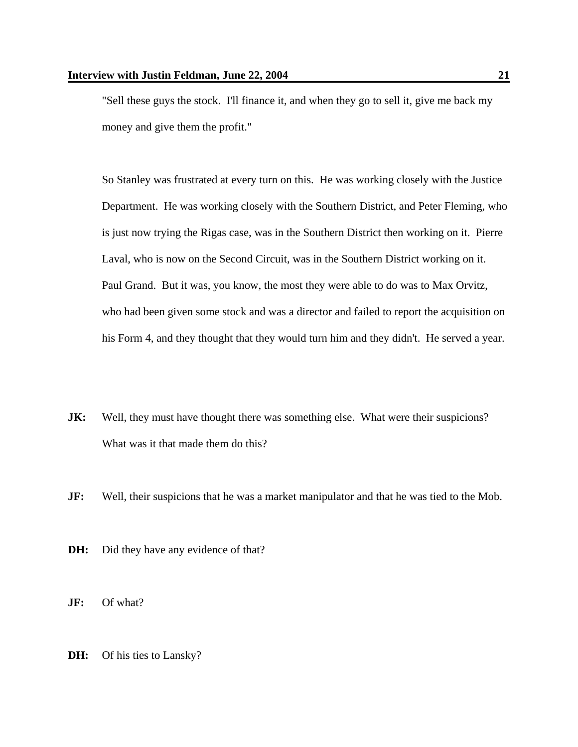"Sell these guys the stock. I'll finance it, and when they go to sell it, give me back my money and give them the profit."

So Stanley was frustrated at every turn on this. He was working closely with the Justice Department. He was working closely with the Southern District, and Peter Fleming, who is just now trying the Rigas case, was in the Southern District then working on it. Pierre Laval, who is now on the Second Circuit, was in the Southern District working on it. Paul Grand. But it was, you know, the most they were able to do was to Max Orvitz, who had been given some stock and was a director and failed to report the acquisition on his Form 4, and they thought that they would turn him and they didn't. He served a year.

- **JK:** Well, they must have thought there was something else. What were their suspicions? What was it that made them do this?
- **JF:** Well, their suspicions that he was a market manipulator and that he was tied to the Mob.
- **DH:** Did they have any evidence of that?
- **JF:** Of what?
- **DH:** Of his ties to Lansky?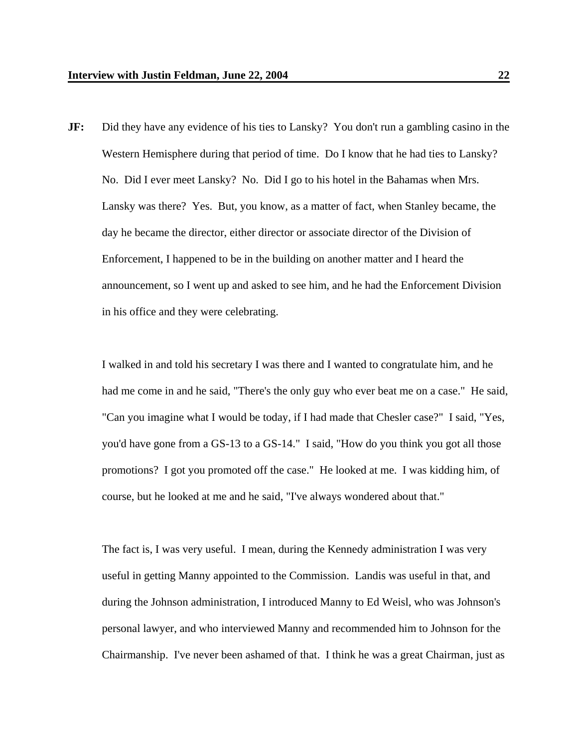**JF:** Did they have any evidence of his ties to Lansky? You don't run a gambling casino in the Western Hemisphere during that period of time. Do I know that he had ties to Lansky? No. Did I ever meet Lansky? No. Did I go to his hotel in the Bahamas when Mrs. Lansky was there? Yes. But, you know, as a matter of fact, when Stanley became, the day he became the director, either director or associate director of the Division of Enforcement, I happened to be in the building on another matter and I heard the announcement, so I went up and asked to see him, and he had the Enforcement Division in his office and they were celebrating.

I walked in and told his secretary I was there and I wanted to congratulate him, and he had me come in and he said, "There's the only guy who ever beat me on a case." He said, "Can you imagine what I would be today, if I had made that Chesler case?" I said, "Yes, you'd have gone from a GS-13 to a GS-14." I said, "How do you think you got all those promotions? I got you promoted off the case." He looked at me. I was kidding him, of course, but he looked at me and he said, "I've always wondered about that."

The fact is, I was very useful. I mean, during the Kennedy administration I was very useful in getting Manny appointed to the Commission. Landis was useful in that, and during the Johnson administration, I introduced Manny to Ed Weisl, who was Johnson's personal lawyer, and who interviewed Manny and recommended him to Johnson for the Chairmanship. I've never been ashamed of that. I think he was a great Chairman, just as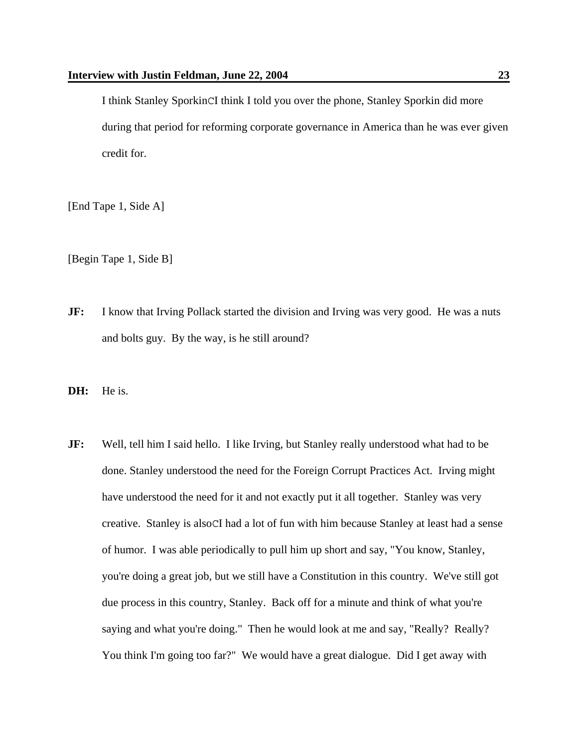I think Stanley SporkinCI think I told you over the phone, Stanley Sporkin did more during that period for reforming corporate governance in America than he was ever given credit for.

[End Tape 1, Side A]

[Begin Tape 1, Side B]

- **JF:** I know that Irving Pollack started the division and Irving was very good. He was a nuts and bolts guy. By the way, is he still around?
- **DH:** He is.
- **JF:** Well, tell him I said hello. I like Irving, but Stanley really understood what had to be done. Stanley understood the need for the Foreign Corrupt Practices Act. Irving might have understood the need for it and not exactly put it all together. Stanley was very creative. Stanley is alsoCI had a lot of fun with him because Stanley at least had a sense of humor. I was able periodically to pull him up short and say, "You know, Stanley, you're doing a great job, but we still have a Constitution in this country. We've still got due process in this country, Stanley. Back off for a minute and think of what you're saying and what you're doing." Then he would look at me and say, "Really? Really? You think I'm going too far?" We would have a great dialogue. Did I get away with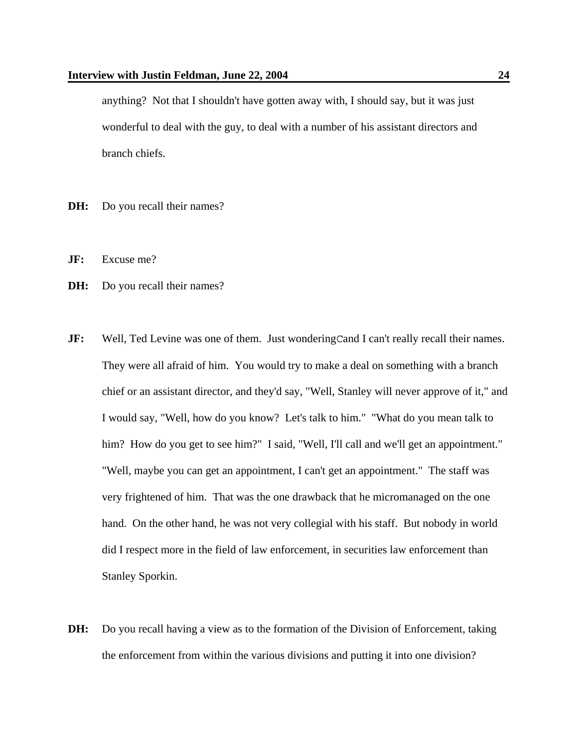anything? Not that I shouldn't have gotten away with, I should say, but it was just wonderful to deal with the guy, to deal with a number of his assistant directors and branch chiefs.

- **DH:** Do you recall their names?
- **JF:** Excuse me?
- **DH:** Do you recall their names?
- **JF:** Well, Ted Levine was one of them. Just wondering Cand I can't really recall their names. They were all afraid of him. You would try to make a deal on something with a branch chief or an assistant director, and they'd say, "Well, Stanley will never approve of it," and I would say, "Well, how do you know? Let's talk to him." "What do you mean talk to him? How do you get to see him?" I said, "Well, I'll call and we'll get an appointment." "Well, maybe you can get an appointment, I can't get an appointment." The staff was very frightened of him. That was the one drawback that he micromanaged on the one hand. On the other hand, he was not very collegial with his staff. But nobody in world did I respect more in the field of law enforcement, in securities law enforcement than Stanley Sporkin.
- **DH:** Do you recall having a view as to the formation of the Division of Enforcement, taking the enforcement from within the various divisions and putting it into one division?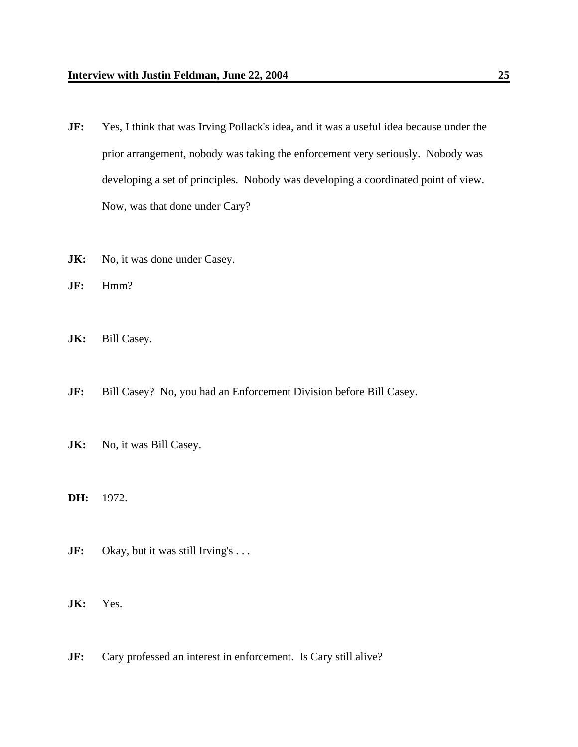- **JF:** Yes, I think that was Irving Pollack's idea, and it was a useful idea because under the prior arrangement, nobody was taking the enforcement very seriously. Nobody was developing a set of principles. Nobody was developing a coordinated point of view. Now, was that done under Cary?
- **JK:** No, it was done under Casey.
- **JF:** Hmm?
- **JK:** Bill Casey.
- **JF:** Bill Casey? No, you had an Enforcement Division before Bill Casey.
- **JK:** No, it was Bill Casey.
- **DH:** 1972.
- **JF:** Okay, but it was still Irving's . . .
- **JK:** Yes.
- **JF:** Cary professed an interest in enforcement. Is Cary still alive?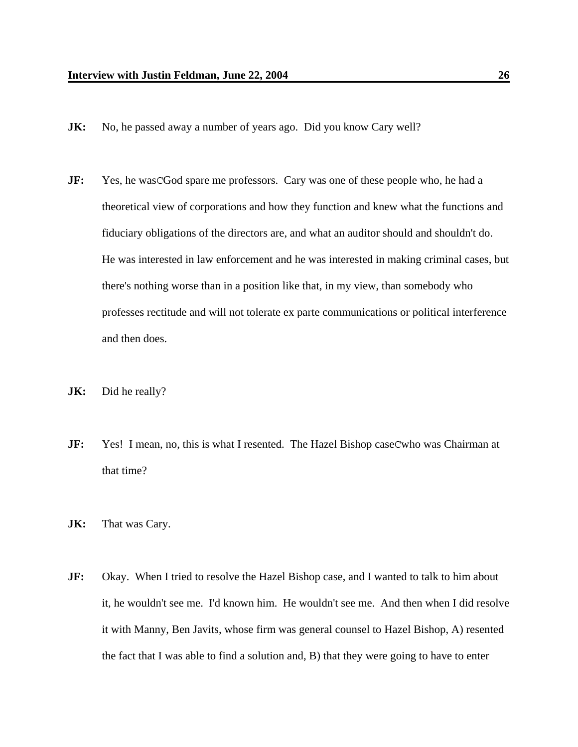- **JK:** No, he passed away a number of years ago. Did you know Cary well?
- **JF:** Yes, he was CGod spare me professors. Cary was one of these people who, he had a theoretical view of corporations and how they function and knew what the functions and fiduciary obligations of the directors are, and what an auditor should and shouldn't do. He was interested in law enforcement and he was interested in making criminal cases, but there's nothing worse than in a position like that, in my view, than somebody who professes rectitude and will not tolerate ex parte communications or political interference and then does.
- **JK:** Did he really?
- **JF:** Yes! I mean, no, this is what I resented. The Hazel Bishop caseCwho was Chairman at that time?
- **JK:** That was Cary.
- **JF:** Okay. When I tried to resolve the Hazel Bishop case, and I wanted to talk to him about it, he wouldn't see me. I'd known him. He wouldn't see me. And then when I did resolve it with Manny, Ben Javits, whose firm was general counsel to Hazel Bishop, A) resented the fact that I was able to find a solution and, B) that they were going to have to enter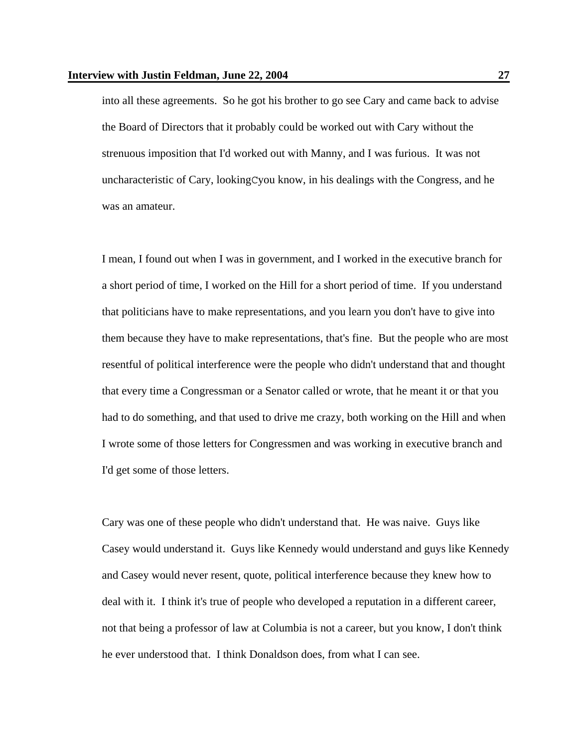into all these agreements. So he got his brother to go see Cary and came back to advise the Board of Directors that it probably could be worked out with Cary without the strenuous imposition that I'd worked out with Manny, and I was furious. It was not uncharacteristic of Cary, lookingCyou know, in his dealings with the Congress, and he was an amateur.

I mean, I found out when I was in government, and I worked in the executive branch for a short period of time, I worked on the Hill for a short period of time. If you understand that politicians have to make representations, and you learn you don't have to give into them because they have to make representations, that's fine. But the people who are most resentful of political interference were the people who didn't understand that and thought that every time a Congressman or a Senator called or wrote, that he meant it or that you had to do something, and that used to drive me crazy, both working on the Hill and when I wrote some of those letters for Congressmen and was working in executive branch and I'd get some of those letters.

Cary was one of these people who didn't understand that. He was naive. Guys like Casey would understand it. Guys like Kennedy would understand and guys like Kennedy and Casey would never resent, quote, political interference because they knew how to deal with it. I think it's true of people who developed a reputation in a different career, not that being a professor of law at Columbia is not a career, but you know, I don't think he ever understood that. I think Donaldson does, from what I can see.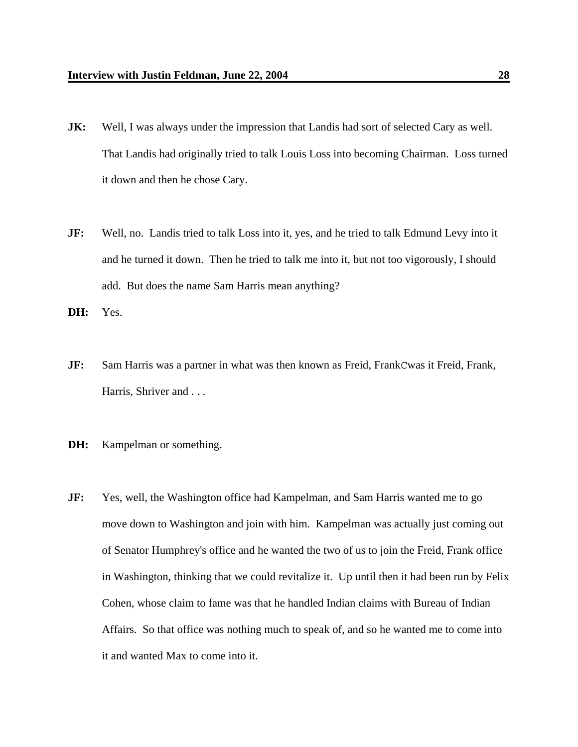- **JK:** Well, I was always under the impression that Landis had sort of selected Cary as well. That Landis had originally tried to talk Louis Loss into becoming Chairman. Loss turned it down and then he chose Cary.
- **JF:** Well, no. Landis tried to talk Loss into it, yes, and he tried to talk Edmund Levy into it and he turned it down. Then he tried to talk me into it, but not too vigorously, I should add. But does the name Sam Harris mean anything?

**DH:** Yes.

- **JF:** Sam Harris was a partner in what was then known as Freid, FrankCwas it Freid, Frank, Harris, Shriver and . . .
- **DH:** Kampelman or something.
- **JF:** Yes, well, the Washington office had Kampelman, and Sam Harris wanted me to go move down to Washington and join with him. Kampelman was actually just coming out of Senator Humphrey's office and he wanted the two of us to join the Freid, Frank office in Washington, thinking that we could revitalize it. Up until then it had been run by Felix Cohen, whose claim to fame was that he handled Indian claims with Bureau of Indian Affairs. So that office was nothing much to speak of, and so he wanted me to come into it and wanted Max to come into it.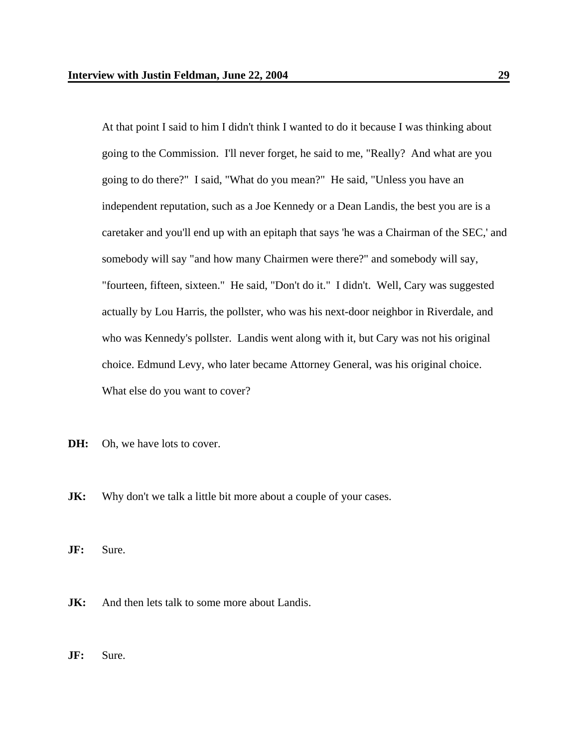At that point I said to him I didn't think I wanted to do it because I was thinking about going to the Commission. I'll never forget, he said to me, "Really? And what are you going to do there?" I said, "What do you mean?" He said, "Unless you have an independent reputation, such as a Joe Kennedy or a Dean Landis, the best you are is a caretaker and you'll end up with an epitaph that says 'he was a Chairman of the SEC,' and somebody will say "and how many Chairmen were there?" and somebody will say, "fourteen, fifteen, sixteen." He said, "Don't do it." I didn't. Well, Cary was suggested actually by Lou Harris, the pollster, who was his next-door neighbor in Riverdale, and who was Kennedy's pollster. Landis went along with it, but Cary was not his original choice. Edmund Levy, who later became Attorney General, was his original choice. What else do you want to cover?

- **DH:** Oh, we have lots to cover.
- **JK:** Why don't we talk a little bit more about a couple of your cases.
- **JF:** Sure.
- **JK:** And then lets talk to some more about Landis.
- **JF:** Sure.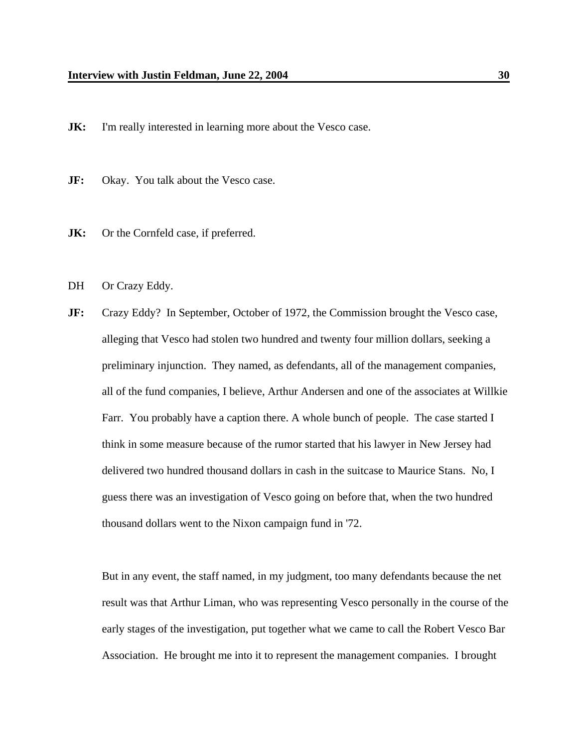**JK:** I'm really interested in learning more about the Vesco case.

- **JF:** Okay. You talk about the Vesco case.
- **JK:** Or the Cornfeld case, if preferred.
- DH Or Crazy Eddy.
- **JF:** Crazy Eddy? In September, October of 1972, the Commission brought the Vesco case, alleging that Vesco had stolen two hundred and twenty four million dollars, seeking a preliminary injunction. They named, as defendants, all of the management companies, all of the fund companies, I believe, Arthur Andersen and one of the associates at Willkie Farr. You probably have a caption there. A whole bunch of people. The case started I think in some measure because of the rumor started that his lawyer in New Jersey had delivered two hundred thousand dollars in cash in the suitcase to Maurice Stans. No, I guess there was an investigation of Vesco going on before that, when the two hundred thousand dollars went to the Nixon campaign fund in '72.

But in any event, the staff named, in my judgment, too many defendants because the net result was that Arthur Liman, who was representing Vesco personally in the course of the early stages of the investigation, put together what we came to call the Robert Vesco Bar Association. He brought me into it to represent the management companies. I brought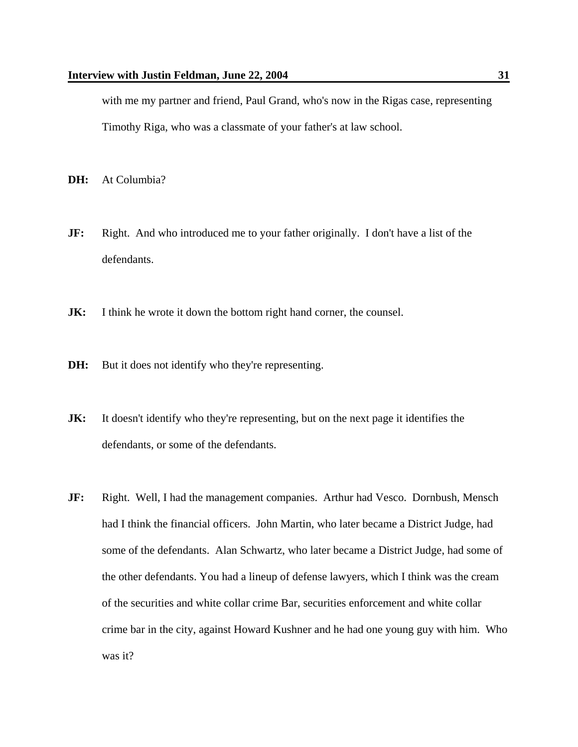with me my partner and friend, Paul Grand, who's now in the Rigas case, representing Timothy Riga, who was a classmate of your father's at law school.

**DH:** At Columbia?

- **JF:** Right. And who introduced me to your father originally. I don't have a list of the defendants.
- **JK:** I think he wrote it down the bottom right hand corner, the counsel.
- **DH:** But it does not identify who they're representing.
- **JK:** It doesn't identify who they're representing, but on the next page it identifies the defendants, or some of the defendants.
- **JF:** Right. Well, I had the management companies. Arthur had Vesco. Dornbush, Mensch had I think the financial officers. John Martin, who later became a District Judge, had some of the defendants. Alan Schwartz, who later became a District Judge, had some of the other defendants. You had a lineup of defense lawyers, which I think was the cream of the securities and white collar crime Bar, securities enforcement and white collar crime bar in the city, against Howard Kushner and he had one young guy with him. Who was it?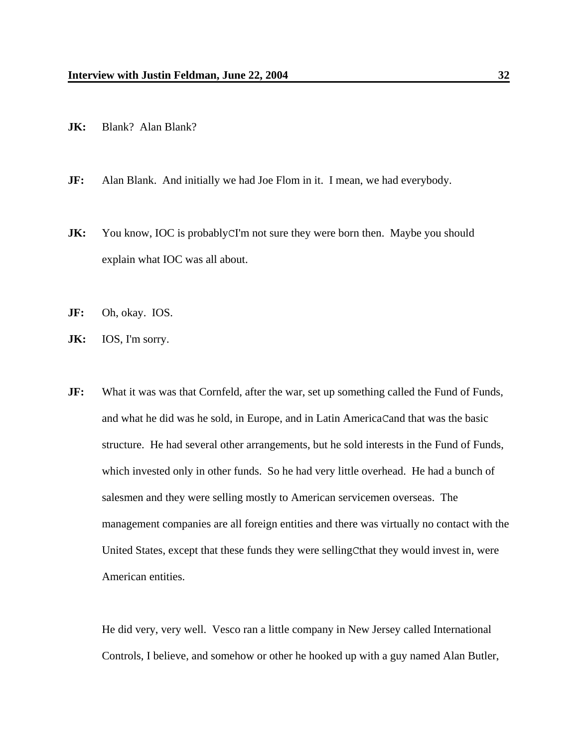- **JK:** Blank? Alan Blank?
- **JF:** Alan Blank. And initially we had Joe Flom in it. I mean, we had everybody.
- **JK:** You know, IOC is probably CI'm not sure they were born then. Maybe you should explain what IOC was all about.
- **JF:** Oh, okay. IOS.
- **JK:** IOS, I'm sorry.
- **JF:** What it was was that Cornfeld, after the war, set up something called the Fund of Funds, and what he did was he sold, in Europe, and in Latin AmericaCand that was the basic structure. He had several other arrangements, but he sold interests in the Fund of Funds, which invested only in other funds. So he had very little overhead. He had a bunch of salesmen and they were selling mostly to American servicemen overseas. The management companies are all foreign entities and there was virtually no contact with the United States, except that these funds they were sellingCthat they would invest in, were American entities.

He did very, very well. Vesco ran a little company in New Jersey called International Controls, I believe, and somehow or other he hooked up with a guy named Alan Butler,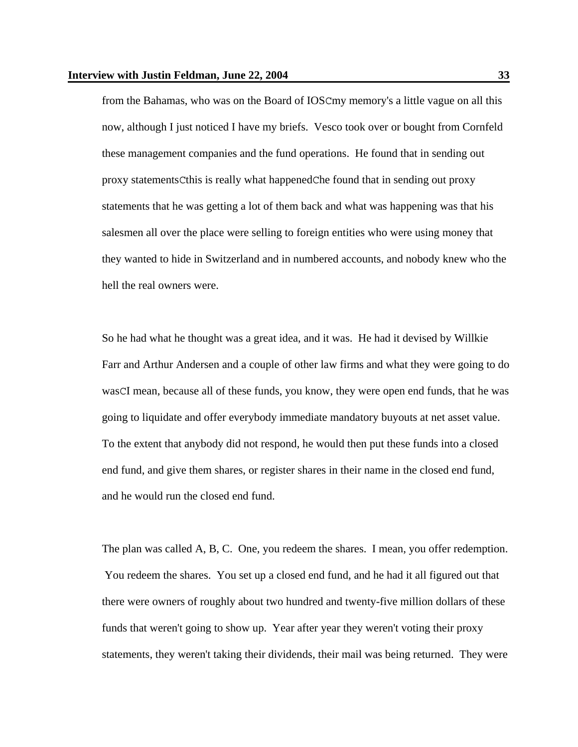from the Bahamas, who was on the Board of IOSCmy memory's a little vague on all this now, although I just noticed I have my briefs. Vesco took over or bought from Cornfeld these management companies and the fund operations. He found that in sending out proxy statementsCthis is really what happenedChe found that in sending out proxy statements that he was getting a lot of them back and what was happening was that his salesmen all over the place were selling to foreign entities who were using money that they wanted to hide in Switzerland and in numbered accounts, and nobody knew who the hell the real owners were.

So he had what he thought was a great idea, and it was. He had it devised by Willkie Farr and Arthur Andersen and a couple of other law firms and what they were going to do wasCI mean, because all of these funds, you know, they were open end funds, that he was going to liquidate and offer everybody immediate mandatory buyouts at net asset value. To the extent that anybody did not respond, he would then put these funds into a closed end fund, and give them shares, or register shares in their name in the closed end fund, and he would run the closed end fund.

The plan was called A, B, C. One, you redeem the shares. I mean, you offer redemption. You redeem the shares. You set up a closed end fund, and he had it all figured out that there were owners of roughly about two hundred and twenty-five million dollars of these funds that weren't going to show up. Year after year they weren't voting their proxy statements, they weren't taking their dividends, their mail was being returned. They were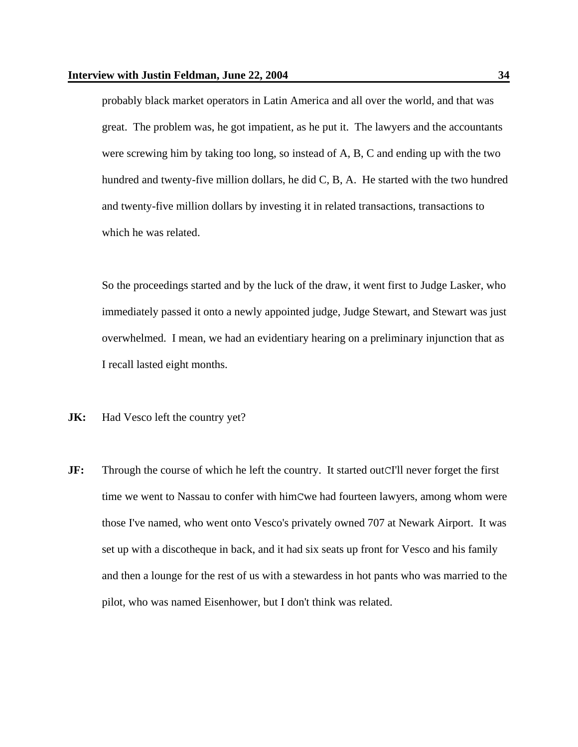probably black market operators in Latin America and all over the world, and that was great. The problem was, he got impatient, as he put it. The lawyers and the accountants were screwing him by taking too long, so instead of A, B, C and ending up with the two hundred and twenty-five million dollars, he did C, B, A. He started with the two hundred and twenty-five million dollars by investing it in related transactions, transactions to which he was related.

So the proceedings started and by the luck of the draw, it went first to Judge Lasker, who immediately passed it onto a newly appointed judge, Judge Stewart, and Stewart was just overwhelmed. I mean, we had an evidentiary hearing on a preliminary injunction that as I recall lasted eight months.

- **JK:** Had Vesco left the country yet?
- **JF:** Through the course of which he left the country. It started out CI'll never forget the first time we went to Nassau to confer with himCwe had fourteen lawyers, among whom were those I've named, who went onto Vesco's privately owned 707 at Newark Airport. It was set up with a discotheque in back, and it had six seats up front for Vesco and his family and then a lounge for the rest of us with a stewardess in hot pants who was married to the pilot, who was named Eisenhower, but I don't think was related.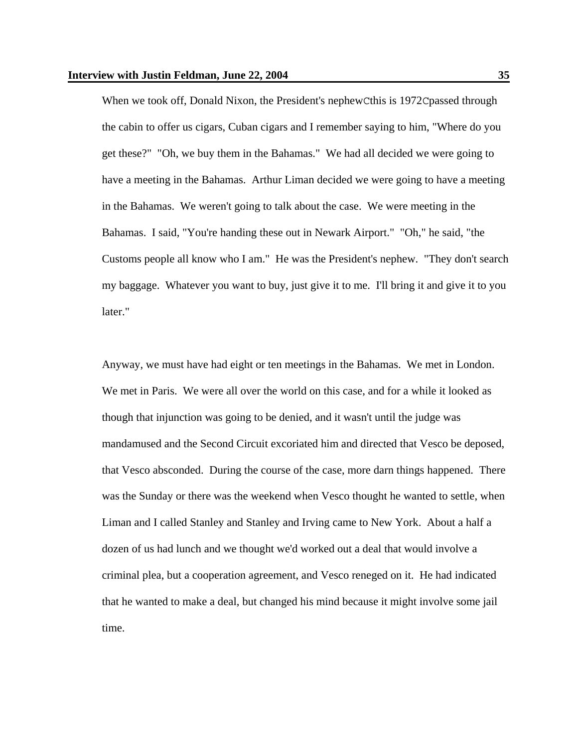When we took off, Donald Nixon, the President's nephewCthis is 1972Cpassed through the cabin to offer us cigars, Cuban cigars and I remember saying to him, "Where do you get these?" "Oh, we buy them in the Bahamas." We had all decided we were going to have a meeting in the Bahamas. Arthur Liman decided we were going to have a meeting in the Bahamas. We weren't going to talk about the case. We were meeting in the Bahamas. I said, "You're handing these out in Newark Airport." "Oh," he said, "the Customs people all know who I am." He was the President's nephew. "They don't search my baggage. Whatever you want to buy, just give it to me. I'll bring it and give it to you later."

Anyway, we must have had eight or ten meetings in the Bahamas. We met in London. We met in Paris. We were all over the world on this case, and for a while it looked as though that injunction was going to be denied, and it wasn't until the judge was mandamused and the Second Circuit excoriated him and directed that Vesco be deposed, that Vesco absconded. During the course of the case, more darn things happened. There was the Sunday or there was the weekend when Vesco thought he wanted to settle, when Liman and I called Stanley and Stanley and Irving came to New York. About a half a dozen of us had lunch and we thought we'd worked out a deal that would involve a criminal plea, but a cooperation agreement, and Vesco reneged on it. He had indicated that he wanted to make a deal, but changed his mind because it might involve some jail time.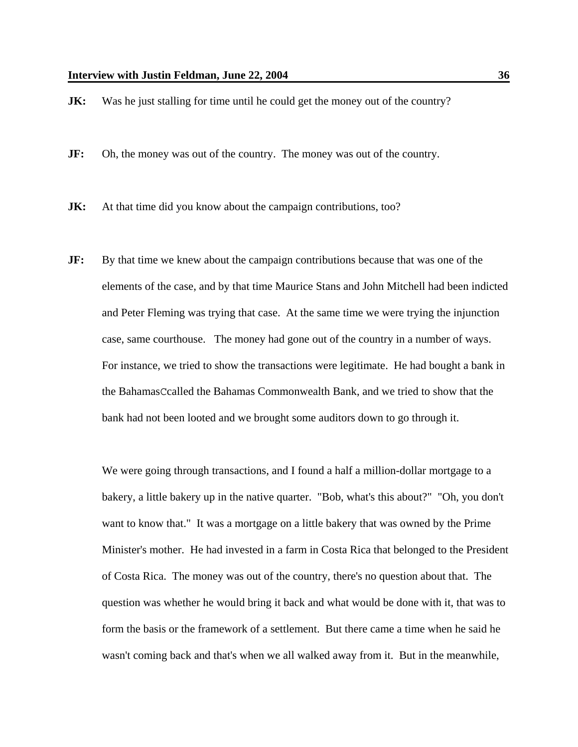**JK:** Was he just stalling for time until he could get the money out of the country?

**JF:** Oh, the money was out of the country. The money was out of the country.

**JK:** At that time did you know about the campaign contributions, too?

**JF:** By that time we knew about the campaign contributions because that was one of the elements of the case, and by that time Maurice Stans and John Mitchell had been indicted and Peter Fleming was trying that case. At the same time we were trying the injunction case, same courthouse. The money had gone out of the country in a number of ways. For instance, we tried to show the transactions were legitimate. He had bought a bank in the BahamasCcalled the Bahamas Commonwealth Bank, and we tried to show that the bank had not been looted and we brought some auditors down to go through it.

We were going through transactions, and I found a half a million-dollar mortgage to a bakery, a little bakery up in the native quarter. "Bob, what's this about?" "Oh, you don't want to know that." It was a mortgage on a little bakery that was owned by the Prime Minister's mother. He had invested in a farm in Costa Rica that belonged to the President of Costa Rica. The money was out of the country, there's no question about that. The question was whether he would bring it back and what would be done with it, that was to form the basis or the framework of a settlement. But there came a time when he said he wasn't coming back and that's when we all walked away from it. But in the meanwhile,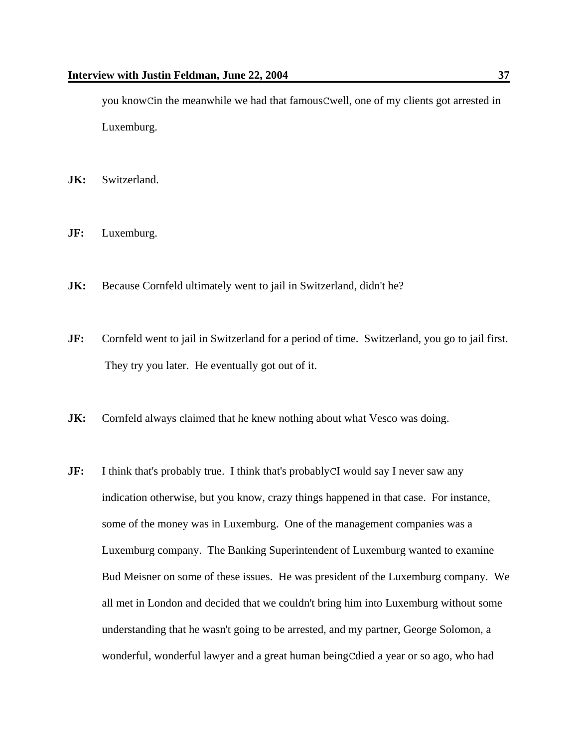you knowCin the meanwhile we had that famousCwell, one of my clients got arrested in Luxemburg.

- **JK:** Switzerland.
- **JF:** Luxemburg.
- **JK:** Because Cornfeld ultimately went to jail in Switzerland, didn't he?
- **JF:** Cornfeld went to jail in Switzerland for a period of time. Switzerland, you go to jail first. They try you later. He eventually got out of it.
- **JK:** Cornfeld always claimed that he knew nothing about what Vesco was doing.
- **JF:** I think that's probably true. I think that's probably CI would say I never saw any indication otherwise, but you know, crazy things happened in that case. For instance, some of the money was in Luxemburg. One of the management companies was a Luxemburg company. The Banking Superintendent of Luxemburg wanted to examine Bud Meisner on some of these issues. He was president of the Luxemburg company. We all met in London and decided that we couldn't bring him into Luxemburg without some understanding that he wasn't going to be arrested, and my partner, George Solomon, a wonderful, wonderful lawyer and a great human beingCdied a year or so ago, who had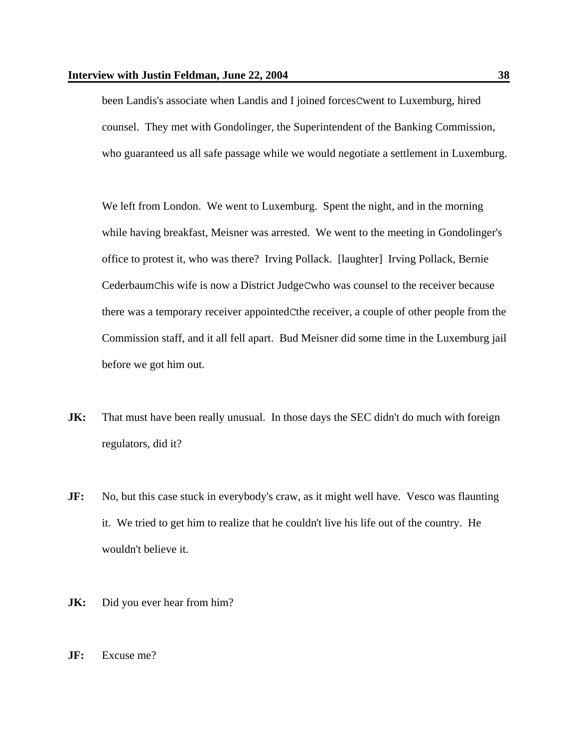been Landis's associate when Landis and I joined forcesCwent to Luxemburg, hired counsel. They met with Gondolinger, the Superintendent of the Banking Commission, who guaranteed us all safe passage while we would negotiate a settlement in Luxemburg.

We left from London. We went to Luxemburg. Spent the night, and in the morning while having breakfast, Meisner was arrested. We went to the meeting in Gondolinger's office to protest it, who was there? Irving Pollack. [laughter] Irving Pollack, Bernie CederbaumChis wife is now a District JudgeCwho was counsel to the receiver because there was a temporary receiver appointedCthe receiver, a couple of other people from the Commission staff, and it all fell apart. Bud Meisner did some time in the Luxemburg jail before we got him out.

- **JK:** That must have been really unusual. In those days the SEC didn't do much with foreign regulators, did it?
- **JF:** No, but this case stuck in everybody's craw, as it might well have. Vesco was flaunting it. We tried to get him to realize that he couldn't live his life out of the country. He wouldn't believe it.
- **JK:** Did you ever hear from him?
- **JF:** Excuse me?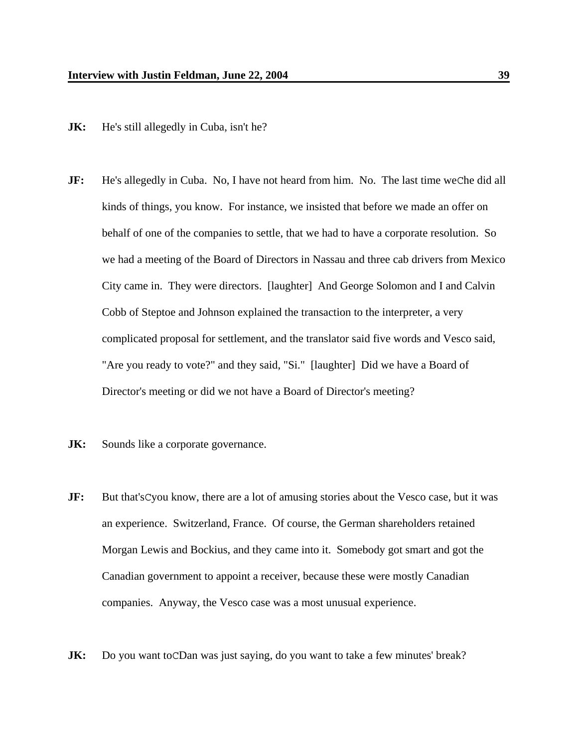- **JK:** He's still allegedly in Cuba, isn't he?
- **JF:** He's allegedly in Cuba. No, I have not heard from him. No. The last time weChe did all kinds of things, you know. For instance, we insisted that before we made an offer on behalf of one of the companies to settle, that we had to have a corporate resolution. So we had a meeting of the Board of Directors in Nassau and three cab drivers from Mexico City came in. They were directors. [laughter] And George Solomon and I and Calvin Cobb of Steptoe and Johnson explained the transaction to the interpreter, a very complicated proposal for settlement, and the translator said five words and Vesco said, "Are you ready to vote?" and they said, "Si." [laughter] Did we have a Board of Director's meeting or did we not have a Board of Director's meeting?
- **JK:** Sounds like a corporate governance.
- **JF:** But that's Cyou know, there are a lot of amusing stories about the Vesco case, but it was an experience. Switzerland, France. Of course, the German shareholders retained Morgan Lewis and Bockius, and they came into it. Somebody got smart and got the Canadian government to appoint a receiver, because these were mostly Canadian companies. Anyway, the Vesco case was a most unusual experience.
- **JK:** Do you want to CDan was just saying, do you want to take a few minutes' break?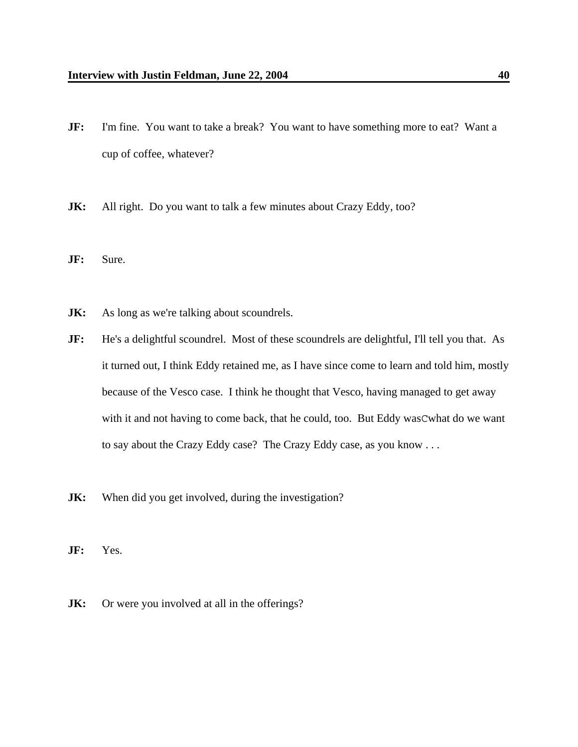- **JF:** I'm fine. You want to take a break? You want to have something more to eat? Want a cup of coffee, whatever?
- **JK:** All right. Do you want to talk a few minutes about Crazy Eddy, too?
- **JF:** Sure.
- **JK:** As long as we're talking about scoundrels.
- **JF:** He's a delightful scoundrel. Most of these scoundrels are delightful, I'll tell you that. As it turned out, I think Eddy retained me, as I have since come to learn and told him, mostly because of the Vesco case. I think he thought that Vesco, having managed to get away with it and not having to come back, that he could, too. But Eddy wasCwhat do we want to say about the Crazy Eddy case? The Crazy Eddy case, as you know . . .
- **JK:** When did you get involved, during the investigation?
- **JF:** Yes.
- **JK:** Or were you involved at all in the offerings?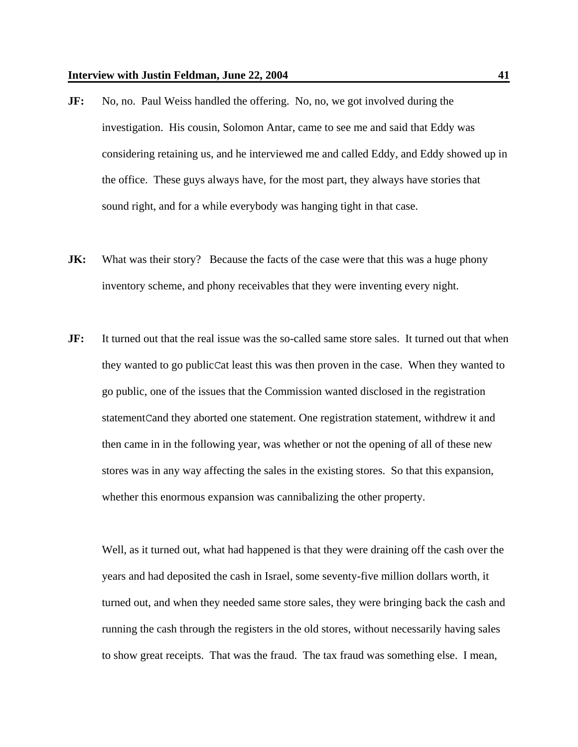- **JF:** No, no. Paul Weiss handled the offering. No, no, we got involved during the investigation. His cousin, Solomon Antar, came to see me and said that Eddy was considering retaining us, and he interviewed me and called Eddy, and Eddy showed up in the office. These guys always have, for the most part, they always have stories that sound right, and for a while everybody was hanging tight in that case.
- **JK:** What was their story? Because the facts of the case were that this was a huge phony inventory scheme, and phony receivables that they were inventing every night.
- **JF:** It turned out that the real issue was the so-called same store sales. It turned out that when they wanted to go publicCat least this was then proven in the case. When they wanted to go public, one of the issues that the Commission wanted disclosed in the registration statementCand they aborted one statement. One registration statement, withdrew it and then came in in the following year, was whether or not the opening of all of these new stores was in any way affecting the sales in the existing stores. So that this expansion, whether this enormous expansion was cannibalizing the other property.

Well, as it turned out, what had happened is that they were draining off the cash over the years and had deposited the cash in Israel, some seventy-five million dollars worth, it turned out, and when they needed same store sales, they were bringing back the cash and running the cash through the registers in the old stores, without necessarily having sales to show great receipts. That was the fraud. The tax fraud was something else. I mean,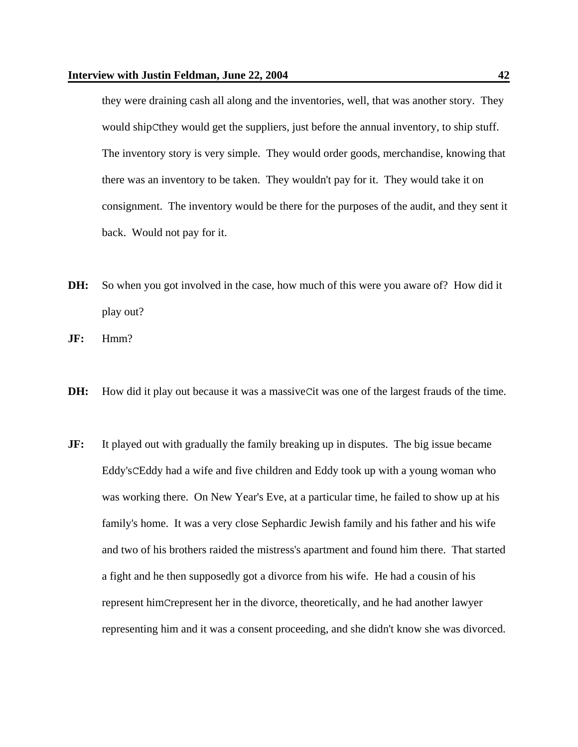they were draining cash all along and the inventories, well, that was another story. They would shipCthey would get the suppliers, just before the annual inventory, to ship stuff. The inventory story is very simple. They would order goods, merchandise, knowing that there was an inventory to be taken. They wouldn't pay for it. They would take it on consignment. The inventory would be there for the purposes of the audit, and they sent it back. Would not pay for it.

- **DH:** So when you got involved in the case, how much of this were you aware of? How did it play out?
- **JF:** Hmm?
- **DH:** How did it play out because it was a massive Cit was one of the largest frauds of the time.
- **JF:** It played out with gradually the family breaking up in disputes. The big issue became Eddy'sCEddy had a wife and five children and Eddy took up with a young woman who was working there. On New Year's Eve, at a particular time, he failed to show up at his family's home. It was a very close Sephardic Jewish family and his father and his wife and two of his brothers raided the mistress's apartment and found him there. That started a fight and he then supposedly got a divorce from his wife. He had a cousin of his represent himCrepresent her in the divorce, theoretically, and he had another lawyer representing him and it was a consent proceeding, and she didn't know she was divorced.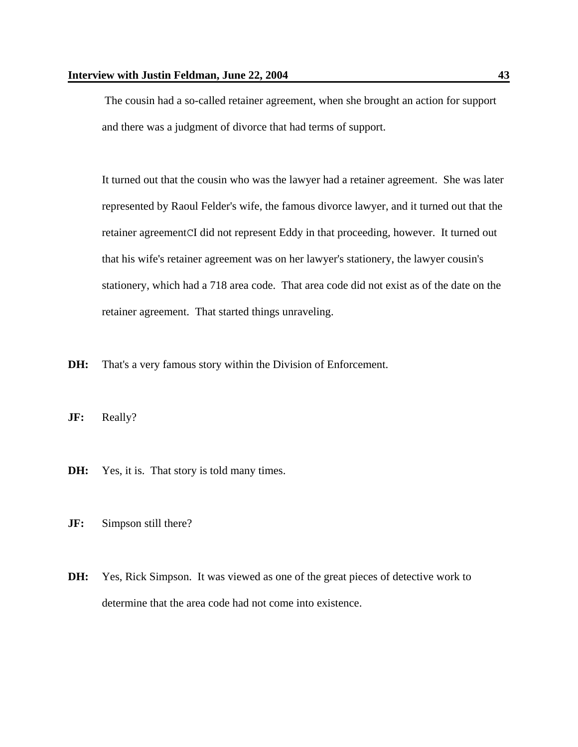The cousin had a so-called retainer agreement, when she brought an action for support and there was a judgment of divorce that had terms of support.

It turned out that the cousin who was the lawyer had a retainer agreement. She was later represented by Raoul Felder's wife, the famous divorce lawyer, and it turned out that the retainer agreementCI did not represent Eddy in that proceeding, however. It turned out that his wife's retainer agreement was on her lawyer's stationery, the lawyer cousin's stationery, which had a 718 area code. That area code did not exist as of the date on the retainer agreement. That started things unraveling.

**DH:** That's a very famous story within the Division of Enforcement.

**JF:** Really?

- **DH:** Yes, it is. That story is told many times.
- **JF:** Simpson still there?
- **DH:** Yes, Rick Simpson. It was viewed as one of the great pieces of detective work to determine that the area code had not come into existence.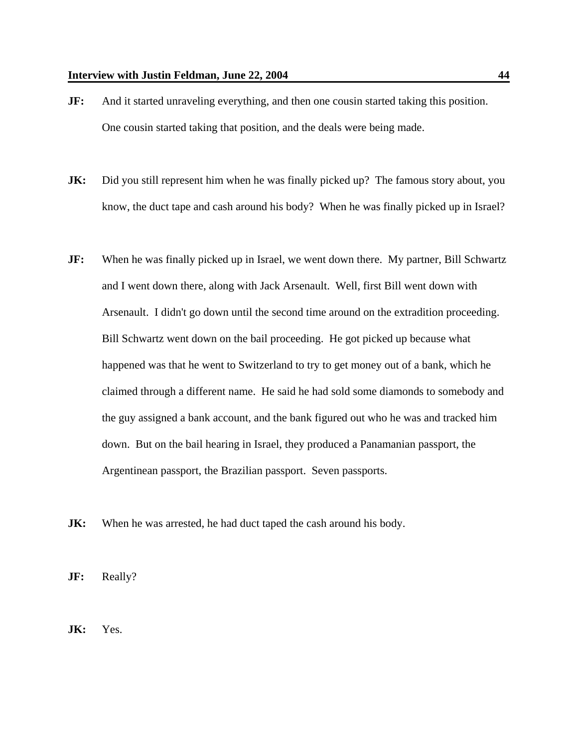- **JF:** And it started unraveling everything, and then one cousin started taking this position. One cousin started taking that position, and the deals were being made.
- **JK:** Did you still represent him when he was finally picked up? The famous story about, you know, the duct tape and cash around his body? When he was finally picked up in Israel?
- **JF:** When he was finally picked up in Israel, we went down there. My partner, Bill Schwartz and I went down there, along with Jack Arsenault. Well, first Bill went down with Arsenault. I didn't go down until the second time around on the extradition proceeding. Bill Schwartz went down on the bail proceeding. He got picked up because what happened was that he went to Switzerland to try to get money out of a bank, which he claimed through a different name. He said he had sold some diamonds to somebody and the guy assigned a bank account, and the bank figured out who he was and tracked him down. But on the bail hearing in Israel, they produced a Panamanian passport, the Argentinean passport, the Brazilian passport. Seven passports.
- **JK:** When he was arrested, he had duct taped the cash around his body.

**JF:** Really?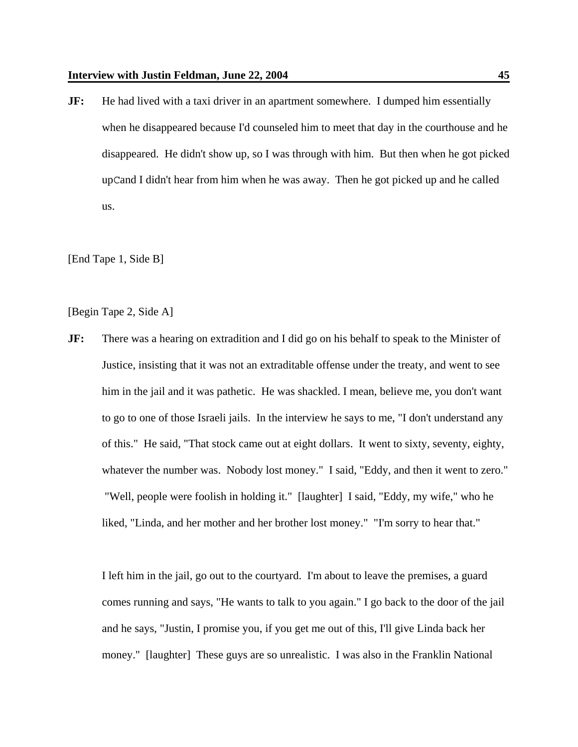**JF:** He had lived with a taxi driver in an apartment somewhere. I dumped him essentially when he disappeared because I'd counseled him to meet that day in the courthouse and he disappeared. He didn't show up, so I was through with him. But then when he got picked upCand I didn't hear from him when he was away. Then he got picked up and he called us.

[End Tape 1, Side B]

[Begin Tape 2, Side A]

**JF:** There was a hearing on extradition and I did go on his behalf to speak to the Minister of Justice, insisting that it was not an extraditable offense under the treaty, and went to see him in the jail and it was pathetic. He was shackled. I mean, believe me, you don't want to go to one of those Israeli jails. In the interview he says to me, "I don't understand any of this." He said, "That stock came out at eight dollars. It went to sixty, seventy, eighty, whatever the number was. Nobody lost money." I said, "Eddy, and then it went to zero." "Well, people were foolish in holding it." [laughter] I said, "Eddy, my wife," who he liked, "Linda, and her mother and her brother lost money." "I'm sorry to hear that."

I left him in the jail, go out to the courtyard. I'm about to leave the premises, a guard comes running and says, "He wants to talk to you again." I go back to the door of the jail and he says, "Justin, I promise you, if you get me out of this, I'll give Linda back her money." [laughter] These guys are so unrealistic. I was also in the Franklin National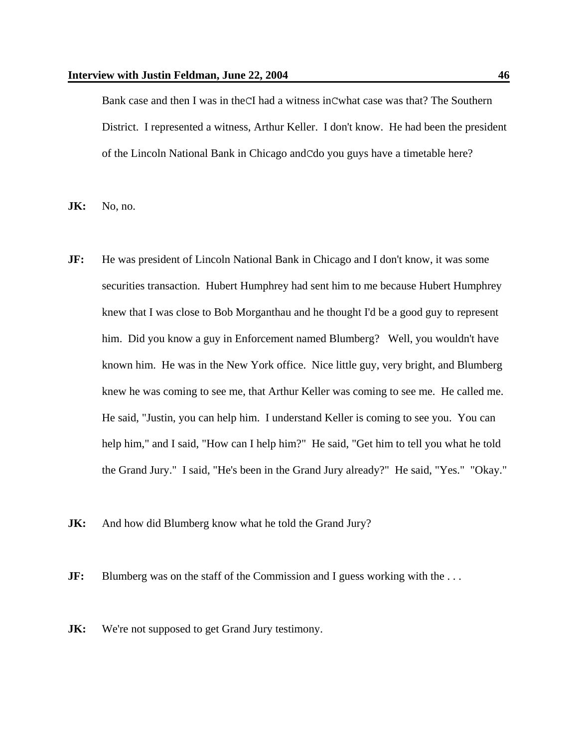Bank case and then I was in theCI had a witness inCwhat case was that? The Southern District. I represented a witness, Arthur Keller. I don't know. He had been the president of the Lincoln National Bank in Chicago andCdo you guys have a timetable here?

**JK:** No, no.

- **JF:** He was president of Lincoln National Bank in Chicago and I don't know, it was some securities transaction. Hubert Humphrey had sent him to me because Hubert Humphrey knew that I was close to Bob Morganthau and he thought I'd be a good guy to represent him. Did you know a guy in Enforcement named Blumberg? Well, you wouldn't have known him. He was in the New York office. Nice little guy, very bright, and Blumberg knew he was coming to see me, that Arthur Keller was coming to see me. He called me. He said, "Justin, you can help him. I understand Keller is coming to see you. You can help him," and I said, "How can I help him?" He said, "Get him to tell you what he told the Grand Jury." I said, "He's been in the Grand Jury already?" He said, "Yes." "Okay."
- **JK:** And how did Blumberg know what he told the Grand Jury?

**JF:** Blumberg was on the staff of the Commission and I guess working with the ...

**JK:** We're not supposed to get Grand Jury testimony.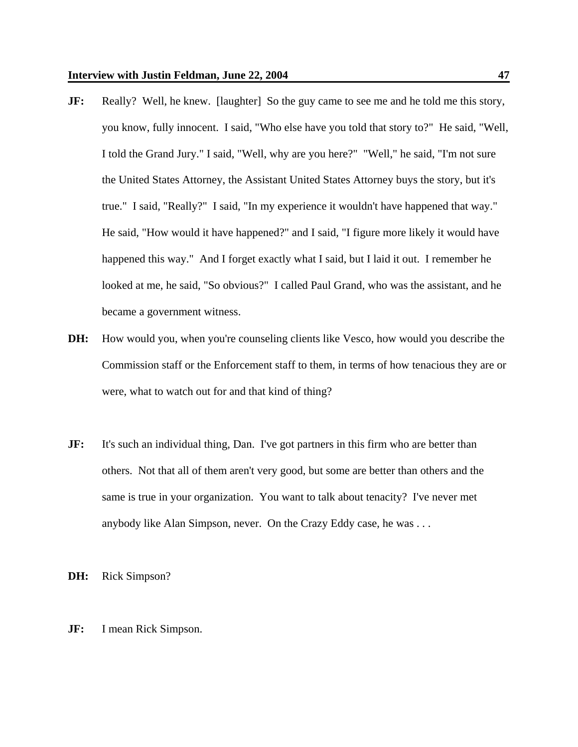- **JF:** Really? Well, he knew. [laughter] So the guy came to see me and he told me this story, you know, fully innocent. I said, "Who else have you told that story to?" He said, "Well, I told the Grand Jury." I said, "Well, why are you here?" "Well," he said, "I'm not sure the United States Attorney, the Assistant United States Attorney buys the story, but it's true." I said, "Really?" I said, "In my experience it wouldn't have happened that way." He said, "How would it have happened?" and I said, "I figure more likely it would have happened this way." And I forget exactly what I said, but I laid it out. I remember he looked at me, he said, "So obvious?" I called Paul Grand, who was the assistant, and he became a government witness.
- **DH:** How would you, when you're counseling clients like Vesco, how would you describe the Commission staff or the Enforcement staff to them, in terms of how tenacious they are or were, what to watch out for and that kind of thing?
- **JF:** It's such an individual thing, Dan. I've got partners in this firm who are better than others. Not that all of them aren't very good, but some are better than others and the same is true in your organization. You want to talk about tenacity? I've never met anybody like Alan Simpson, never. On the Crazy Eddy case, he was . . .

**DH:** Rick Simpson?

**JF:** I mean Rick Simpson.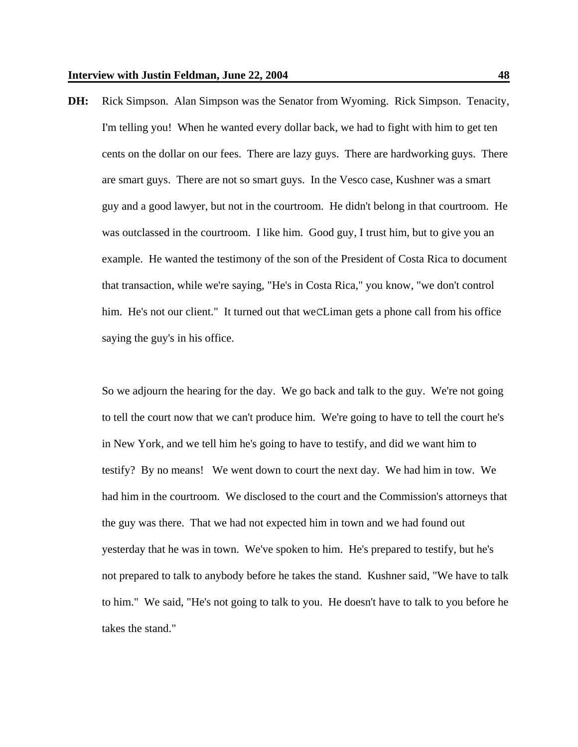**DH:** Rick Simpson. Alan Simpson was the Senator from Wyoming. Rick Simpson. Tenacity, I'm telling you! When he wanted every dollar back, we had to fight with him to get ten cents on the dollar on our fees. There are lazy guys. There are hardworking guys. There are smart guys. There are not so smart guys. In the Vesco case, Kushner was a smart guy and a good lawyer, but not in the courtroom. He didn't belong in that courtroom. He was outclassed in the courtroom. I like him. Good guy, I trust him, but to give you an example. He wanted the testimony of the son of the President of Costa Rica to document that transaction, while we're saying, "He's in Costa Rica," you know, "we don't control him. He's not our client." It turned out that we CLiman gets a phone call from his office saying the guy's in his office.

So we adjourn the hearing for the day. We go back and talk to the guy. We're not going to tell the court now that we can't produce him. We're going to have to tell the court he's in New York, and we tell him he's going to have to testify, and did we want him to testify? By no means! We went down to court the next day. We had him in tow. We had him in the courtroom. We disclosed to the court and the Commission's attorneys that the guy was there. That we had not expected him in town and we had found out yesterday that he was in town. We've spoken to him. He's prepared to testify, but he's not prepared to talk to anybody before he takes the stand. Kushner said, "We have to talk to him." We said, "He's not going to talk to you. He doesn't have to talk to you before he takes the stand."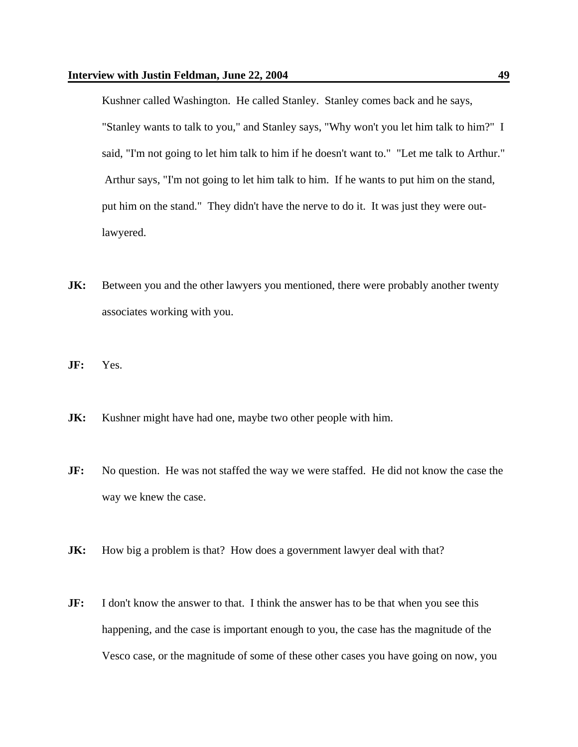Kushner called Washington. He called Stanley. Stanley comes back and he says, "Stanley wants to talk to you," and Stanley says, "Why won't you let him talk to him?" I said, "I'm not going to let him talk to him if he doesn't want to." "Let me talk to Arthur." Arthur says, "I'm not going to let him talk to him. If he wants to put him on the stand, put him on the stand." They didn't have the nerve to do it. It was just they were outlawyered.

- **JK:** Between you and the other lawyers you mentioned, there were probably another twenty associates working with you.
- **JF:** Yes.
- **JK:** Kushner might have had one, maybe two other people with him.
- **JF:** No question. He was not staffed the way we were staffed. He did not know the case the way we knew the case.
- **JK:** How big a problem is that? How does a government lawyer deal with that?
- **JF:** I don't know the answer to that. I think the answer has to be that when you see this happening, and the case is important enough to you, the case has the magnitude of the Vesco case, or the magnitude of some of these other cases you have going on now, you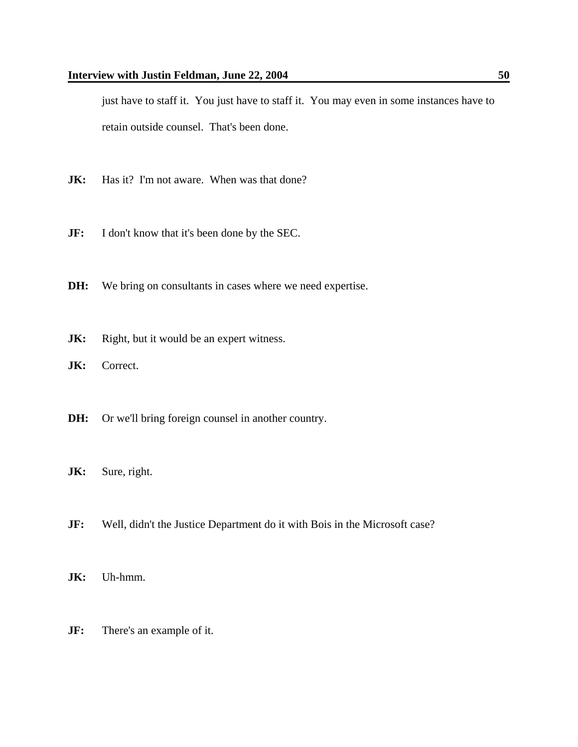just have to staff it. You just have to staff it. You may even in some instances have to retain outside counsel. That's been done.

- **JK:** Has it? I'm not aware. When was that done?
- **JF:** I don't know that it's been done by the SEC.
- **DH:** We bring on consultants in cases where we need expertise.
- **JK:** Right, but it would be an expert witness.
- **JK:** Correct.
- **DH:** Or we'll bring foreign counsel in another country.
- **JK:** Sure, right.
- **JF:** Well, didn't the Justice Department do it with Bois in the Microsoft case?
- **JK:** Uh-hmm.
- **JF:** There's an example of it.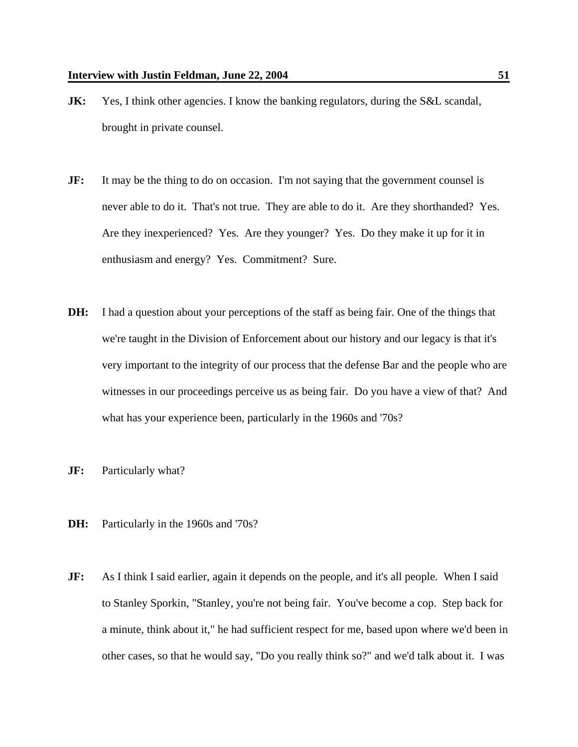- **JK:** Yes, I think other agencies. I know the banking regulators, during the S&L scandal, brought in private counsel.
- **JF:** It may be the thing to do on occasion. I'm not saying that the government counsel is never able to do it. That's not true. They are able to do it. Are they shorthanded? Yes. Are they inexperienced? Yes. Are they younger? Yes. Do they make it up for it in enthusiasm and energy? Yes. Commitment? Sure.
- **DH:** I had a question about your perceptions of the staff as being fair. One of the things that we're taught in the Division of Enforcement about our history and our legacy is that it's very important to the integrity of our process that the defense Bar and the people who are witnesses in our proceedings perceive us as being fair. Do you have a view of that? And what has your experience been, particularly in the 1960s and '70s?
- **JF:** Particularly what?
- **DH:** Particularly in the 1960s and '70s?
- **JF:** As I think I said earlier, again it depends on the people, and it's all people. When I said to Stanley Sporkin, "Stanley, you're not being fair. You've become a cop. Step back for a minute, think about it," he had sufficient respect for me, based upon where we'd been in other cases, so that he would say, "Do you really think so?" and we'd talk about it. I was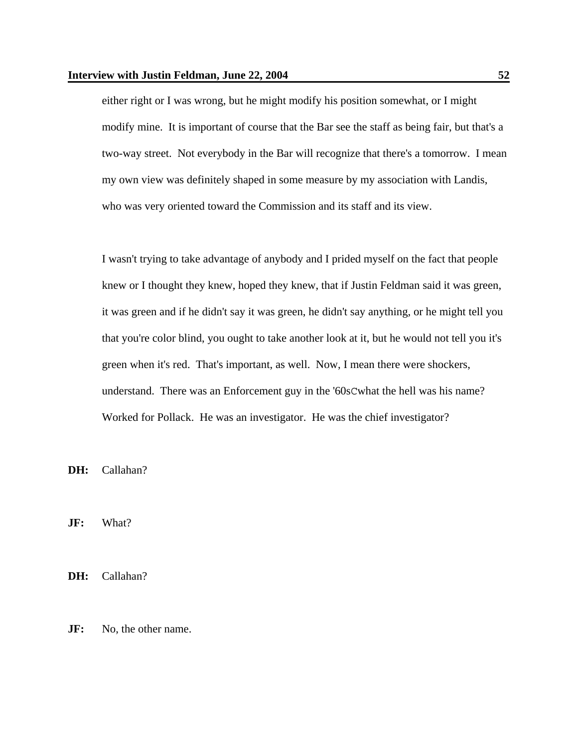either right or I was wrong, but he might modify his position somewhat, or I might modify mine. It is important of course that the Bar see the staff as being fair, but that's a two-way street. Not everybody in the Bar will recognize that there's a tomorrow. I mean my own view was definitely shaped in some measure by my association with Landis, who was very oriented toward the Commission and its staff and its view.

I wasn't trying to take advantage of anybody and I prided myself on the fact that people knew or I thought they knew, hoped they knew, that if Justin Feldman said it was green, it was green and if he didn't say it was green, he didn't say anything, or he might tell you that you're color blind, you ought to take another look at it, but he would not tell you it's green when it's red. That's important, as well. Now, I mean there were shockers, understand. There was an Enforcement guy in the '60sCwhat the hell was his name? Worked for Pollack. He was an investigator. He was the chief investigator?

**DH:** Callahan?

**JF:** What?

**DH:** Callahan?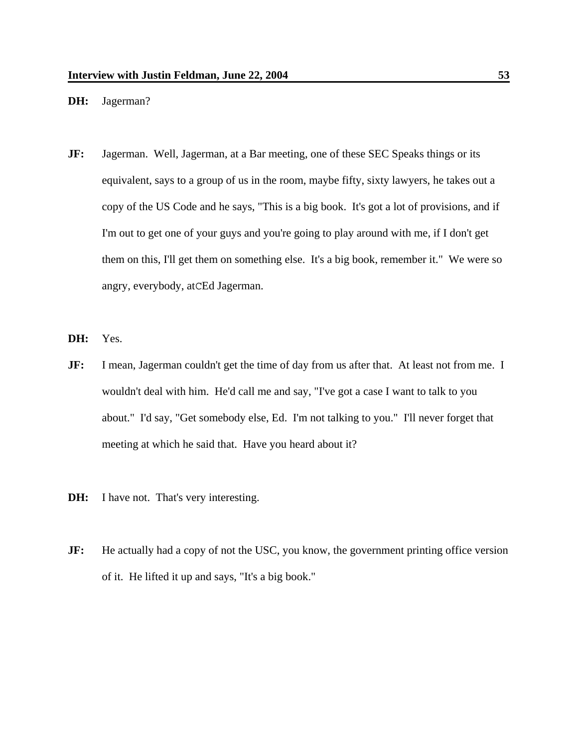## **DH:** Jagerman?

- **JF:** Jagerman. Well, Jagerman, at a Bar meeting, one of these SEC Speaks things or its equivalent, says to a group of us in the room, maybe fifty, sixty lawyers, he takes out a copy of the US Code and he says, "This is a big book. It's got a lot of provisions, and if I'm out to get one of your guys and you're going to play around with me, if I don't get them on this, I'll get them on something else. It's a big book, remember it." We were so angry, everybody, atCEd Jagerman.
- **DH:** Yes.
- **JF:** I mean, Jagerman couldn't get the time of day from us after that. At least not from me. I wouldn't deal with him. He'd call me and say, "I've got a case I want to talk to you about." I'd say, "Get somebody else, Ed. I'm not talking to you." I'll never forget that meeting at which he said that. Have you heard about it?
- **DH:** I have not. That's very interesting.
- **JF:** He actually had a copy of not the USC, you know, the government printing office version of it. He lifted it up and says, "It's a big book."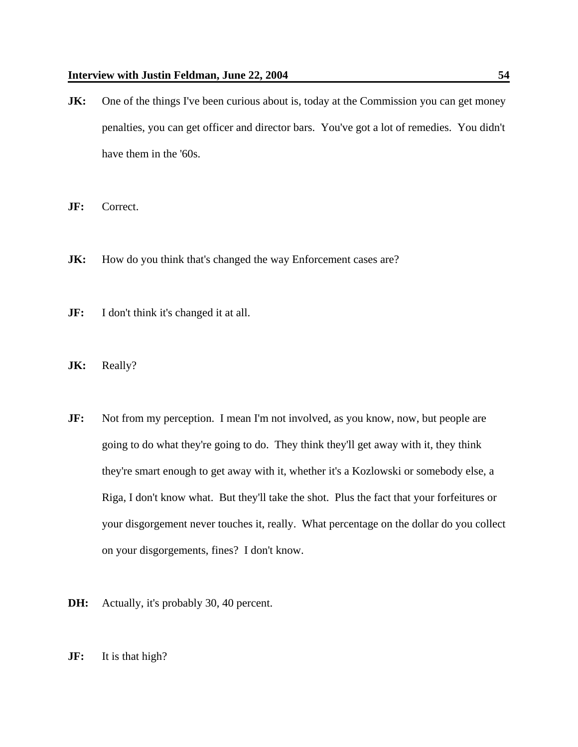- **JK:** One of the things I've been curious about is, today at the Commission you can get money penalties, you can get officer and director bars. You've got a lot of remedies. You didn't have them in the '60s.
- **JF:** Correct.
- **JK:** How do you think that's changed the way Enforcement cases are?
- **JF:** I don't think it's changed it at all.
- JK: Really?
- **JF:** Not from my perception. I mean I'm not involved, as you know, now, but people are going to do what they're going to do. They think they'll get away with it, they think they're smart enough to get away with it, whether it's a Kozlowski or somebody else, a Riga, I don't know what. But they'll take the shot. Plus the fact that your forfeitures or your disgorgement never touches it, really. What percentage on the dollar do you collect on your disgorgements, fines? I don't know.
- **DH:** Actually, it's probably 30, 40 percent.
- **JF:** It is that high?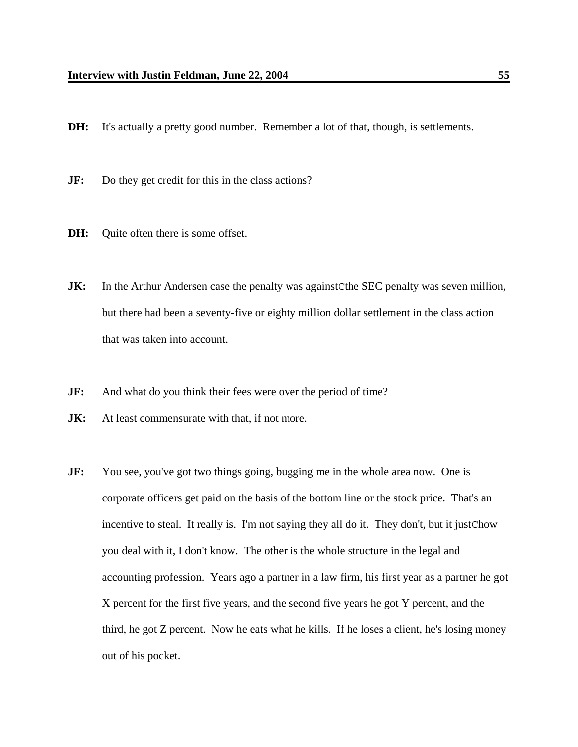- **DH:** It's actually a pretty good number. Remember a lot of that, though, is settlements.
- **JF:** Do they get credit for this in the class actions?
- **DH:** Quite often there is some offset.
- **JK:** In the Arthur Andersen case the penalty was against Cthe SEC penalty was seven million, but there had been a seventy-five or eighty million dollar settlement in the class action that was taken into account.
- **JF:** And what do you think their fees were over the period of time?
- **JK:** At least commensurate with that, if not more.
- **JF:** You see, you've got two things going, bugging me in the whole area now. One is corporate officers get paid on the basis of the bottom line or the stock price. That's an incentive to steal. It really is. I'm not saying they all do it. They don't, but it justChow you deal with it, I don't know. The other is the whole structure in the legal and accounting profession. Years ago a partner in a law firm, his first year as a partner he got X percent for the first five years, and the second five years he got Y percent, and the third, he got Z percent. Now he eats what he kills. If he loses a client, he's losing money out of his pocket.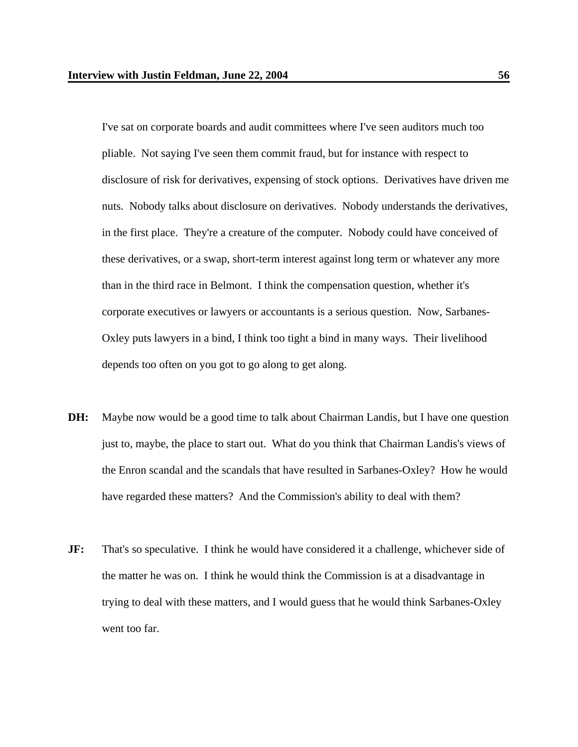I've sat on corporate boards and audit committees where I've seen auditors much too pliable. Not saying I've seen them commit fraud, but for instance with respect to disclosure of risk for derivatives, expensing of stock options. Derivatives have driven me nuts. Nobody talks about disclosure on derivatives. Nobody understands the derivatives, in the first place. They're a creature of the computer. Nobody could have conceived of these derivatives, or a swap, short-term interest against long term or whatever any more than in the third race in Belmont. I think the compensation question, whether it's corporate executives or lawyers or accountants is a serious question. Now, Sarbanes-Oxley puts lawyers in a bind, I think too tight a bind in many ways. Their livelihood depends too often on you got to go along to get along.

- **DH:** Maybe now would be a good time to talk about Chairman Landis, but I have one question just to, maybe, the place to start out. What do you think that Chairman Landis's views of the Enron scandal and the scandals that have resulted in Sarbanes-Oxley? How he would have regarded these matters? And the Commission's ability to deal with them?
- **JF:** That's so speculative. I think he would have considered it a challenge, whichever side of the matter he was on. I think he would think the Commission is at a disadvantage in trying to deal with these matters, and I would guess that he would think Sarbanes-Oxley went too far.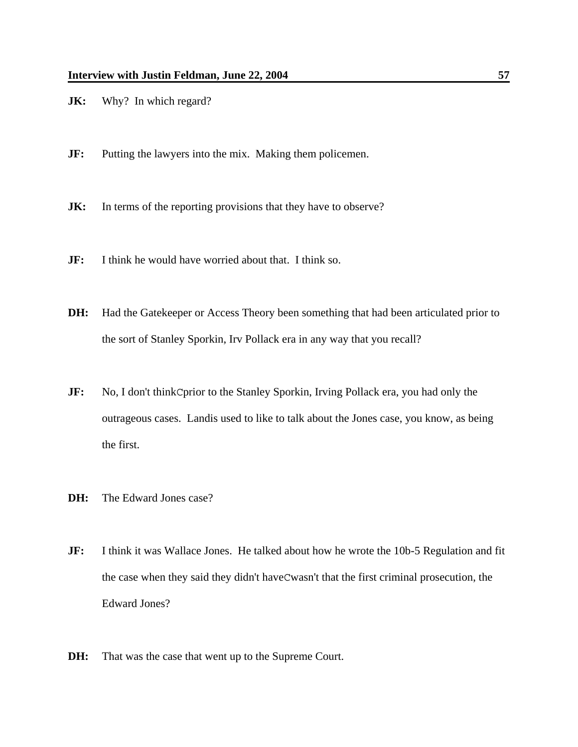- **JK:** Why? In which regard?
- **JF:** Putting the lawyers into the mix. Making them policemen.
- **JK:** In terms of the reporting provisions that they have to observe?
- **JF:** I think he would have worried about that. I think so.
- **DH:** Had the Gatekeeper or Access Theory been something that had been articulated prior to the sort of Stanley Sporkin, Irv Pollack era in any way that you recall?
- **JF:** No, I don't think Cprior to the Stanley Sporkin, Irving Pollack era, you had only the outrageous cases. Landis used to like to talk about the Jones case, you know, as being the first.
- **DH:** The Edward Jones case?
- **JF:** I think it was Wallace Jones. He talked about how he wrote the 10b-5 Regulation and fit the case when they said they didn't haveCwasn't that the first criminal prosecution, the Edward Jones?
- **DH:** That was the case that went up to the Supreme Court.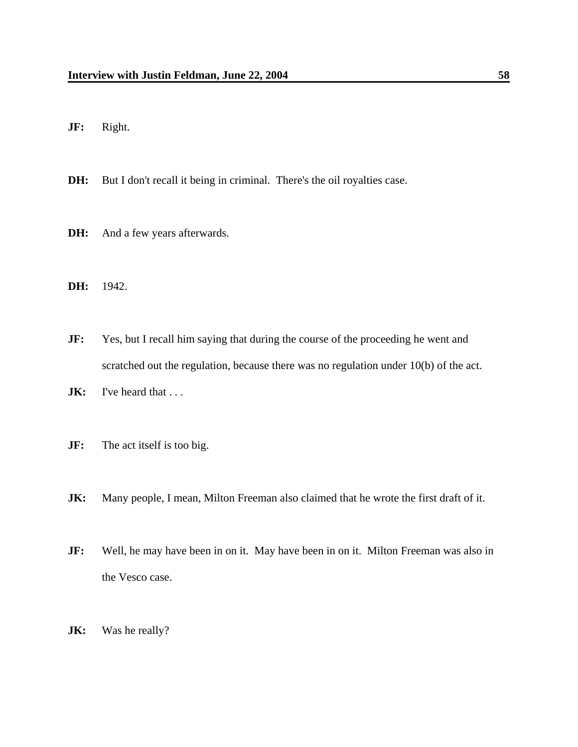**JF:** Right.

**DH:** But I don't recall it being in criminal. There's the oil royalties case.

- **DH:** And a few years afterwards.
- **DH:** 1942.

**JF:** Yes, but I recall him saying that during the course of the proceeding he went and scratched out the regulation, because there was no regulation under 10(b) of the act.

- **JK:** I've heard that ...
- **JF:** The act itself is too big.
- **JK:** Many people, I mean, Milton Freeman also claimed that he wrote the first draft of it.
- **JF:** Well, he may have been in on it. May have been in on it. Milton Freeman was also in the Vesco case.
- **JK:** Was he really?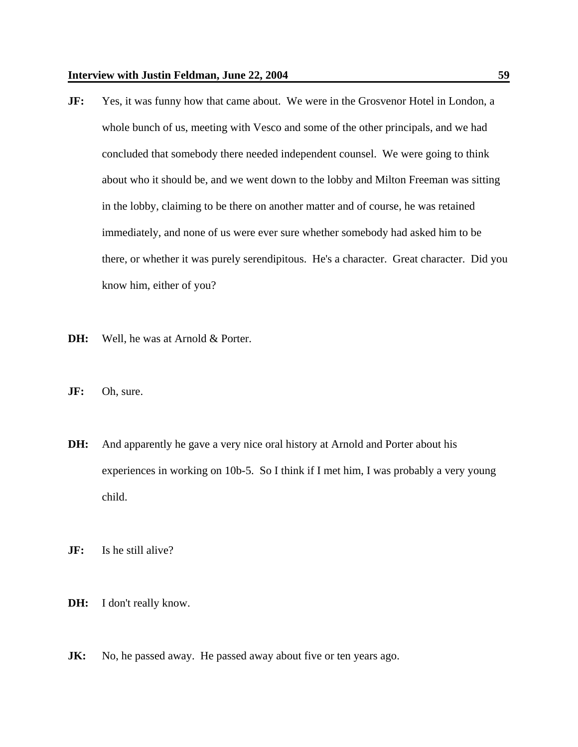- **JF:** Yes, it was funny how that came about. We were in the Grosvenor Hotel in London, a whole bunch of us, meeting with Vesco and some of the other principals, and we had concluded that somebody there needed independent counsel. We were going to think about who it should be, and we went down to the lobby and Milton Freeman was sitting in the lobby, claiming to be there on another matter and of course, he was retained immediately, and none of us were ever sure whether somebody had asked him to be there, or whether it was purely serendipitous. He's a character. Great character. Did you know him, either of you?
- **DH:** Well, he was at Arnold & Porter.
- **JF:** Oh, sure.
- **DH:** And apparently he gave a very nice oral history at Arnold and Porter about his experiences in working on 10b-5. So I think if I met him, I was probably a very young child.

**JF:** Is he still alive?

- **DH:** I don't really know.
- **JK:** No, he passed away. He passed away about five or ten years ago.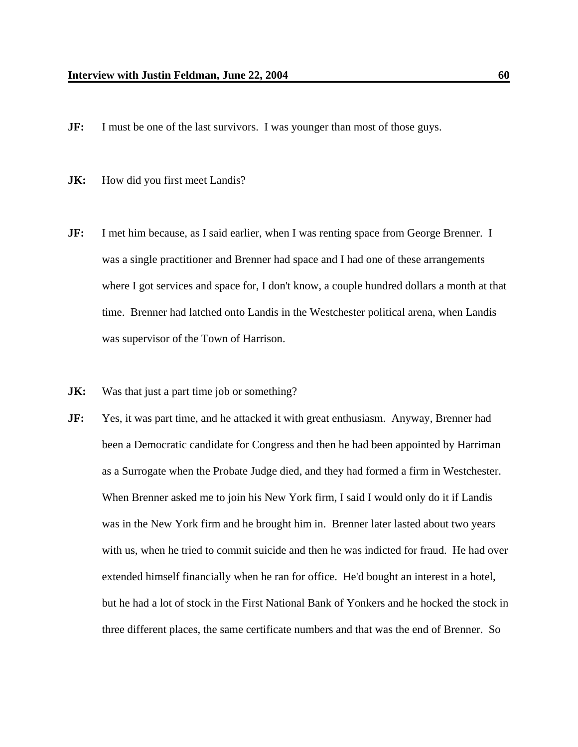- **JF:** I must be one of the last survivors. I was younger than most of those guys.
- **JK:** How did you first meet Landis?
- **JF:** I met him because, as I said earlier, when I was renting space from George Brenner. I was a single practitioner and Brenner had space and I had one of these arrangements where I got services and space for, I don't know, a couple hundred dollars a month at that time. Brenner had latched onto Landis in the Westchester political arena, when Landis was supervisor of the Town of Harrison.
- **JK:** Was that just a part time job or something?
- **JF:** Yes, it was part time, and he attacked it with great enthusiasm. Anyway, Brenner had been a Democratic candidate for Congress and then he had been appointed by Harriman as a Surrogate when the Probate Judge died, and they had formed a firm in Westchester. When Brenner asked me to join his New York firm, I said I would only do it if Landis was in the New York firm and he brought him in. Brenner later lasted about two years with us, when he tried to commit suicide and then he was indicted for fraud. He had over extended himself financially when he ran for office. He'd bought an interest in a hotel, but he had a lot of stock in the First National Bank of Yonkers and he hocked the stock in three different places, the same certificate numbers and that was the end of Brenner. So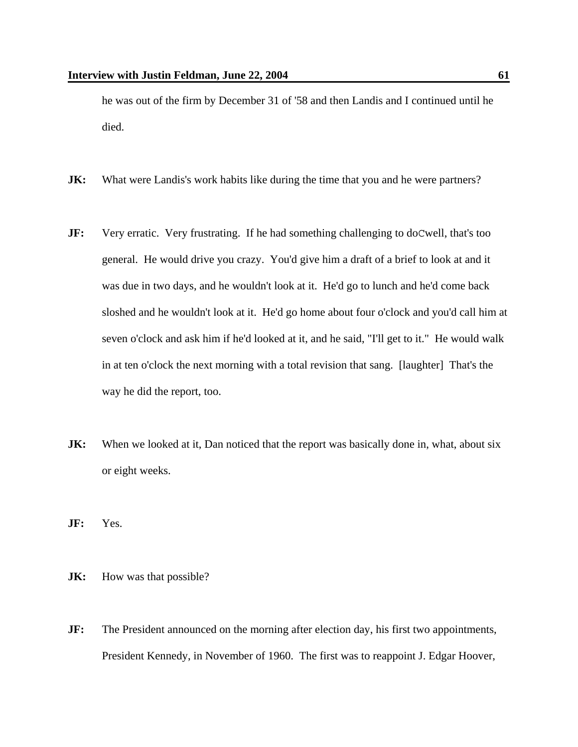he was out of the firm by December 31 of '58 and then Landis and I continued until he died.

- **JK:** What were Landis's work habits like during the time that you and he were partners?
- **JF:** Very erratic. Very frustrating. If he had something challenging to doCwell, that's too general. He would drive you crazy. You'd give him a draft of a brief to look at and it was due in two days, and he wouldn't look at it. He'd go to lunch and he'd come back sloshed and he wouldn't look at it. He'd go home about four o'clock and you'd call him at seven o'clock and ask him if he'd looked at it, and he said, "I'll get to it." He would walk in at ten o'clock the next morning with a total revision that sang. [laughter] That's the way he did the report, too.
- **JK:** When we looked at it, Dan noticed that the report was basically done in, what, about six or eight weeks.
- **JF:** Yes.
- **JK:** How was that possible?
- **JF:** The President announced on the morning after election day, his first two appointments, President Kennedy, in November of 1960. The first was to reappoint J. Edgar Hoover,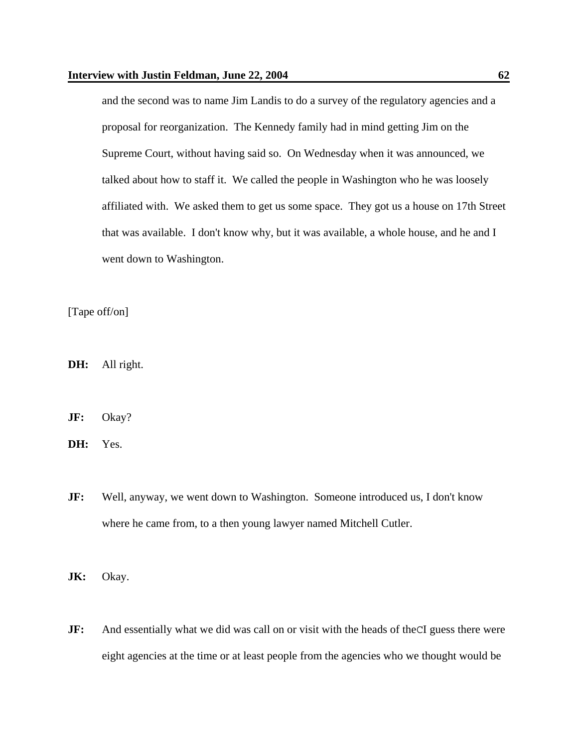and the second was to name Jim Landis to do a survey of the regulatory agencies and a proposal for reorganization. The Kennedy family had in mind getting Jim on the Supreme Court, without having said so. On Wednesday when it was announced, we talked about how to staff it. We called the people in Washington who he was loosely affiliated with. We asked them to get us some space. They got us a house on 17th Street that was available. I don't know why, but it was available, a whole house, and he and I went down to Washington.

[Tape off/on]

**DH:** All right.

**JF:** Okay?

**DH:** Yes.

**JF:** Well, anyway, we went down to Washington. Someone introduced us, I don't know where he came from, to a then young lawyer named Mitchell Cutler.

**JK:** Okay.

**JF:** And essentially what we did was call on or visit with the heads of the CI guess there were eight agencies at the time or at least people from the agencies who we thought would be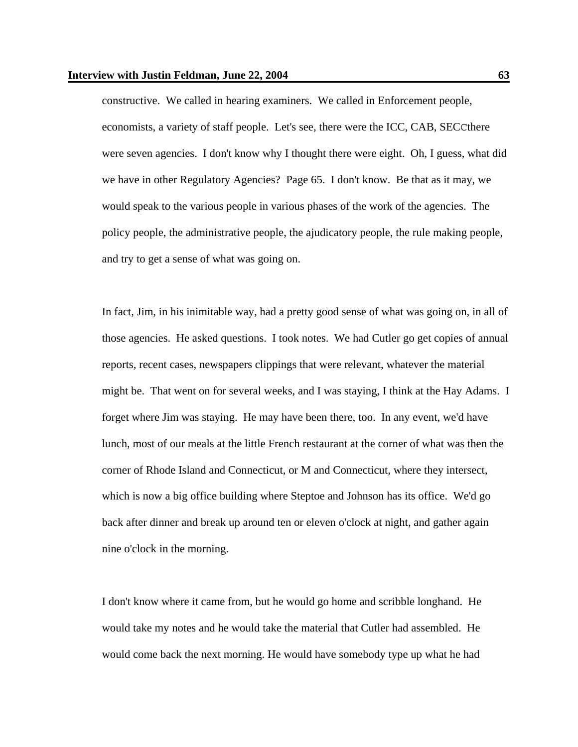constructive. We called in hearing examiners. We called in Enforcement people, economists, a variety of staff people. Let's see, there were the ICC, CAB, SECCthere were seven agencies. I don't know why I thought there were eight. Oh, I guess, what did we have in other Regulatory Agencies? Page 65. I don't know. Be that as it may, we would speak to the various people in various phases of the work of the agencies. The policy people, the administrative people, the ajudicatory people, the rule making people, and try to get a sense of what was going on.

In fact, Jim, in his inimitable way, had a pretty good sense of what was going on, in all of those agencies. He asked questions. I took notes. We had Cutler go get copies of annual reports, recent cases, newspapers clippings that were relevant, whatever the material might be. That went on for several weeks, and I was staying, I think at the Hay Adams. I forget where Jim was staying. He may have been there, too. In any event, we'd have lunch, most of our meals at the little French restaurant at the corner of what was then the corner of Rhode Island and Connecticut, or M and Connecticut, where they intersect, which is now a big office building where Steptoe and Johnson has its office. We'd go back after dinner and break up around ten or eleven o'clock at night, and gather again nine o'clock in the morning.

I don't know where it came from, but he would go home and scribble longhand. He would take my notes and he would take the material that Cutler had assembled. He would come back the next morning. He would have somebody type up what he had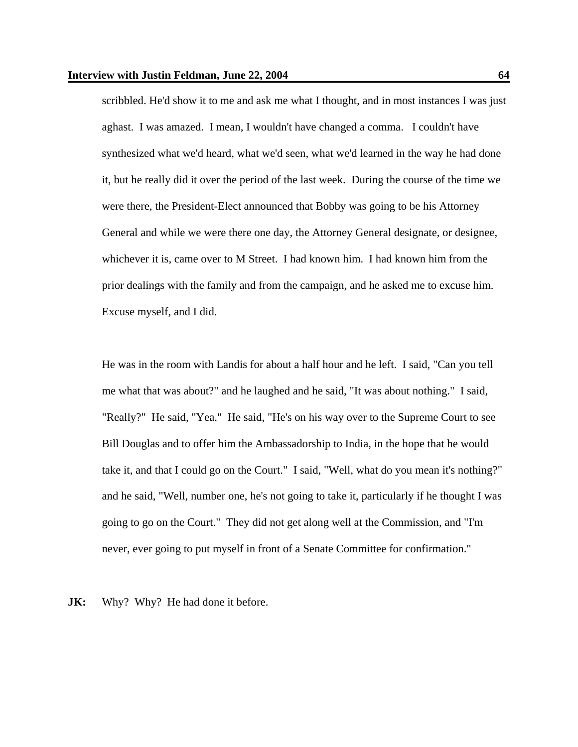scribbled. He'd show it to me and ask me what I thought, and in most instances I was just aghast. I was amazed. I mean, I wouldn't have changed a comma. I couldn't have synthesized what we'd heard, what we'd seen, what we'd learned in the way he had done it, but he really did it over the period of the last week. During the course of the time we were there, the President-Elect announced that Bobby was going to be his Attorney General and while we were there one day, the Attorney General designate, or designee, whichever it is, came over to M Street. I had known him. I had known him from the prior dealings with the family and from the campaign, and he asked me to excuse him. Excuse myself, and I did.

He was in the room with Landis for about a half hour and he left. I said, "Can you tell me what that was about?" and he laughed and he said, "It was about nothing." I said, "Really?" He said, "Yea." He said, "He's on his way over to the Supreme Court to see Bill Douglas and to offer him the Ambassadorship to India, in the hope that he would take it, and that I could go on the Court." I said, "Well, what do you mean it's nothing?" and he said, "Well, number one, he's not going to take it, particularly if he thought I was going to go on the Court." They did not get along well at the Commission, and "I'm never, ever going to put myself in front of a Senate Committee for confirmation."

**JK:** Why? Why? He had done it before.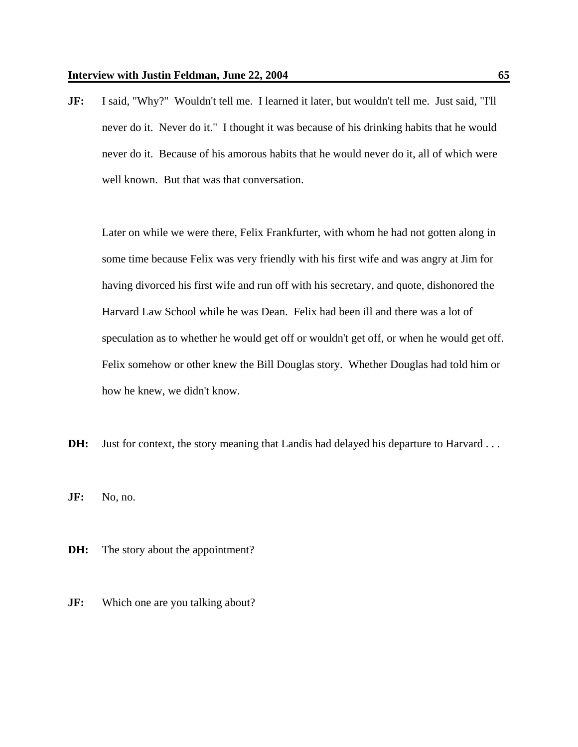**JF:** I said, "Why?" Wouldn't tell me. I learned it later, but wouldn't tell me. Just said, "I'll never do it. Never do it." I thought it was because of his drinking habits that he would never do it. Because of his amorous habits that he would never do it, all of which were well known. But that was that conversation.

Later on while we were there, Felix Frankfurter, with whom he had not gotten along in some time because Felix was very friendly with his first wife and was angry at Jim for having divorced his first wife and run off with his secretary, and quote, dishonored the Harvard Law School while he was Dean. Felix had been ill and there was a lot of speculation as to whether he would get off or wouldn't get off, or when he would get off. Felix somehow or other knew the Bill Douglas story. Whether Douglas had told him or how he knew, we didn't know.

**DH:** Just for context, the story meaning that Landis had delayed his departure to Harvard . . .

**JF:** No, no.

- **DH:** The story about the appointment?
- **JF:** Which one are you talking about?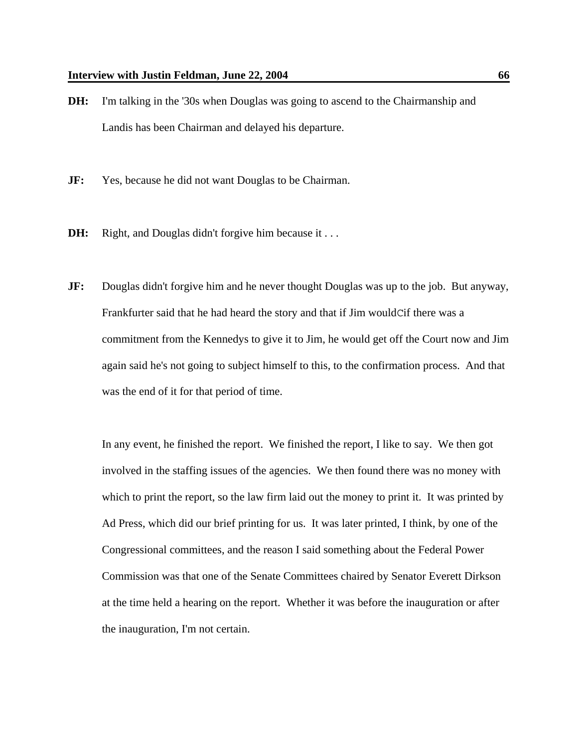- **DH:** I'm talking in the '30s when Douglas was going to ascend to the Chairmanship and Landis has been Chairman and delayed his departure.
- **JF:** Yes, because he did not want Douglas to be Chairman.
- **DH:** Right, and Douglas didn't forgive him because it . . .
- **JF:** Douglas didn't forgive him and he never thought Douglas was up to the job. But anyway, Frankfurter said that he had heard the story and that if Jim wouldCif there was a commitment from the Kennedys to give it to Jim, he would get off the Court now and Jim again said he's not going to subject himself to this, to the confirmation process. And that was the end of it for that period of time.

In any event, he finished the report. We finished the report, I like to say. We then got involved in the staffing issues of the agencies. We then found there was no money with which to print the report, so the law firm laid out the money to print it. It was printed by Ad Press, which did our brief printing for us. It was later printed, I think, by one of the Congressional committees, and the reason I said something about the Federal Power Commission was that one of the Senate Committees chaired by Senator Everett Dirkson at the time held a hearing on the report. Whether it was before the inauguration or after the inauguration, I'm not certain.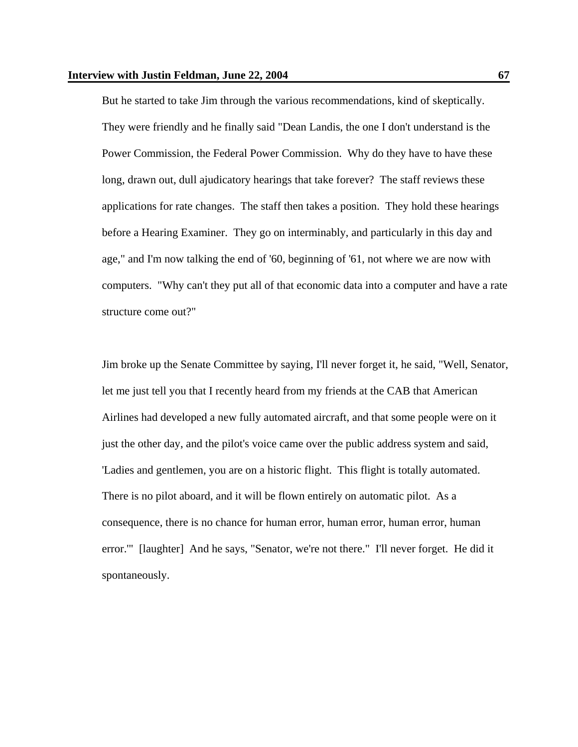But he started to take Jim through the various recommendations, kind of skeptically. They were friendly and he finally said "Dean Landis, the one I don't understand is the Power Commission, the Federal Power Commission. Why do they have to have these long, drawn out, dull ajudicatory hearings that take forever? The staff reviews these applications for rate changes. The staff then takes a position. They hold these hearings before a Hearing Examiner. They go on interminably, and particularly in this day and age," and I'm now talking the end of '60, beginning of '61, not where we are now with computers. "Why can't they put all of that economic data into a computer and have a rate structure come out?"

Jim broke up the Senate Committee by saying, I'll never forget it, he said, "Well, Senator, let me just tell you that I recently heard from my friends at the CAB that American Airlines had developed a new fully automated aircraft, and that some people were on it just the other day, and the pilot's voice came over the public address system and said, 'Ladies and gentlemen, you are on a historic flight. This flight is totally automated. There is no pilot aboard, and it will be flown entirely on automatic pilot. As a consequence, there is no chance for human error, human error, human error, human error.'" [laughter] And he says, "Senator, we're not there." I'll never forget. He did it spontaneously.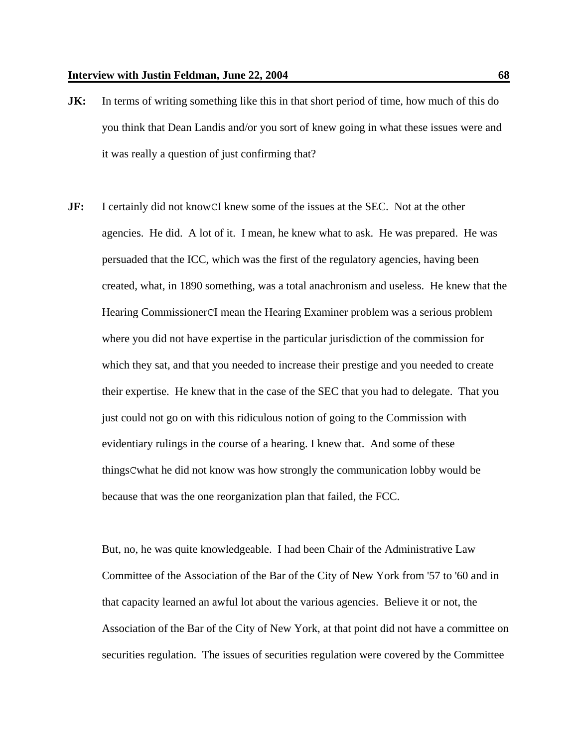- **JK:** In terms of writing something like this in that short period of time, how much of this do you think that Dean Landis and/or you sort of knew going in what these issues were and it was really a question of just confirming that?
- **JF:** I certainly did not know CI knew some of the issues at the SEC. Not at the other agencies. He did. A lot of it. I mean, he knew what to ask. He was prepared. He was persuaded that the ICC, which was the first of the regulatory agencies, having been created, what, in 1890 something, was a total anachronism and useless. He knew that the Hearing CommissionerCI mean the Hearing Examiner problem was a serious problem where you did not have expertise in the particular jurisdiction of the commission for which they sat, and that you needed to increase their prestige and you needed to create their expertise. He knew that in the case of the SEC that you had to delegate. That you just could not go on with this ridiculous notion of going to the Commission with evidentiary rulings in the course of a hearing. I knew that. And some of these thingsCwhat he did not know was how strongly the communication lobby would be because that was the one reorganization plan that failed, the FCC.

But, no, he was quite knowledgeable. I had been Chair of the Administrative Law Committee of the Association of the Bar of the City of New York from '57 to '60 and in that capacity learned an awful lot about the various agencies. Believe it or not, the Association of the Bar of the City of New York, at that point did not have a committee on securities regulation. The issues of securities regulation were covered by the Committee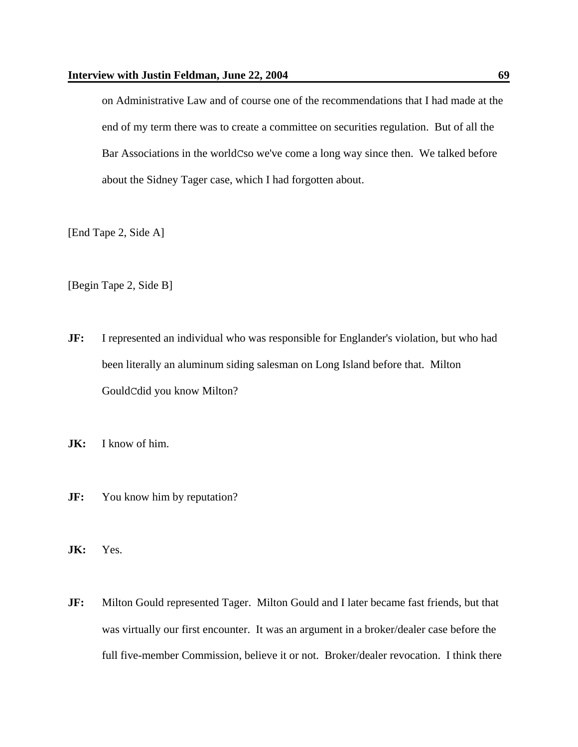on Administrative Law and of course one of the recommendations that I had made at the end of my term there was to create a committee on securities regulation. But of all the Bar Associations in the worldCso we've come a long way since then. We talked before about the Sidney Tager case, which I had forgotten about.

[End Tape 2, Side A]

[Begin Tape 2, Side B]

- **JF:** I represented an individual who was responsible for Englander's violation, but who had been literally an aluminum siding salesman on Long Island before that. Milton GouldCdid you know Milton?
- **JK:** I know of him.
- **JF:** You know him by reputation?
- **JK:** Yes.
- **JF:** Milton Gould represented Tager. Milton Gould and I later became fast friends, but that was virtually our first encounter. It was an argument in a broker/dealer case before the full five-member Commission, believe it or not. Broker/dealer revocation. I think there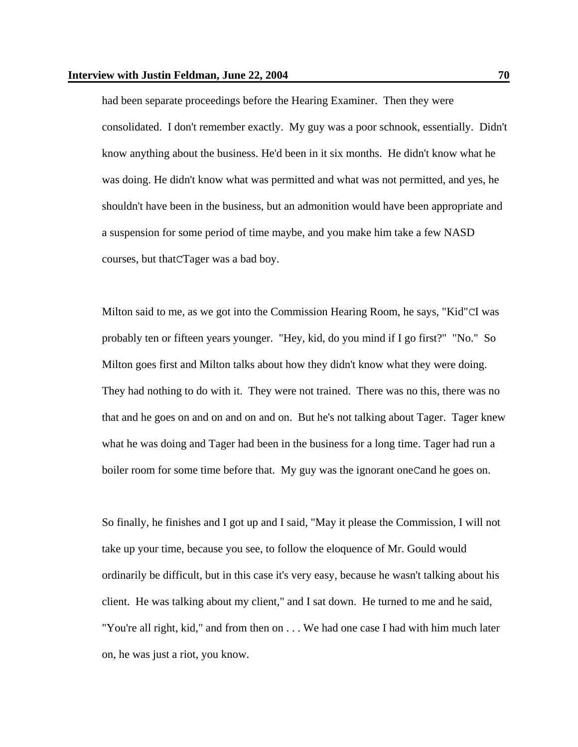had been separate proceedings before the Hearing Examiner. Then they were consolidated. I don't remember exactly. My guy was a poor schnook, essentially. Didn't know anything about the business. He'd been in it six months. He didn't know what he was doing. He didn't know what was permitted and what was not permitted, and yes, he shouldn't have been in the business, but an admonition would have been appropriate and a suspension for some period of time maybe, and you make him take a few NASD courses, but thatCTager was a bad boy.

Milton said to me, as we got into the Commission Hearing Room, he says, "Kid"CI was probably ten or fifteen years younger. "Hey, kid, do you mind if I go first?" "No." So Milton goes first and Milton talks about how they didn't know what they were doing. They had nothing to do with it. They were not trained. There was no this, there was no that and he goes on and on and on and on. But he's not talking about Tager. Tager knew what he was doing and Tager had been in the business for a long time. Tager had run a boiler room for some time before that. My guy was the ignorant oneCand he goes on.

So finally, he finishes and I got up and I said, "May it please the Commission, I will not take up your time, because you see, to follow the eloquence of Mr. Gould would ordinarily be difficult, but in this case it's very easy, because he wasn't talking about his client. He was talking about my client," and I sat down. He turned to me and he said, "You're all right, kid," and from then on . . . We had one case I had with him much later on, he was just a riot, you know.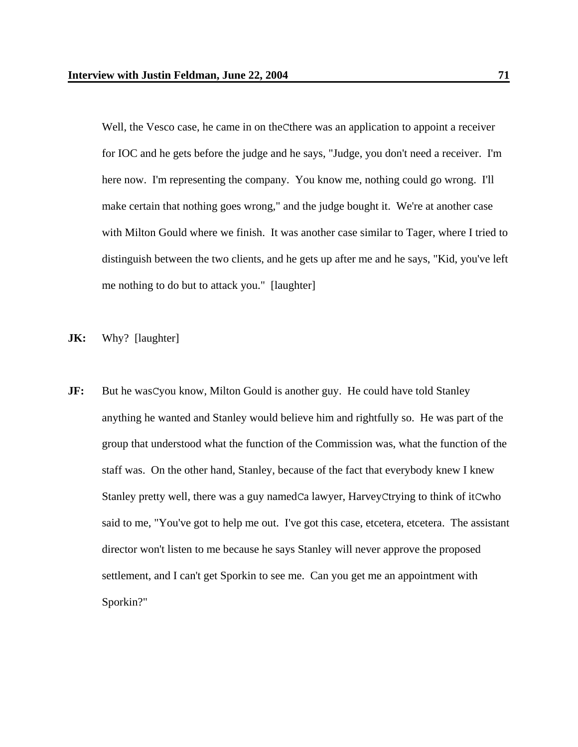Well, the Vesco case, he came in on theCthere was an application to appoint a receiver for IOC and he gets before the judge and he says, "Judge, you don't need a receiver. I'm here now. I'm representing the company. You know me, nothing could go wrong. I'll make certain that nothing goes wrong," and the judge bought it. We're at another case with Milton Gould where we finish. It was another case similar to Tager, where I tried to distinguish between the two clients, and he gets up after me and he says, "Kid, you've left me nothing to do but to attack you." [laughter]

**JK:** Why? [laughter]

**JF:** But he wasCyou know, Milton Gould is another guy. He could have told Stanley anything he wanted and Stanley would believe him and rightfully so. He was part of the group that understood what the function of the Commission was, what the function of the staff was. On the other hand, Stanley, because of the fact that everybody knew I knew Stanley pretty well, there was a guy namedCa lawyer, HarveyCtrying to think of itCwho said to me, "You've got to help me out. I've got this case, etcetera, etcetera. The assistant director won't listen to me because he says Stanley will never approve the proposed settlement, and I can't get Sporkin to see me. Can you get me an appointment with Sporkin?"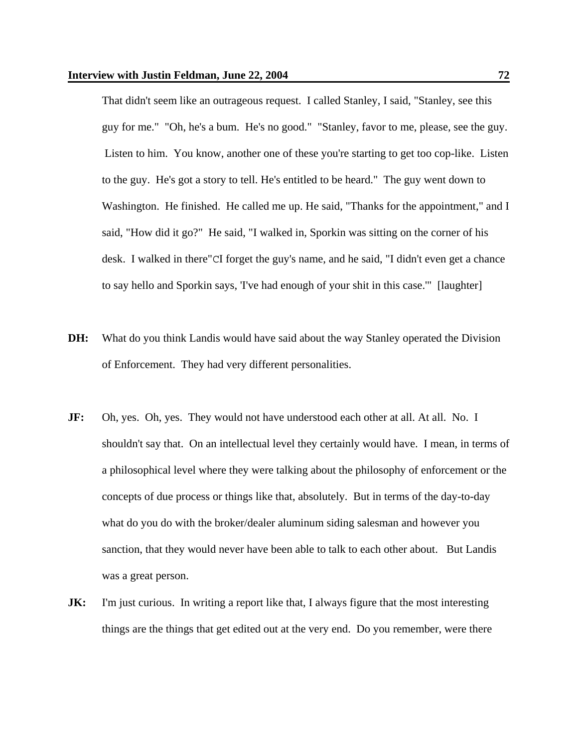That didn't seem like an outrageous request. I called Stanley, I said, "Stanley, see this guy for me." "Oh, he's a bum. He's no good." "Stanley, favor to me, please, see the guy. Listen to him. You know, another one of these you're starting to get too cop-like. Listen to the guy. He's got a story to tell. He's entitled to be heard." The guy went down to Washington. He finished. He called me up. He said, "Thanks for the appointment," and I said, "How did it go?" He said, "I walked in, Sporkin was sitting on the corner of his desk. I walked in there"CI forget the guy's name, and he said, "I didn't even get a chance to say hello and Sporkin says, 'I've had enough of your shit in this case.'" [laughter]

- **DH:** What do you think Landis would have said about the way Stanley operated the Division of Enforcement. They had very different personalities.
- **JF:** Oh, yes. Oh, yes. They would not have understood each other at all. At all. No. I shouldn't say that. On an intellectual level they certainly would have. I mean, in terms of a philosophical level where they were talking about the philosophy of enforcement or the concepts of due process or things like that, absolutely. But in terms of the day-to-day what do you do with the broker/dealer aluminum siding salesman and however you sanction, that they would never have been able to talk to each other about. But Landis was a great person.
- **JK:** I'm just curious. In writing a report like that, I always figure that the most interesting things are the things that get edited out at the very end. Do you remember, were there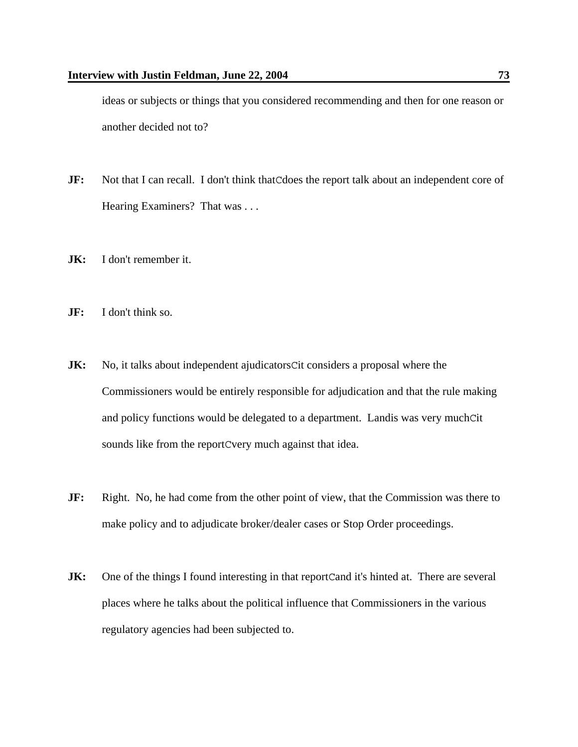ideas or subjects or things that you considered recommending and then for one reason or another decided not to?

- **JF:** Not that I can recall. I don't think that Cdoes the report talk about an independent core of Hearing Examiners? That was . . .
- **JK:** I don't remember it.
- **JF:** I don't think so.
- **JK:** No, it talks about independent ajudicatorsCit considers a proposal where the Commissioners would be entirely responsible for adjudication and that the rule making and policy functions would be delegated to a department. Landis was very muchCit sounds like from the reportCvery much against that idea.
- **JF:** Right. No, he had come from the other point of view, that the Commission was there to make policy and to adjudicate broker/dealer cases or Stop Order proceedings.
- **JK:** One of the things I found interesting in that reportCand it's hinted at. There are several places where he talks about the political influence that Commissioners in the various regulatory agencies had been subjected to.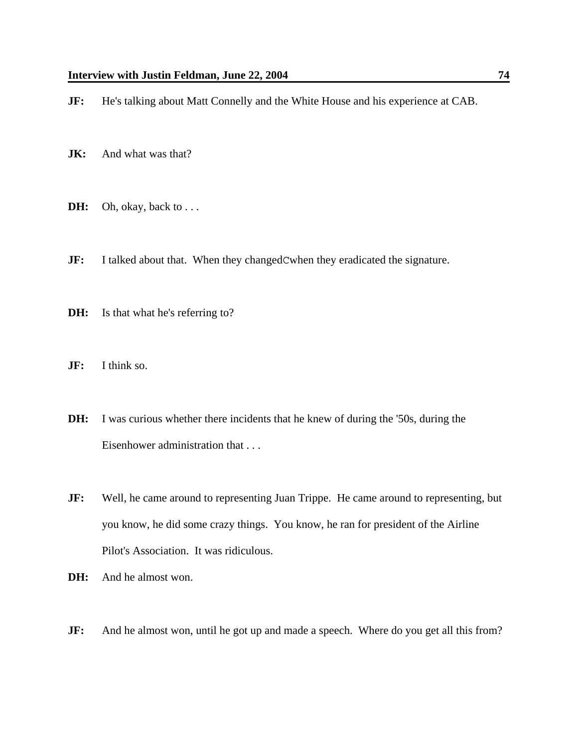**JF:** He's talking about Matt Connelly and the White House and his experience at CAB.

- **JK:** And what was that?
- **DH:** Oh, okay, back to . . .
- **JF:** I talked about that. When they changedCwhen they eradicated the signature.
- **DH:** Is that what he's referring to?
- **JF:** I think so.
- **DH:** I was curious whether there incidents that he knew of during the '50s, during the Eisenhower administration that . . .
- **JF:** Well, he came around to representing Juan Trippe. He came around to representing, but you know, he did some crazy things. You know, he ran for president of the Airline Pilot's Association. It was ridiculous.
- **DH:** And he almost won.
- **JF:** And he almost won, until he got up and made a speech. Where do you get all this from?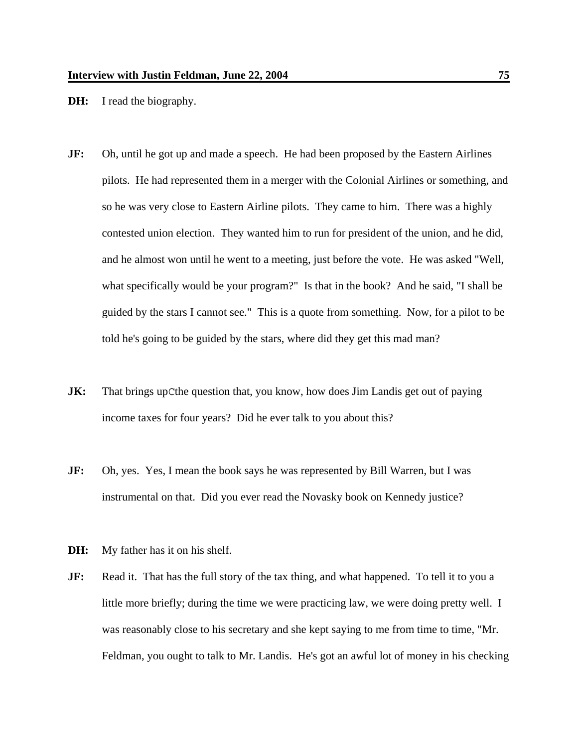**DH:** I read the biography.

- **JF:** Oh, until he got up and made a speech. He had been proposed by the Eastern Airlines pilots. He had represented them in a merger with the Colonial Airlines or something, and so he was very close to Eastern Airline pilots. They came to him. There was a highly contested union election. They wanted him to run for president of the union, and he did, and he almost won until he went to a meeting, just before the vote. He was asked "Well, what specifically would be your program?" Is that in the book? And he said, "I shall be guided by the stars I cannot see." This is a quote from something. Now, for a pilot to be told he's going to be guided by the stars, where did they get this mad man?
- **JK:** That brings upCthe question that, you know, how does Jim Landis get out of paying income taxes for four years? Did he ever talk to you about this?
- **JF:** Oh, yes. Yes, I mean the book says he was represented by Bill Warren, but I was instrumental on that. Did you ever read the Novasky book on Kennedy justice?
- **DH:** My father has it on his shelf.
- **JF:** Read it. That has the full story of the tax thing, and what happened. To tell it to you a little more briefly; during the time we were practicing law, we were doing pretty well. I was reasonably close to his secretary and she kept saying to me from time to time, "Mr. Feldman, you ought to talk to Mr. Landis. He's got an awful lot of money in his checking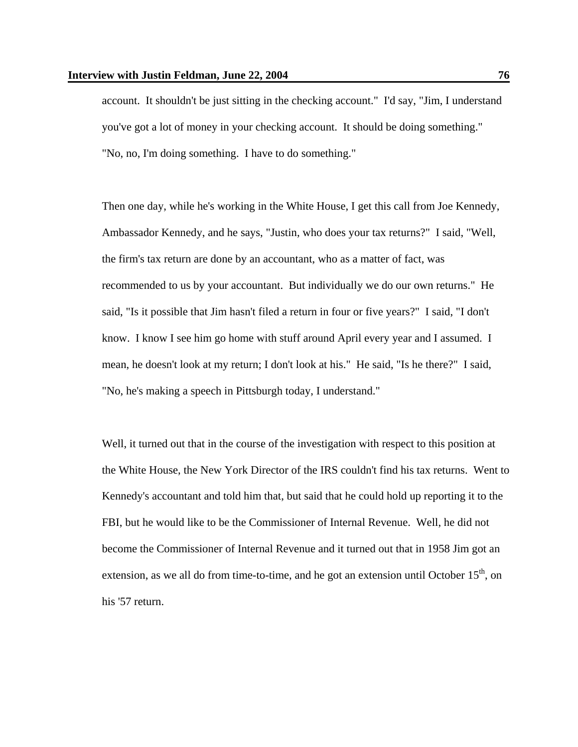account. It shouldn't be just sitting in the checking account." I'd say, "Jim, I understand you've got a lot of money in your checking account. It should be doing something." "No, no, I'm doing something. I have to do something."

Then one day, while he's working in the White House, I get this call from Joe Kennedy, Ambassador Kennedy, and he says, "Justin, who does your tax returns?" I said, "Well, the firm's tax return are done by an accountant, who as a matter of fact, was recommended to us by your accountant. But individually we do our own returns." He said, "Is it possible that Jim hasn't filed a return in four or five years?" I said, "I don't know. I know I see him go home with stuff around April every year and I assumed. I mean, he doesn't look at my return; I don't look at his." He said, "Is he there?" I said, "No, he's making a speech in Pittsburgh today, I understand."

Well, it turned out that in the course of the investigation with respect to this position at the White House, the New York Director of the IRS couldn't find his tax returns. Went to Kennedy's accountant and told him that, but said that he could hold up reporting it to the FBI, but he would like to be the Commissioner of Internal Revenue. Well, he did not become the Commissioner of Internal Revenue and it turned out that in 1958 Jim got an extension, as we all do from time-to-time, and he got an extension until October  $15<sup>th</sup>$ , on his '57 return.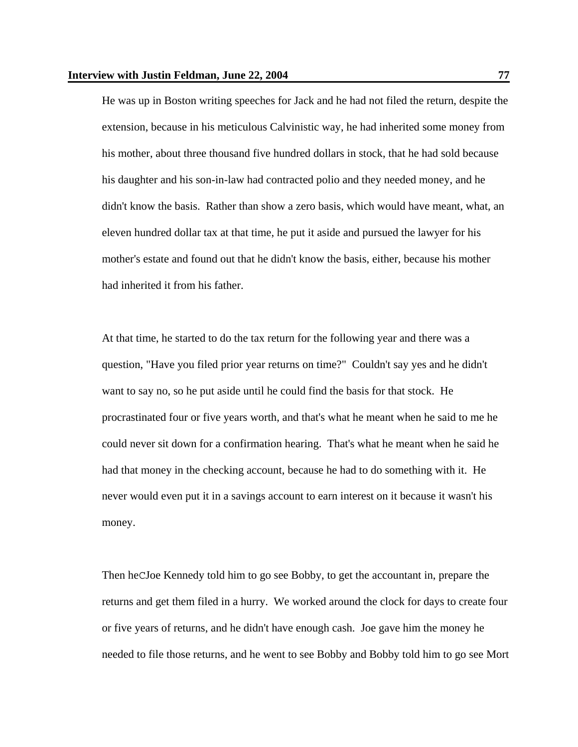He was up in Boston writing speeches for Jack and he had not filed the return, despite the extension, because in his meticulous Calvinistic way, he had inherited some money from his mother, about three thousand five hundred dollars in stock, that he had sold because his daughter and his son-in-law had contracted polio and they needed money, and he didn't know the basis. Rather than show a zero basis, which would have meant, what, an eleven hundred dollar tax at that time, he put it aside and pursued the lawyer for his mother's estate and found out that he didn't know the basis, either, because his mother had inherited it from his father.

At that time, he started to do the tax return for the following year and there was a question, "Have you filed prior year returns on time?" Couldn't say yes and he didn't want to say no, so he put aside until he could find the basis for that stock. He procrastinated four or five years worth, and that's what he meant when he said to me he could never sit down for a confirmation hearing. That's what he meant when he said he had that money in the checking account, because he had to do something with it. He never would even put it in a savings account to earn interest on it because it wasn't his money.

Then heCJoe Kennedy told him to go see Bobby, to get the accountant in, prepare the returns and get them filed in a hurry. We worked around the clock for days to create four or five years of returns, and he didn't have enough cash. Joe gave him the money he needed to file those returns, and he went to see Bobby and Bobby told him to go see Mort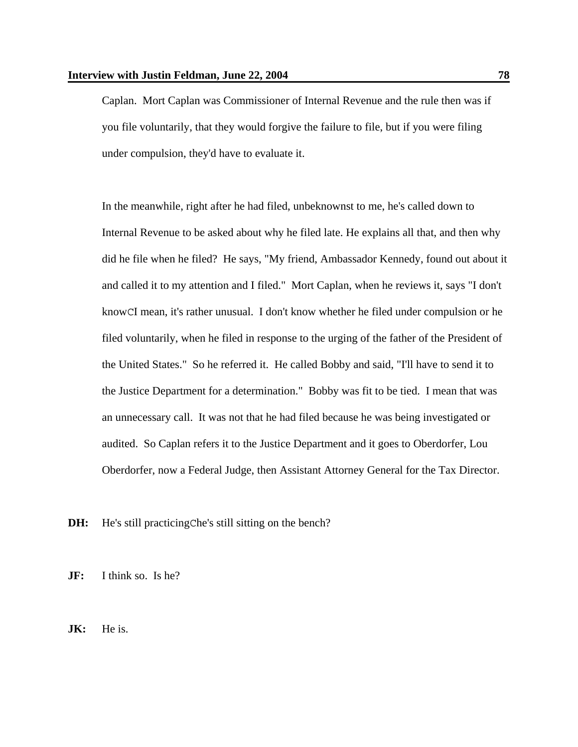Caplan. Mort Caplan was Commissioner of Internal Revenue and the rule then was if you file voluntarily, that they would forgive the failure to file, but if you were filing under compulsion, they'd have to evaluate it.

In the meanwhile, right after he had filed, unbeknownst to me, he's called down to Internal Revenue to be asked about why he filed late. He explains all that, and then why did he file when he filed? He says, "My friend, Ambassador Kennedy, found out about it and called it to my attention and I filed." Mort Caplan, when he reviews it, says "I don't knowCI mean, it's rather unusual. I don't know whether he filed under compulsion or he filed voluntarily, when he filed in response to the urging of the father of the President of the United States." So he referred it. He called Bobby and said, "I'll have to send it to the Justice Department for a determination." Bobby was fit to be tied. I mean that was an unnecessary call. It was not that he had filed because he was being investigated or audited. So Caplan refers it to the Justice Department and it goes to Oberdorfer, Lou Oberdorfer, now a Federal Judge, then Assistant Attorney General for the Tax Director.

**DH:** He's still practicing Che's still sitting on the bench?

**JF:** I think so. Is he?

**JK:** He is.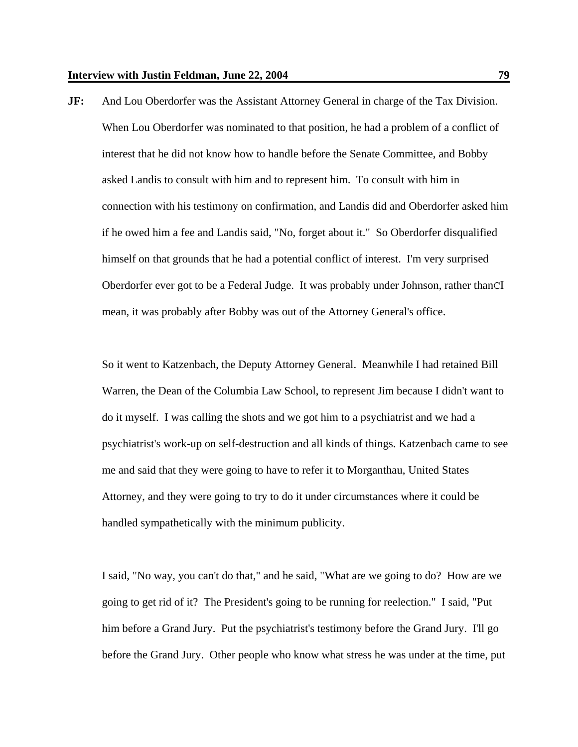**JF:** And Lou Oberdorfer was the Assistant Attorney General in charge of the Tax Division. When Lou Oberdorfer was nominated to that position, he had a problem of a conflict of interest that he did not know how to handle before the Senate Committee, and Bobby asked Landis to consult with him and to represent him. To consult with him in connection with his testimony on confirmation, and Landis did and Oberdorfer asked him if he owed him a fee and Landis said, "No, forget about it." So Oberdorfer disqualified himself on that grounds that he had a potential conflict of interest. I'm very surprised Oberdorfer ever got to be a Federal Judge. It was probably under Johnson, rather thanCI mean, it was probably after Bobby was out of the Attorney General's office.

So it went to Katzenbach, the Deputy Attorney General. Meanwhile I had retained Bill Warren, the Dean of the Columbia Law School, to represent Jim because I didn't want to do it myself. I was calling the shots and we got him to a psychiatrist and we had a psychiatrist's work-up on self-destruction and all kinds of things. Katzenbach came to see me and said that they were going to have to refer it to Morganthau, United States Attorney, and they were going to try to do it under circumstances where it could be handled sympathetically with the minimum publicity.

I said, "No way, you can't do that," and he said, "What are we going to do? How are we going to get rid of it? The President's going to be running for reelection." I said, "Put him before a Grand Jury. Put the psychiatrist's testimony before the Grand Jury. I'll go before the Grand Jury. Other people who know what stress he was under at the time, put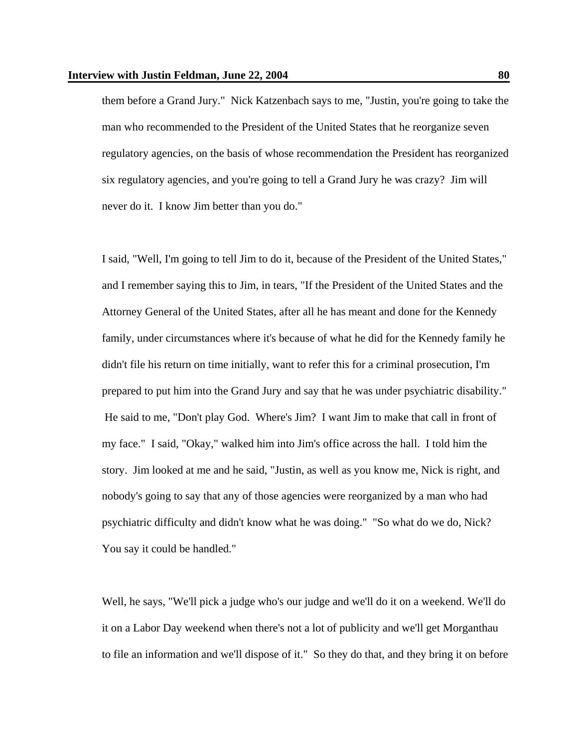them before a Grand Jury." Nick Katzenbach says to me, "Justin, you're going to take the man who recommended to the President of the United States that he reorganize seven regulatory agencies, on the basis of whose recommendation the President has reorganized six regulatory agencies, and you're going to tell a Grand Jury he was crazy? Jim will never do it. I know Jim better than you do."

I said, "Well, I'm going to tell Jim to do it, because of the President of the United States," and I remember saying this to Jim, in tears, "If the President of the United States and the Attorney General of the United States, after all he has meant and done for the Kennedy family, under circumstances where it's because of what he did for the Kennedy family he didn't file his return on time initially, want to refer this for a criminal prosecution, I'm prepared to put him into the Grand Jury and say that he was under psychiatric disability." He said to me, "Don't play God. Where's Jim? I want Jim to make that call in front of my face." I said, "Okay," walked him into Jim's office across the hall. I told him the story. Jim looked at me and he said, "Justin, as well as you know me, Nick is right, and nobody's going to say that any of those agencies were reorganized by a man who had psychiatric difficulty and didn't know what he was doing." "So what do we do, Nick? You say it could be handled."

Well, he says, "We'll pick a judge who's our judge and we'll do it on a weekend. We'll do it on a Labor Day weekend when there's not a lot of publicity and we'll get Morganthau to file an information and we'll dispose of it." So they do that, and they bring it on before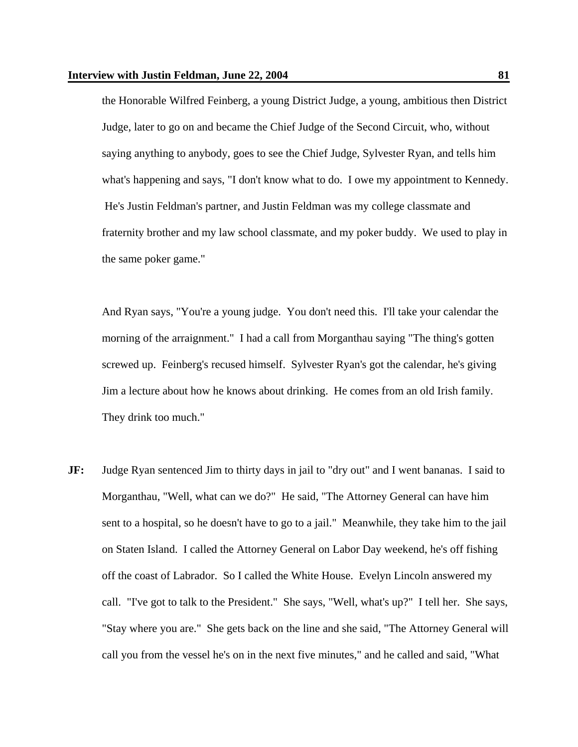the Honorable Wilfred Feinberg, a young District Judge, a young, ambitious then District Judge, later to go on and became the Chief Judge of the Second Circuit, who, without saying anything to anybody, goes to see the Chief Judge, Sylvester Ryan, and tells him what's happening and says, "I don't know what to do. I owe my appointment to Kennedy. He's Justin Feldman's partner, and Justin Feldman was my college classmate and fraternity brother and my law school classmate, and my poker buddy. We used to play in the same poker game."

And Ryan says, "You're a young judge. You don't need this. I'll take your calendar the morning of the arraignment." I had a call from Morganthau saying "The thing's gotten screwed up. Feinberg's recused himself. Sylvester Ryan's got the calendar, he's giving Jim a lecture about how he knows about drinking. He comes from an old Irish family. They drink too much."

**JF:** Judge Ryan sentenced Jim to thirty days in jail to "dry out" and I went bananas. I said to Morganthau, "Well, what can we do?" He said, "The Attorney General can have him sent to a hospital, so he doesn't have to go to a jail." Meanwhile, they take him to the jail on Staten Island. I called the Attorney General on Labor Day weekend, he's off fishing off the coast of Labrador. So I called the White House. Evelyn Lincoln answered my call. "I've got to talk to the President." She says, "Well, what's up?" I tell her. She says, "Stay where you are." She gets back on the line and she said, "The Attorney General will call you from the vessel he's on in the next five minutes," and he called and said, "What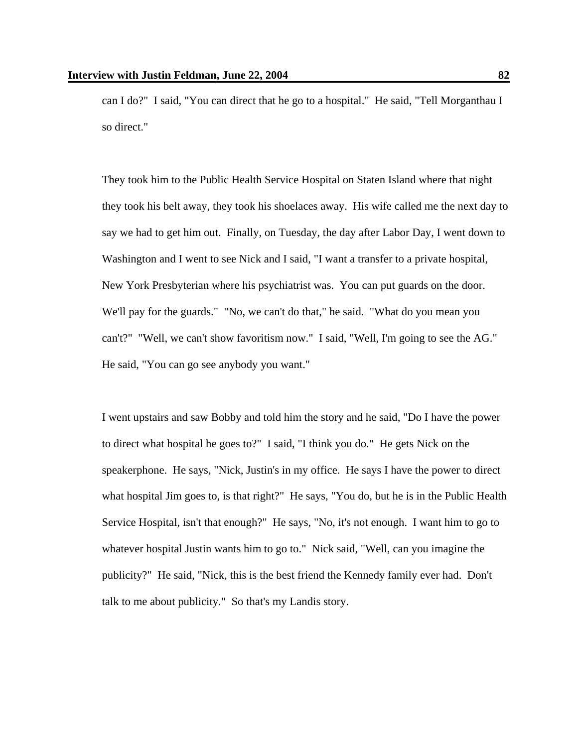can I do?" I said, "You can direct that he go to a hospital." He said, "Tell Morganthau I so direct."

They took him to the Public Health Service Hospital on Staten Island where that night they took his belt away, they took his shoelaces away. His wife called me the next day to say we had to get him out. Finally, on Tuesday, the day after Labor Day, I went down to Washington and I went to see Nick and I said, "I want a transfer to a private hospital, New York Presbyterian where his psychiatrist was. You can put guards on the door. We'll pay for the guards." "No, we can't do that," he said. "What do you mean you can't?" "Well, we can't show favoritism now." I said, "Well, I'm going to see the AG." He said, "You can go see anybody you want."

I went upstairs and saw Bobby and told him the story and he said, "Do I have the power to direct what hospital he goes to?" I said, "I think you do." He gets Nick on the speakerphone. He says, "Nick, Justin's in my office. He says I have the power to direct what hospital Jim goes to, is that right?" He says, "You do, but he is in the Public Health Service Hospital, isn't that enough?" He says, "No, it's not enough. I want him to go to whatever hospital Justin wants him to go to." Nick said, "Well, can you imagine the publicity?" He said, "Nick, this is the best friend the Kennedy family ever had. Don't talk to me about publicity." So that's my Landis story.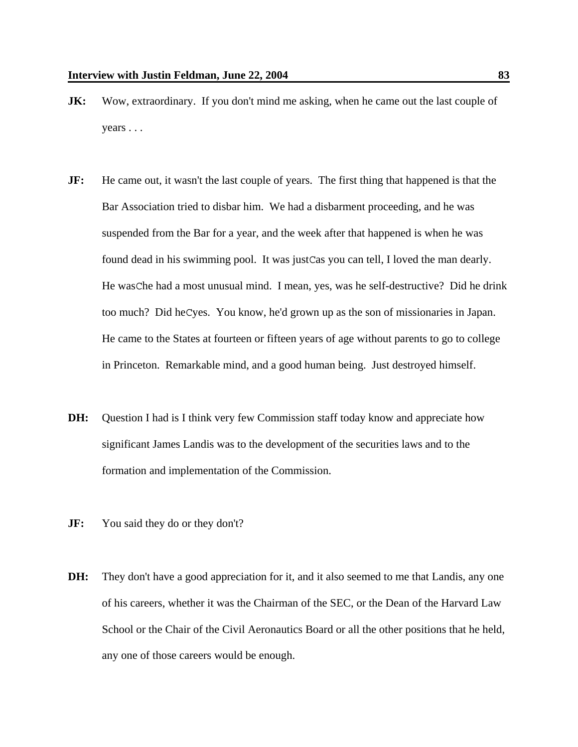- **JK:** Wow, extraordinary. If you don't mind me asking, when he came out the last couple of years . . .
- **JF:** He came out, it wasn't the last couple of years. The first thing that happened is that the Bar Association tried to disbar him. We had a disbarment proceeding, and he was suspended from the Bar for a year, and the week after that happened is when he was found dead in his swimming pool. It was justCas you can tell, I loved the man dearly. He wasChe had a most unusual mind. I mean, yes, was he self-destructive? Did he drink too much? Did heCyes. You know, he'd grown up as the son of missionaries in Japan. He came to the States at fourteen or fifteen years of age without parents to go to college in Princeton. Remarkable mind, and a good human being. Just destroyed himself.
- **DH:** Question I had is I think very few Commission staff today know and appreciate how significant James Landis was to the development of the securities laws and to the formation and implementation of the Commission.
- **JF:** You said they do or they don't?
- **DH:** They don't have a good appreciation for it, and it also seemed to me that Landis, any one of his careers, whether it was the Chairman of the SEC, or the Dean of the Harvard Law School or the Chair of the Civil Aeronautics Board or all the other positions that he held, any one of those careers would be enough.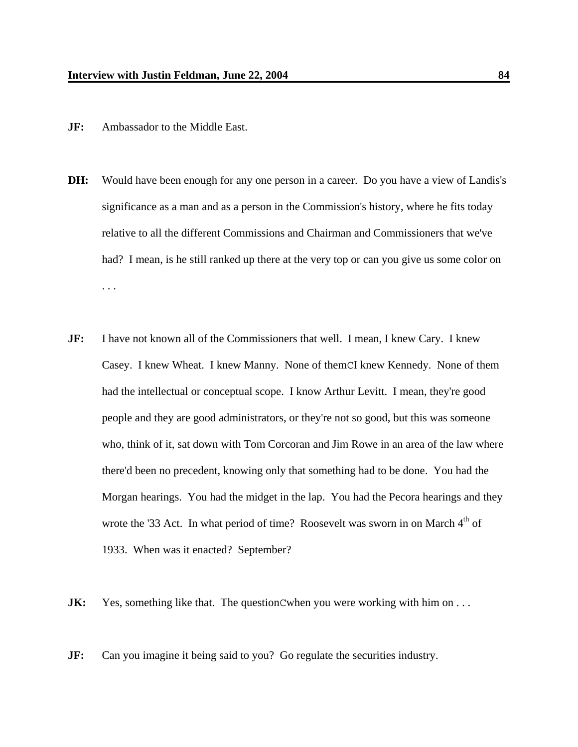- **JF:** Ambassador to the Middle East.
- **DH:** Would have been enough for any one person in a career. Do you have a view of Landis's significance as a man and as a person in the Commission's history, where he fits today relative to all the different Commissions and Chairman and Commissioners that we've had? I mean, is he still ranked up there at the very top or can you give us some color on . . .
- **JF:** I have not known all of the Commissioners that well. I mean, I knew Cary. I knew Casey. I knew Wheat. I knew Manny. None of themCI knew Kennedy. None of them had the intellectual or conceptual scope. I know Arthur Levitt. I mean, they're good people and they are good administrators, or they're not so good, but this was someone who, think of it, sat down with Tom Corcoran and Jim Rowe in an area of the law where there'd been no precedent, knowing only that something had to be done. You had the Morgan hearings. You had the midget in the lap. You had the Pecora hearings and they wrote the '33 Act. In what period of time? Roosevelt was sworn in on March 4<sup>th</sup> of 1933. When was it enacted? September?
- **JK:** Yes, something like that. The questionCwhen you were working with him on ...
- **JF:** Can you imagine it being said to you? Go regulate the securities industry.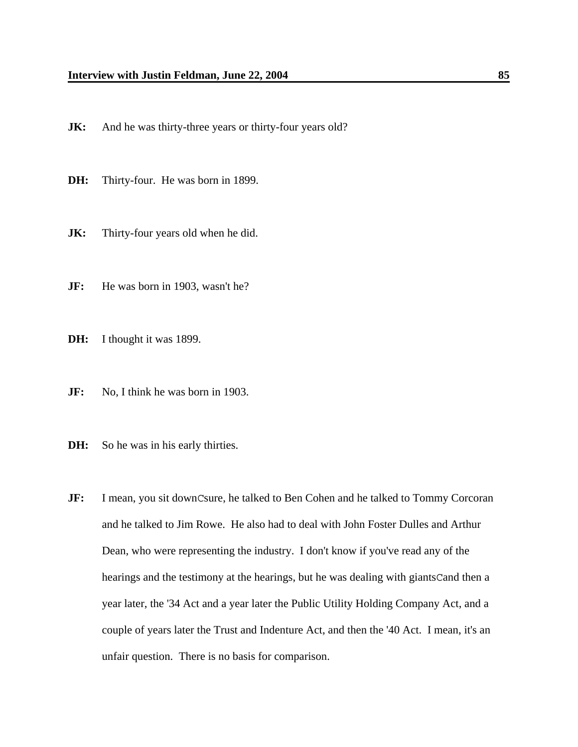- **JK:** And he was thirty-three years or thirty-four years old?
- **DH:** Thirty-four. He was born in 1899.
- **JK:** Thirty-four years old when he did.
- **JF:** He was born in 1903, wasn't he?
- **DH:** I thought it was 1899.
- **JF:** No, I think he was born in 1903.
- **DH:** So he was in his early thirties.
- **JF:** I mean, you sit downCsure, he talked to Ben Cohen and he talked to Tommy Corcoran and he talked to Jim Rowe. He also had to deal with John Foster Dulles and Arthur Dean, who were representing the industry. I don't know if you've read any of the hearings and the testimony at the hearings, but he was dealing with giantsCand then a year later, the '34 Act and a year later the Public Utility Holding Company Act, and a couple of years later the Trust and Indenture Act, and then the '40 Act. I mean, it's an unfair question. There is no basis for comparison.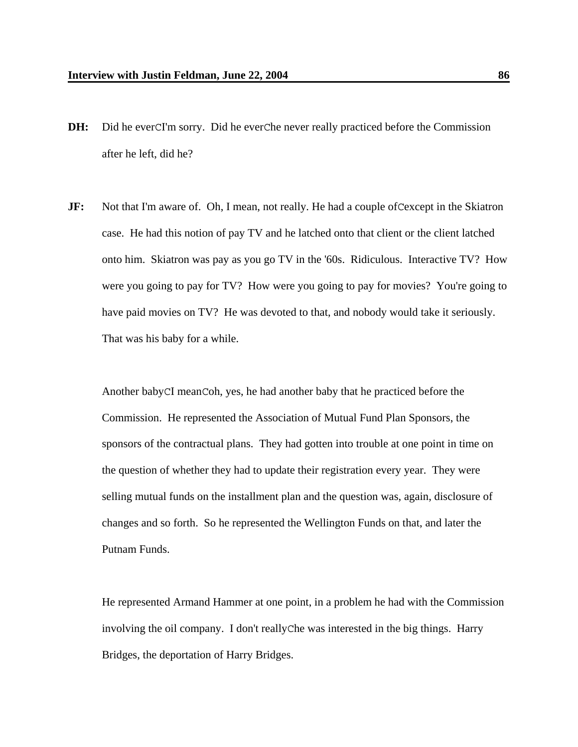- **DH:** Did he everCI'm sorry. Did he everChe never really practiced before the Commission after he left, did he?
- **JF:** Not that I'm aware of. Oh, I mean, not really. He had a couple of Cexcept in the Skiatron case. He had this notion of pay TV and he latched onto that client or the client latched onto him. Skiatron was pay as you go TV in the '60s. Ridiculous. Interactive TV? How were you going to pay for TV? How were you going to pay for movies? You're going to have paid movies on TV? He was devoted to that, and nobody would take it seriously. That was his baby for a while.

Another babyCI meanCoh, yes, he had another baby that he practiced before the Commission. He represented the Association of Mutual Fund Plan Sponsors, the sponsors of the contractual plans. They had gotten into trouble at one point in time on the question of whether they had to update their registration every year. They were selling mutual funds on the installment plan and the question was, again, disclosure of changes and so forth. So he represented the Wellington Funds on that, and later the Putnam Funds.

He represented Armand Hammer at one point, in a problem he had with the Commission involving the oil company. I don't reallyChe was interested in the big things. Harry Bridges, the deportation of Harry Bridges.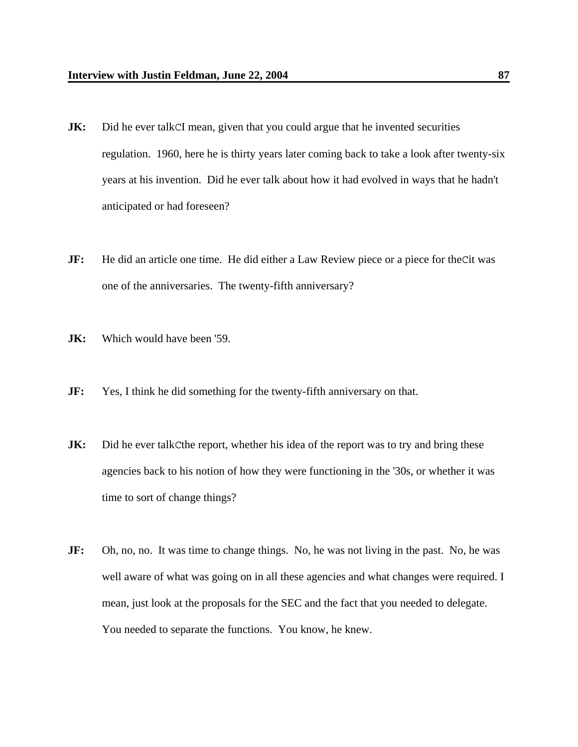- **JK:** Did he ever talkCI mean, given that you could argue that he invented securities regulation. 1960, here he is thirty years later coming back to take a look after twenty-six years at his invention. Did he ever talk about how it had evolved in ways that he hadn't anticipated or had foreseen?
- **JF:** He did an article one time. He did either a Law Review piece or a piece for theCit was one of the anniversaries. The twenty-fifth anniversary?
- **JK:** Which would have been '59.
- **JF:** Yes, I think he did something for the twenty-fifth anniversary on that.
- **JK:** Did he ever talk Cthe report, whether his idea of the report was to try and bring these agencies back to his notion of how they were functioning in the '30s, or whether it was time to sort of change things?
- **JF:** Oh, no, no. It was time to change things. No, he was not living in the past. No, he was well aware of what was going on in all these agencies and what changes were required. I mean, just look at the proposals for the SEC and the fact that you needed to delegate. You needed to separate the functions. You know, he knew.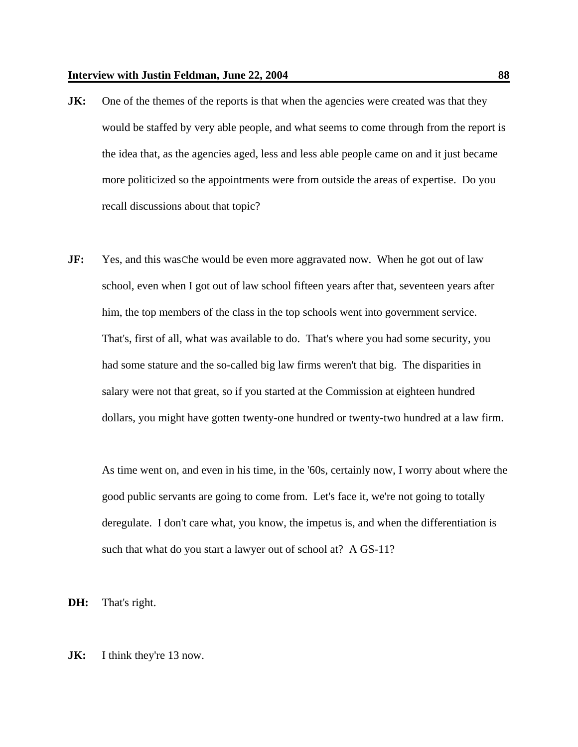- **JK:** One of the themes of the reports is that when the agencies were created was that they would be staffed by very able people, and what seems to come through from the report is the idea that, as the agencies aged, less and less able people came on and it just became more politicized so the appointments were from outside the areas of expertise. Do you recall discussions about that topic?
- **JF:** Yes, and this was Che would be even more aggravated now. When he got out of law school, even when I got out of law school fifteen years after that, seventeen years after him, the top members of the class in the top schools went into government service. That's, first of all, what was available to do. That's where you had some security, you had some stature and the so-called big law firms weren't that big. The disparities in salary were not that great, so if you started at the Commission at eighteen hundred dollars, you might have gotten twenty-one hundred or twenty-two hundred at a law firm.

As time went on, and even in his time, in the '60s, certainly now, I worry about where the good public servants are going to come from. Let's face it, we're not going to totally deregulate. I don't care what, you know, the impetus is, and when the differentiation is such that what do you start a lawyer out of school at? A GS-11?

**DH:** That's right.

## **JK:** I think they're 13 now.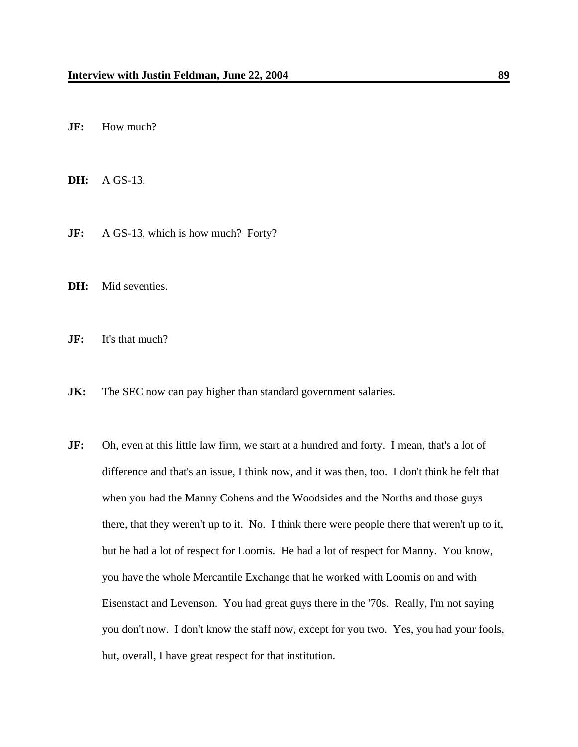**JF:** How much?

**DH:** A GS-13.

- **JF:** A GS-13, which is how much? Forty?
- DH: Mid seventies.
- **JF:** It's that much?
- **JK:** The SEC now can pay higher than standard government salaries.
- **JF:** Oh, even at this little law firm, we start at a hundred and forty. I mean, that's a lot of difference and that's an issue, I think now, and it was then, too. I don't think he felt that when you had the Manny Cohens and the Woodsides and the Norths and those guys there, that they weren't up to it. No. I think there were people there that weren't up to it, but he had a lot of respect for Loomis. He had a lot of respect for Manny. You know, you have the whole Mercantile Exchange that he worked with Loomis on and with Eisenstadt and Levenson. You had great guys there in the '70s. Really, I'm not saying you don't now. I don't know the staff now, except for you two. Yes, you had your fools, but, overall, I have great respect for that institution.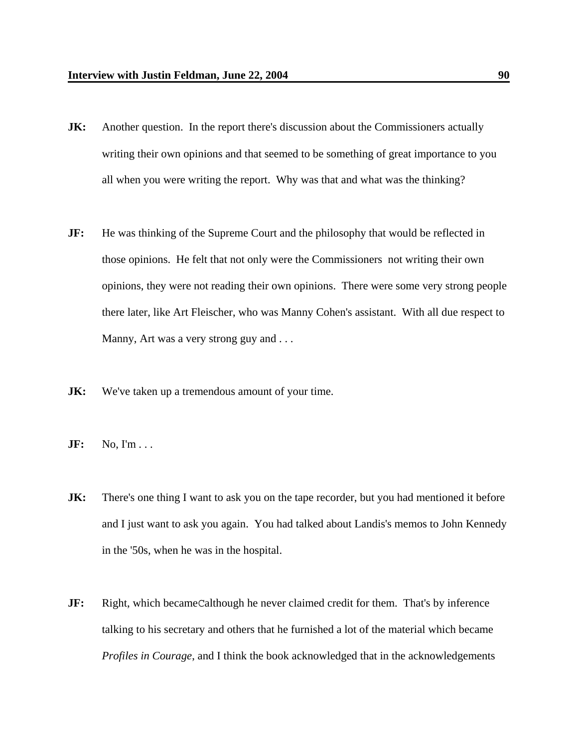- **JK:** Another question. In the report there's discussion about the Commissioners actually writing their own opinions and that seemed to be something of great importance to you all when you were writing the report. Why was that and what was the thinking?
- **JF:** He was thinking of the Supreme Court and the philosophy that would be reflected in those opinions. He felt that not only were the Commissioners not writing their own opinions, they were not reading their own opinions. There were some very strong people there later, like Art Fleischer, who was Manny Cohen's assistant. With all due respect to Manny, Art was a very strong guy and ...
- **JK:** We've taken up a tremendous amount of your time.
- **JF:** No, I'm . . .
- **JK:** There's one thing I want to ask you on the tape recorder, but you had mentioned it before and I just want to ask you again. You had talked about Landis's memos to John Kennedy in the '50s, when he was in the hospital.
- **JF:** Right, which becameCalthough he never claimed credit for them. That's by inference talking to his secretary and others that he furnished a lot of the material which became *Profiles in Courage*, and I think the book acknowledged that in the acknowledgements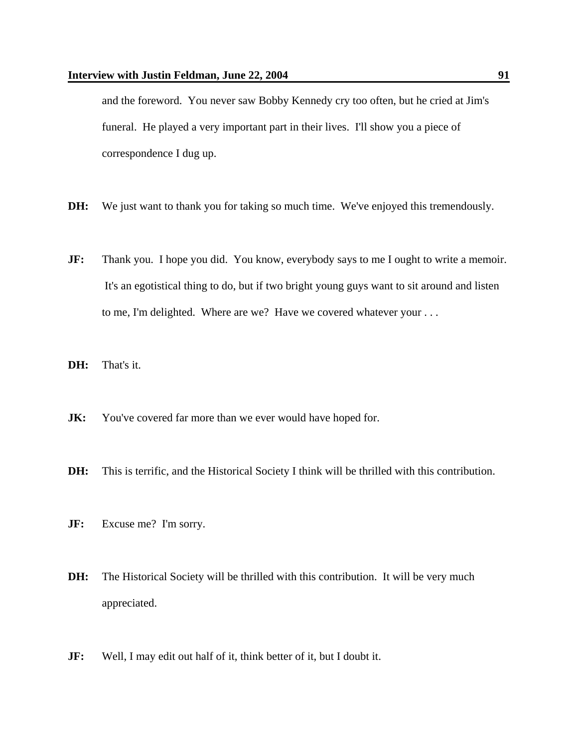and the foreword. You never saw Bobby Kennedy cry too often, but he cried at Jim's funeral. He played a very important part in their lives. I'll show you a piece of correspondence I dug up.

- **DH:** We just want to thank you for taking so much time. We've enjoyed this tremendously.
- **JF:** Thank you. I hope you did. You know, everybody says to me I ought to write a memoir. It's an egotistical thing to do, but if two bright young guys want to sit around and listen to me, I'm delighted. Where are we? Have we covered whatever your . . .
- **DH:** That's it.
- **JK:** You've covered far more than we ever would have hoped for.
- **DH:** This is terrific, and the Historical Society I think will be thrilled with this contribution.
- **JF:** Excuse me? I'm sorry.
- **DH:** The Historical Society will be thrilled with this contribution. It will be very much appreciated.
- **JF:** Well, I may edit out half of it, think better of it, but I doubt it.